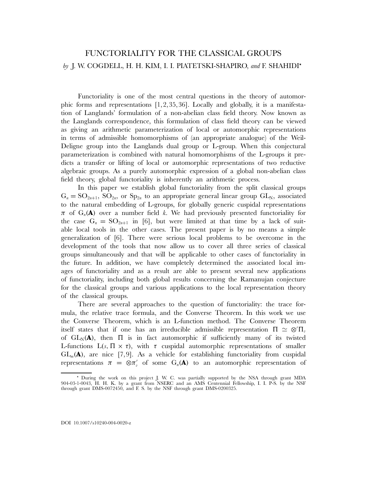# FUNCTORIALITY FOR THE CLASSICAL GROUPS *by* J. W. COGDELL, H. H. KIM, I. I. PIATETSKI-SHAPIRO, *and* F. SHAHIDI

Functoriality is one of the most central questions in the theory of automorphic forms and representations [1,2,35,36]. Locally and globally, it is a manifestation of Langlands' formulation of a non-abelian class field theory. Now known as the Langlands correspondence, this formulation of class field theory can be viewed as giving an arithmetic parameterization of local or automorphic representations in terms of admissible homomorphisms of (an appropriate analogue) of the Weil-Deligne group into the Langlands dual group or L-group. When this conjectural parameterization is combined with natural homomorphisms of the L-groups it predicts a transfer or lifting of local or automorphic representations of two reductive algebraic groups. As a purely automorphic expression of a global non-abelian class field theory, global functoriality is inherently an arithmetic process.

In this paper we establish global functoriality from the split classical groups  $G_n = SO_{2n+1}$ ,  $SO_{2n}$ , or  $Sp_{2n}$  to an appropriate general linear group  $GL_N$ , associated to the natural embedding of L-groups, for globally generic cuspidal representations  $\pi$  of  $G_n(A)$  over a number field k. We had previously presented functoriality for the case  $G_n = SO_{2n+1}$  in [6], but were limited at that time by a lack of suitable local tools in the other cases. The present paper is by no means a simple generalization of [6]. There were serious local problems to be overcome in the development of the tools that now allow us to cover all three series of classical groups simultaneously and that will be applicable to other cases of functoriality in the future. In addition, we have completely determined the associated local images of functoriality and as a result are able to present several new applications of functoriality, including both global results concerning the Ramanujan conjecture for the classical groups and various applications to the local representation theory of the classical groups.

There are several approaches to the question of functoriality: the trace formula, the relative trace formula, and the Converse Theorem. In this work we use the Converse Theorem, which is an L-function method. The Converse Theorem itself states that if one has an irreducible admissible representation  $\Pi \simeq \otimes' \Pi_{\iota}$ of  $GL_N(\bf{A})$ , then  $\Pi$  is in fact automorphic if sufficiently many of its twisted L-functions  $L(s, \Pi \times \tau)$ , with  $\tau$  cuspidal automorphic representations of smaller  $GL_m(\mathbf{A})$ , are nice [7,9]. As a vehicle for establishing functoriality from cuspidal representations  $\pi = \otimes \pi_v'$  of some  $G_n(A)$  to an automorphic representation of

During the work on this project J. W. C. was partially supported by the NSA through grant MDA 904-03-1-0043, H. H. K. by a grant from NSERC and an AMS Centennial Fellowship, I. I. P-S. by the NSF through grant DMS-0072450, and F. S. by the NSF through grant DMS-0200325.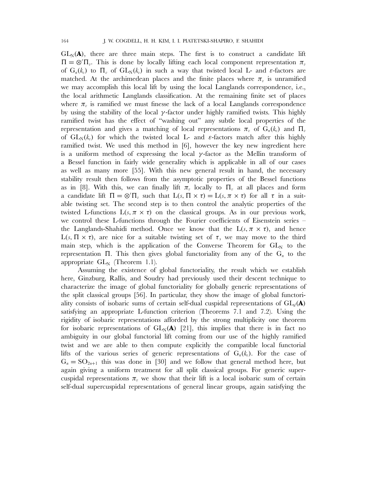$GL_N(A)$ , there are three main steps. The first is to construct a candidate lift  $\Pi = \otimes' \Pi_v$ . This is done by locally lifting each local component representation  $\pi_v$ of  $G_n(k_v)$  to  $\Pi_v$  of  $GL_N(k_v)$  in such a way that twisted local L- and  $\varepsilon$ -factors are matched. At the archimedean places and the finite places where  $\pi_{\nu}$  is unramified we may accomplish this local lift by using the local Langlands correspondence, i.e., the local arithmetic Langlands classification. At the remaining finite set of places where  $\pi_{\eta}$  is ramified we must finesse the lack of a local Langlands correspondence by using the stability of the local  $\gamma$ -factor under highly ramified twists. This highly ramified twist has the effect of "washing out" any subtle local properties of the representation and gives a matching of local representations  $\pi_{\nu}$  of  $G_{n}(k_{\nu})$  and  $\Pi_{\nu}$ of  $GL_N(k_n)$  for which the twisted local L- and  $\varepsilon$ -factors match after this highly ramified twist. We used this method in [6], however the key new ingredient here is a uniform method of expressing the local  $\gamma$ -factor as the Mellin transform of a Bessel function in fairly wide generality which is applicable in all of our cases as well as many more [55]. With this new general result in hand, the necessary stability result then follows from the asymptotic properties of the Bessel functions as in [8]. With this, we can finally lift  $\pi_{\eta}$  locally to  $\Pi_{\eta}$  at all places and form a candidate lift  $\Pi = \otimes' \Pi_v$  such that  $L(s, \Pi \times \tau) = L(s, \pi \times \tau)$  for all  $\tau$  in a suitable twisting set. The second step is to then control the analytic properties of the twisted L-functions  $L(s, \pi \times \tau)$  on the classical groups. As in our previous work, we control these L-functions through the Fourier coefficients of Eisenstein series – the Langlands-Shahidi method. Once we know that the  $L(s, \pi \times \tau)$ , and hence L(s, Π  $\times$  τ), are nice for a suitable twisting set of τ, we may move to the third main step, which is the application of the Converse Theorem for  $GL_N$  to the representation Π. This then gives global functoriality from any of the  $G_n$  to the appropriate  $GL_N$  (Theorem 1.1).

Assuming the existence of global functoriality, the result which we establish here, Ginzburg, Rallis, and Soudry had previously used their descent technique to characterize the image of global functoriality for globally generic representations of the split classical groups [56]. In particular, they show the image of global functoriality consists of isobaric sums of certain self-dual cuspidal representations of  $GL_d(\mathbf{A})$ satisfying an appropriate L-function criterion (Theorems 7.1 and 7.2). Using the rigidity of isobaric representations afforded by the strong multiplicity one theorem for isobaric representations of  $GL_N(A)$  [21], this implies that there is in fact no ambiguity in our global functorial lift coming from our use of the highly ramified twist and we are able to then compute explicitly the compatible local functorial lifts of the various series of generic representations of  $G_n(k_v)$ . For the case of  $G_n = SO_{2n+1}$  this was done in [30] and we follow that general method here, but again giving a uniform treatment for all split classical groups. For generic supercuspidal representations  $\pi$ , we show that their lift is a local isobaric sum of certain self-dual supercuspidal representations of general linear groups, again satisfying the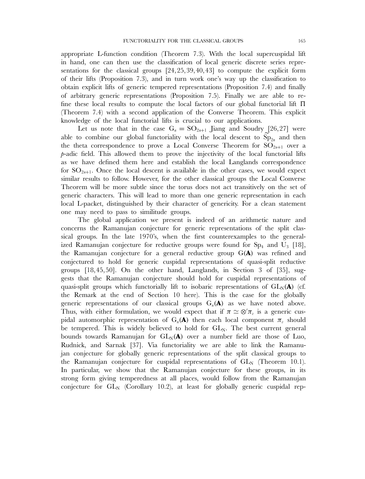appropriate L-function condition (Theorem 7.3). With the local supercuspidal lift in hand, one can then use the classification of local generic discrete series representations for the classical groups [24,25,39,40,43] to compute the explicit form of their lifts (Proposition 7.3), and in turn work one's way up the classification to obtain explicit lifts of generic tempered representations (Proposition 7.4) and finally of arbitrary generic representations (Proposition 7.5). Finally we are able to refine these local results to compute the local factors of our global functorial lift  $\Pi$ (Theorem 7.4) with a second application of the Converse Theorem. This explicit knowledge of the local functorial lifts is crucial to our applications.

Let us note that in the case  $G_n = SO_{2n+1}$  Jiang and Soudry [26,27] were able to combine our global functoriality with the local descent to  $Sp_{2n}$  and then the theta correspondence to prove a Local Converse Theorem for  $SO_{2n+1}$  over a p-adic field. This allowed them to prove the injectivity of the local functorial lifts as we have defined them here and establish the local Langlands correspondence for  $SO_{2n+1}$ . Once the local descent is available in the other cases, we would expect similar results to follow. However, for the other classical groups the Local Converse Theorem will be more subtle since the torus does not act transitively on the set of generic characters. This will lead to more than one generic representation in each local L-packet, distinguished by their character of genericity. For a clean statement one may need to pass to similitude groups.

The global application we present is indeed of an arithmetic nature and concerns the Ramanujan conjecture for generic representations of the split classical groups. In the late 1970's, when the first counterexamples to the generalized Ramanujan conjecture for reductive groups were found for  $Sp_4$  and  $U_3$  [18], the Ramanujan conjecture for a general reductive group G(**A**) was refined and conjectured to hold for generic cuspidal representations of quasi-split reductive groups [18,45,50]. On the other hand, Langlands, in Section 3 of [35], suggests that the Ramanujan conjecture should hold for cuspidal representations of quasi-split groups which functorially lift to isobaric representations of  $GL_N(\bf A)$  (cf. the Remark at the end of Section 10 here). This is the case for the globally generic representations of our classical groups  $G_n(A)$  as we have noted above. Thus, with either formulation, we would expect that if  $\pi \simeq \otimes' \pi_v$  is a generic cuspidal automorphic representation of  $G_n(\mathbf{A})$  then each local component  $\pi$ <sub>*n*</sub> should be tempered. This is widely believed to hold for  $GL_N$ . The best current general bounds towards Ramanujan for  $GL_N(A)$  over a number field are those of Luo, Rudnick, and Sarnak [37]. Via functoriality we are able to link the Ramanujan conjecture for globally generic representations of the split classical groups to the Ramanujan conjecture for cuspidal representations of  $GL_N$  (Theorem 10.1). In particular, we show that the Ramanujan conjecture for these groups, in its strong form giving temperedness at all places, would follow from the Ramanujan conjecture for  $GL_N$  (Corollary 10.2), at least for globally generic cuspidal rep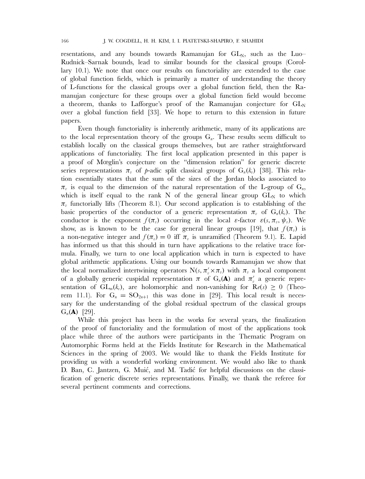resentations, and any bounds towards Ramanujan for  $GL_N$ , such as the Luo– Rudnick–Sarnak bounds, lead to similar bounds for the classical groups (Corollary 10.1). We note that once our results on functoriality are extended to the case of global function fields, which is primarily a matter of understanding the theory of L-functions for the classical groups over a global function field, then the Ramanujan conjecture for these groups over a global function field would become a theorem, thanks to Lafforgue's proof of the Ramanujan conjecture for  $GL_N$ over a global function field [33]. We hope to return to this extension in future papers.

Even though functoriality is inherently arithmetic, many of its applications are to the local representation theory of the groups  $G_n$ . These results seem difficult to establish locally on the classical groups themselves, but are rather straightforward applications of functoriality. The first local application presented in this paper is a proof of Mœglin's conjecture on the "dimension relation" for generic discrete series representations  $\pi_{\nu}$  of p-adic split classical groups of  $G_n(k_{\nu})$  [38]. This relation essentially states that the sum of the sizes of the Jordan blocks associated to  $\pi_{v}$  is equal to the dimension of the natural representation of the L-group of  $G_{n}$ , which is itself equal to the rank N of the general linear group  $GL_N$  to which  $\pi_{\eta}$  functorially lifts (Theorem 8.1). Our second application is to establishing of the basic properties of the conductor of a generic representation  $\pi_v$  of  $G_n(k_v)$ . The conductor is the exponent  $f(\pi_v)$  occurring in the local  $\varepsilon$ -factor  $\varepsilon(s, \pi_v, \psi_v)$ . We show, as is known to be the case for general linear groups [19], that  $f(\pi_v)$  is a non-negative integer and  $f(\pi_v) = 0$  iff  $\pi_v$  is unramified (Theorem 9.1). E. Lapid has informed us that this should in turn have applications to the relative trace formula. Finally, we turn to one local application which in turn is expected to have global arithmetic applications. Using our bounds towards Ramanujan we show that the local normalized intertwining operators  $N(s, \pi_v' \times \pi_v)$  with  $\pi_v$  a local component of a globally generic cuspidal representation  $\pi$  of  $G_n(\mathbf{A})$  and  $\pi'_v$  a generic representation of  $GL_m(k_n)$ , are holomorphic and non-vanishing for  $\mathbf{R}(\epsilon(s)) \geq 0$  (Theorem 11.1). For  $G_n = SO_{2n+1}$  this was done in [29]. This local result is necessary for the understanding of the global residual spectrum of the classical groups  $G_n(A)$  [29].

While this project has been in the works for several years, the finalization of the proof of functoriality and the formulation of most of the applications took place while three of the authors were participants in the Thematic Program on Automorphic Forms held at the Fields Institute for Research in the Mathematical Sciences in the spring of 2003. We would like to thank the Fields Institute for providing us with a wonderful working environment. We would also like to thank D. Ban, C. Jantzen, G. Muić, and M. Tadić for helpful discussions on the classification of generic discrete series representations. Finally, we thank the referee for several pertinent comments and corrections.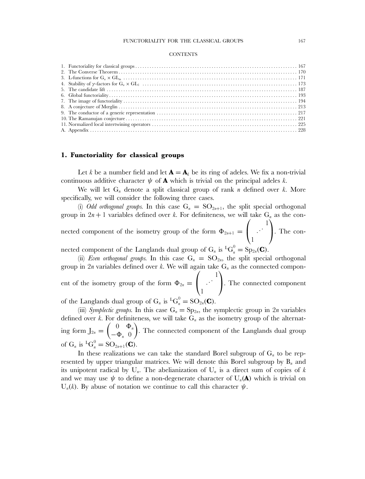#### **CONTENTS**

# **1. Functoriality for classical groups**

Let k be a number field and let  $\mathbf{A} = \mathbf{A}_k$  be its ring of adeles. We fix a non-trivial continuous additive character  $\psi$  of **A** which is trivial on the principal adeles k.

We will let  $G_n$  denote a split classical group of rank n defined over k. More specifically, we will consider the following three cases.

(i) *Odd orthogonal groups*. In this case  $G_n = SO_{2n+1}$ , the split special orthogonal group in  $2n + 1$  variables defined over k. For definiteness, we will take  $G_n$  as the connected component of the isometry group of the form  $\Phi_{2n+1} =$  $\sqrt{ }$  $\mathbf{I}$  $\begin{bmatrix} 1 \\ 1 \end{bmatrix}$ 1  $\lambda$ . The connected component of the Langlands dual group of  $G_n$  is  ${}^L G_n^0 = \mathrm{Sp}_{2n}(\mathbf{C})$ .

(ii) *Even orthogonal groups*. In this case  $G_n = SO_{2n}$ , the split special orthogonal group in  $2n$  variables defined over k. We will again take  $G_n$  as the connected component of the isometry group of the form  $\Phi_{2n} =$  $\sqrt{ }$  $\mathbf{I}$  $\begin{bmatrix} 1 \\ 1 \end{bmatrix}$ 1  $\lambda$ . The connected component

of the Langlands dual group of  $G_n$  is  ${}^L G_n^0 = SO_{2n}(\mathbf{C})$ .

(iii) *Symplectic groups*. In this case  $G_n = Sp_{2n}$ , the symplectic group in 2*n* variables defined over k. For definiteness, we will take  $G_n$  as the isometry group of the alternating form  $J_{2n} = \begin{pmatrix} 0 & \Phi_n \\ \Phi_n & 0 \end{pmatrix}$  $-\Phi_n$  0 . The connected component of the Langlands dual group of  $G_n$  is  ${}^L G_n^0 = SO_{2n+1}(\mathbf{C})$ .

In these realizations we can take the standard Borel subgroup of  $G<sub>n</sub>$  to be represented by upper triangular matrices. We will denote this Borel subgroup by  $B_n$  and its unipotent radical by  $U_n$ . The abelianization of  $U_n$  is a direct sum of copies of k and we may use  $\psi$  to define a non-degenerate character of  $U_n(\mathbf{A})$  which is trivial on  $U_n(k)$ . By abuse of notation we continue to call this character  $\psi$ .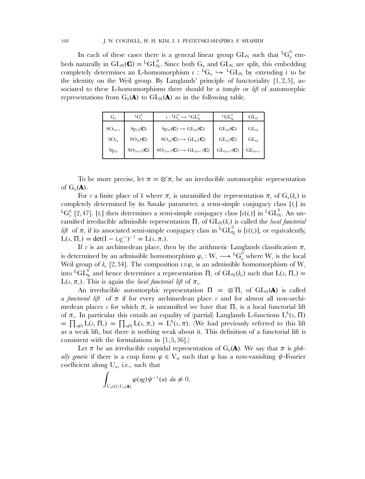In each of these cases there is a general linear group  $GL_N$  such that  ${}^LG_n^0$  embeds naturally in  $GL_N(\mathbf{C}) = {}^LGL_N^0$ . Since both  $G_n$  and  $GL_N$  are split, this embedding completely determines an L-homomorphism  $\iota : {}^L G_n \hookrightarrow {}^L GL_N$  by extending  $\iota$  to be the identity on the Weil group. By Langlands' principle of functoriality  $[1,2,5]$ , associated to these L-homomorphisms there should be a *transfer* or *lift* of automorphic representations from  $G_n(\mathbf{A})$  to  $GL_N(\mathbf{A})$  as in the following table.

| $G_n$       | ${^{\rm L} \rm G}^{\rm o}$     | $\iota: {}^L G^0_{\nu} \hookrightarrow {}^L GL^0_{\mathbb{N}}$                  | $^{L}GL_{N}^{N}$        | $GL_{N}$    |
|-------------|--------------------------------|---------------------------------------------------------------------------------|-------------------------|-------------|
| $SO_{2n+1}$ | $\mathrm{Sp}_{2n}(\mathbf{C})$ | $Sp_{2n}(C) \hookrightarrow GL_{2n}(C)$                                         | $GL_{2n}(\mathbf{C})$   | $GL_{2n}$   |
| $SO_{2n}$   | $\mathrm{SO}_{2n}(\mathbf{C})$ | $SO_{2n}(\mathbf{C}) \hookrightarrow GL_{2n}(\mathbf{C})$                       | $GL_{2n}(\mathbf{C})$   | $GL_{2n}$   |
| $Sp_{2n}$   | $SO_{2n+1}(\mathbf{C})$        | $\mathrm{SO}_{2n+1}(\mathbf{C}) \hookrightarrow \mathrm{GL}_{2n+1}(\mathbf{C})$ | $GL_{2n+1}(\mathbf{C})$ | $GL_{2n+1}$ |

To be more precise, let  $\pi = \otimes' \pi_v$  be an irreducible automorphic representation of  $G_n(A)$ .

For v a finite place of k where  $\pi_{\nu}$  is unramified the representation  $\pi_{\nu}$  of  $G_n(k_{\nu})$  is completely determined by its Satake parameter, a semi-simple conjugacy class  $[t_n]$  in <sup>L</sup>G<sub>n</sub><sup>0</sup> [2,47]. [t<sub>v</sub>] then determines a semi-simple conjugacy class [ $\iota$ (t<sub>v</sub>)] in <sup>L</sup>GL<sub>N</sub>. An unramified irreducible admissible representation  $\Pi_v$  of  $GL_N(k_v)$  is called the *local functorial lift* of  $\pi_v$  if its associated semi-simple conjugacy class in <sup>L</sup>GL<sub>N</sub><sup>0</sup> is [ $\iota(t_v)$ ], or equivalently,  $L(s, \Pi_v) = \det(I - t_v q_v^{-s})^{-1} = L(s, \pi_v).$ 

If v is an archimedean place, then by the arithmetic Langlands classification  $\pi$ <sub>v</sub> is determined by an admissible homomorphism  $\varphi_v : W_v \longrightarrow {}^{\mathrm{L}} \mathrm{G}_n^0$  where  $\mathrm{W}_v$  is the local Weil group of  $k_v$  [2,34]. The composition  $\iota \circ \varphi_v$  is an admissible homomorphism of W<sub>v</sub> into  ${}^LGL_N^0$  and hence determines a representation  $\Pi_v$  of  $GL_N(k_v)$  such that  $L(s, \Pi_v)$  =  $L(s, \pi_v)$ . This is again the *local functorial lift* of  $\pi_v$ .

An irreducible automorphic representation  $\Pi = \otimes' \Pi_v$  of  $GL_N(A)$  is called a *functorial lift* of  $\pi$  if for every archimedean place v and for almost all non-archimedean places v for which  $\pi_{\nu}$  is unramified we have that  $\Pi_{\nu}$  is a local functorial lift of  $\pi_v$ . In particular this entails an equality of (partial) Langlands L-functions  $L^S(s, \Pi)$  $=\prod_{v\notin S} L(s,\Pi_v) = \prod_{v\notin S} L(s,\pi_v) = L^S(s,\pi)$ . (We had previously referred to this lift as a weak lift, but there is nothing weak about it. This definition of a functorial lift is consistent with the formulations in [1,5,36].)

Let  $\pi$  be an irreducible cuspidal representation of  $G_n(\mathbf{A})$ . We say that  $\pi$  is *globally generic* if there is a cusp form  $\varphi \in V_\pi$  such that  $\varphi$  has a non-vanishing  $\psi$ -Fourier coefficient along  $U_n$ , i.e., such that

$$
\int_{\mathrm{U}_n(k)\backslash \mathrm{U}_n(\mathbf{A})}\varphi(ug)\psi^{-1}(u) \, du \neq 0.
$$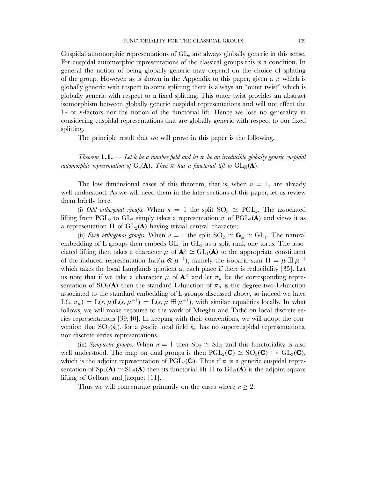Cuspidal automorphic representations of  $GL_n$  are always globally generic in this sense. For cuspidal automorphic representations of the classical groups this is a condition. In general the notion of being globally generic may depend on the choice of splitting of the group. However, as is shown in the Appendix to this paper, given a  $\pi$  which is globally generic with respect to some splitting there is always an "outer twist" which is globally generic with respect to a fixed splitting. This outer twist provides an abstract isomorphism between globally generic cuspidal representations and will not effect the L- or  $\varepsilon$ -factors nor the notion of the functorial lift. Hence we lose no generality in considering cuspidal representations that are globally generic with respect to our fixed splitting.

The principle result that we will prove in this paper is the following.

*Theorem* **1.1.** — Let k be a number field and let  $\pi$  be an irreducible globally generic cuspidal *automorphic representation of*  $G_n(\mathbf{A})$ *. Then*  $\pi$  *has a functorial lift to*  $GL_N(\mathbf{A})$ *.* 

The low dimensional cases of this theorem, that is, when  $n = 1$ , are already well understood. As we will need them in the later sections of this paper, let us review them briefly here.

(i) *Odd orthogonal groups*. When  $n = 1$  the split  $SO_3 \simeq PGL_2$ . The associated lifting from PGL<sub>2</sub> to GL<sub>2</sub> simply takes a representation  $\pi$  of PGL<sub>2</sub>(A) and views it as a representation  $\Pi$  of  $GL_2(\mathbf{A})$  having trivial central character.

(ii) *Even orthogonal groups.* When  $n = 1$  the split  $SO_2 \simeq G_m \simeq GL_1$ . The natural embedding of L-groups then embeds  $GL_1$  in  $GL_2$  as a split rank one torus. The associated lifting then takes a character  $\mu$  of  $\mathbf{A}^{\times} \simeq GL_1(\mathbf{A})$  to the appropriate constituent of the induced representation Ind( $\mu \otimes \mu^{-1}$ ), namely the isobaric sum  $\Pi = \mu \boxplus \mu^{-1}$ which takes the local Langlands quotient at each place if there is reducibility [35]. Let us note that if we take a character  $\mu$  of  $\mathbf{A}^{\times}$  and let  $\pi_{\mu}$  be the corresponding representation of  $SO_2(A)$  then the standard L-function of  $\pi_\mu$  is the degree two L-function associated to the standard embedding of L-groups discussed above, so indeed we have  $L(s, \pi_{\mu}) = L(s, \mu)L(s, \mu^{-1}) = L(s, \mu \boxplus \mu^{-1}),$  with similar equalities locally. In what follows, we will make recourse to the work of Mœglin and Tadić on local discrete series representations [39,40]. In keeping with their conventions, we will adopt the convention that  $SO_2(k_v)$ , for a p-adic local field  $k_v$ , has no supercuspidal representations, nor discrete series representations.

(iii) *Symplectic groups.* When  $n = 1$  then  $Sp_2 \simeq SL_2$  and this functoriality is also well understood. The map on dual groups is then  $PGL_2(\mathbf{C}) \simeq SO_3(\mathbf{C}) \hookrightarrow GL_3(\mathbf{C}),$ which is the adjoint representation of  $PGL_2(\mathbb{C})$ . Thus if  $\pi$  is a generic cuspidal representation of  $Sp_2(\mathbf{A}) \simeq SL_2(\mathbf{A})$  then its functorial lift  $\Pi$  to  $GL_3(\mathbf{A})$  is the adjoint square lifting of Gelbart and Jacquet [11].

Thus we will concentrate primarily on the cases where  $n \geq 2$ .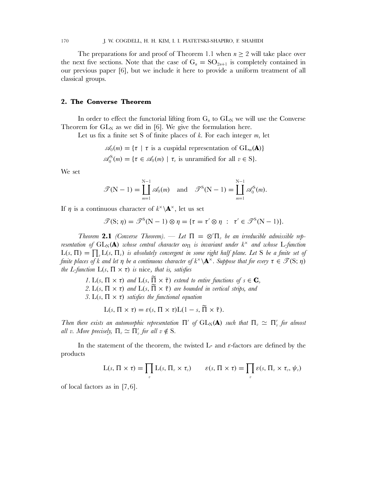The preparations for and proof of Theorem 1.1 when  $n \geq 2$  will take place over the next five sections. Note that the case of  $G_n = SO_{2n+1}$  is completely contained in our previous paper [6], but we include it here to provide a uniform treatment of all classical groups.

# **2. The Converse Theorem**

In order to effect the functorial lifting from  $G_n$  to  $GL_N$  we will use the Converse Theorem for  $GL_N$  as we did in [6]. We give the formulation here.

Let us fix a finite set S of finite places of  $k$ . For each integer  $m$ , let

$$
\mathscr{A}_0(m) = \{ \tau \mid \tau \text{ is a cuspidal representation of } GL_m(\mathbf{A}) \}
$$

$$
\mathscr{A}_0^S(m) = \{ \tau \in \mathscr{A}_0(m) \mid \tau_v \text{ is unramified for all } v \in S \}.
$$

We set

$$
\mathscr{T}(\mathbf{N}-1)=\coprod_{m=1}^{\mathbf{N}-1}\mathscr{A}_0(m) \text{ and } \mathscr{T}^{\mathbf{S}}(\mathbf{N}-1)=\coprod_{m=1}^{\mathbf{N}-1}\mathscr{A}_0^{\mathbf{S}}(m).
$$

If  $\eta$  is a continuous character of  $k^{\times} \backslash \mathbf{A}^{\times}$ , let us set

 $\mathscr{T}(\mathbf{S}; \eta) = \mathscr{T}^{\mathbf{S}}(\mathbf{N} - \mathbf{1}) \otimes \eta = {\tau = \tau' \otimes \eta : \tau' \in \mathscr{T}^{\mathbf{S}}(\mathbf{N} - \mathbf{1})}.$ 

*Theorem* 2.1 *(Converse Theorem).* — *Let*  $\Pi = \otimes' \Pi_v$  *be an irreducible admissible representation of*  $GL_N(\bf{A})$  *whose central character*  $\omega_{\Pi}$  *is invariant under*  $k^{\times}$  *and whose* L-function  $L(s, \Pi) = \prod_{v} L(s, \Pi_{v})$  is absolutely convergent in some right half plane. Let S be a finite set of *finite places of* k and let  $\eta$  be a continuous character of  $k^{\times} \backslash \mathbf{A}^{\times}$ . Suppose that for every  $\tau \in \mathcal{T}(\mathbf{S}; \eta)$ *the L-function*  $L(s, \Pi \times \tau)$  *is* nice, *that is, satisfies* 

- *1.* L(s,  $\Pi \times \tau$ ) and L(s,  $\widetilde{\Pi} \times \widetilde{\tau}$ ) extend to entire functions of  $s \in \mathbb{C}$ , 2. L(s,  $\Pi \times \tau$ ) and L(s,  $\tilde{\Pi} \times \tilde{\tau}$ ) are bounded in vertical strips, and
- *3.*  $L(s, \Pi \times \tau)$  *satisfies the functional equation*

$$
L(s, \Pi \times \tau) = \varepsilon(s, \Pi \times \tau)L(1-s, \tilde{\Pi} \times \tilde{\tau}).
$$

*Then there exists an automorphic representation*  $\Pi'$  of  $GL_N(\bf A)$  *such that*  $\Pi_v \simeq \Pi'_v$  *for almost all* v. More precisely,  $\Pi_v \simeq \Pi'_v$  for all  $v \notin S$ .

In the statement of the theorem, the twisted L- and  $\varepsilon$ -factors are defined by the products

$$
L(s, \Pi \times \tau) = \prod_{v} L(s, \Pi_{v} \times \tau_{v}) \qquad \varepsilon(s, \Pi \times \tau) = \prod_{v} \varepsilon(s, \Pi_{v} \times \tau_{v}, \psi_{v})
$$

of local factors as in [7,6].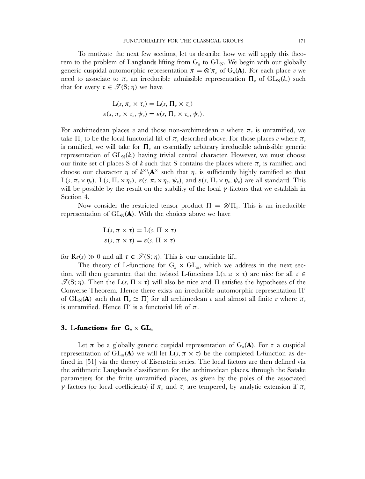To motivate the next few sections, let us describe how we will apply this theorem to the problem of Langlands lifting from  $G_n$  to  $GL_N$ . We begin with our globally generic cuspidal automorphic representation  $\pi = \otimes' \pi_v$  of  $G_n(\mathbf{A})$ . For each place v we need to associate to  $\pi_{v}$  an irreducible admissible representation  $\Pi_{v}$  of  $GL_{N}(k_{v})$  such that for every  $\tau \in \mathcal{T}(S; \eta)$  we have

$$
L(s, \pi_v \times \tau_v) = L(s, \Pi_v \times \tau_v)
$$
  

$$
\varepsilon(s, \pi_v \times \tau_v, \psi_v) = \varepsilon(s, \Pi_v \times \tau_v, \psi_v).
$$

For archimedean places v and those non-archimedean v where  $\pi$ <sub>v</sub> is unramified, we take  $\Pi_{\nu}$  to be the local functorial lift of  $\pi_{\nu}$  described above. For those places  $\nu$  where  $\pi_{\nu}$ is ramified, we will take for  $\Pi_{v}$  an essentially arbitrary irreducible admissible generic representation of  $GL_N(k_n)$  having trivial central character. However, we must choose our finite set of places S of k such that S contains the places where  $\pi_{v}$  is ramified and choose our character  $\eta$  of  $k^{\times} \backslash A^{\times}$  such that  $\eta_{\nu}$  is sufficiently highly ramified so that  $L(s, \pi_v \times \eta_v)$ ,  $L(s, \Pi_v \times \eta_v)$ ,  $\varepsilon(s, \pi_v \times \eta_v, \psi_v)$ , and  $\varepsilon(s, \Pi_v \times \eta_v, \psi_v)$  are all standard. This will be possible by the result on the stability of the local  $\gamma$ -factors that we establish in Section 4.

Now consider the restricted tensor product  $\Pi = \mathcal{D}' \Pi_v$ . This is an irreducible representation of  $GL_N(\bf A)$ . With the choices above we have

$$
L(s, \pi \times \tau) = L(s, \Pi \times \tau)
$$

$$
\varepsilon(s, \pi \times \tau) = \varepsilon(s, \Pi \times \tau)
$$

for  $\text{Re}(s) \gg 0$  and all  $\tau \in \mathcal{T}(\mathbf{S}; \eta)$ . This is our candidate lift.

The theory of L-functions for  $G_n \times GL_m$ , which we address in the next section, will then guarantee that the twisted L-functions  $L(s, \pi \times \tau)$  are nice for all  $\tau \in$  $\mathcal{T}(S; \eta)$ . Then the L(s, Π × τ) will also be nice and Π satisfies the hypotheses of the Converse Theorem. Hence there exists an irreducible automorphic representation Π of  $GL_N(A)$  such that  $\Pi_v \simeq \Pi'_v$  for all archimedean v and almost all finite v where  $\pi_v$ is unramified. Hence  $\Pi'$  is a functorial lift of  $\pi$ .

# **3.** L-functions for  $G_n \times GL_m$

Let  $\pi$  be a globally generic cuspidal representation of  $G_n(\mathbf{A})$ . For  $\tau$  a cuspidal representation of  $GL_m(\mathbf{A})$  we will let  $L(s, \pi \times \tau)$  be the completed L-function as defined in [51] via the theory of Eisenstein series. The local factors are then defined via the arithmetic Langlands classification for the archimedean places, through the Satake parameters for the finite unramified places, as given by the poles of the associated γ-factors (or local coefficients) if  $\pi$  and  $\tau$  are tempered, by analytic extension if  $\pi$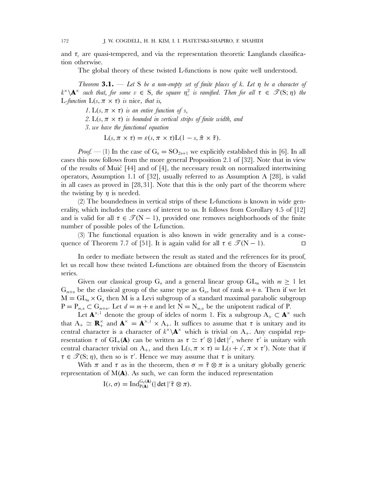and  $\tau_n$  are quasi-tempered, and via the representation theoretic Langlands classification otherwise.

The global theory of these twisted L-functions is now quite well understood.

*Theorem* **3.1.** — *Let* S *be a non-empty set of finite places of* k*. Let* η *be a character of*  $k^{\times}\backslash\mathbf{A}^{\times}$  *such that, for some*  $v \in S$ *, the square*  $\eta_v^2$  *is ramified. Then for all*  $\tau \in \mathscr{T}(\mathrm{S};\eta)$  *the* L-function  $L(s, \pi \times \tau)$  is nice, that is,

*1.*  $L(s, \pi \times \tau)$  *is an entire function of s,* 

2.  $L(s, \pi \times \tau)$  *is bounded in vertical strips of finite width, and* 

*3. we have the functional equation*

 $L(s, \pi \times \tau) = \varepsilon(s, \pi \times \tau)L(1 - s, \tilde{\pi} \times \tilde{\tau}).$ 

*Proof.* — (1) In the case of  $G_n = SO_{2n+1}$  we explicitly established this in [6]. In all cases this now follows from the more general Proposition 2.1 of [32]. Note that in view of the results of Mui´c [44] and of [4], the necessary result on normalized intertwining operators, Assumption 1.1 of [32], usually referred to as Assumption A [28], is valid in all cases as proved in [28,31]. Note that this is the only part of the theorem where the twisting by  $\eta$  is needed.

(2) The boundedness in vertical strips of these L-functions is known in wide generality, which includes the cases of interest to us. It follows from Corollary 4.5 of [12] and is valid for all  $\tau \in \mathcal{T}(N-1)$ , provided one removes neighborhoods of the finite number of possible poles of the L-function.

(3) The functional equation is also known in wide generality and is a consequence of Theorem 7.7 of [51]. It is again valid for all  $\tau \in \mathcal{T}(N-1)$ .  $\Box$ 

In order to mediate between the result as stated and the references for its proof, let us recall how these twisted L-functions are obtained from the theory of Eisenstein series.

Given our classical group G<sub>n</sub> and a general linear group GL<sub>m</sub> with  $m \geq 1$  let  $G_{m+n}$  be the classical group of the same type as  $G_n$ , but of rank  $m + n$ . Then if we let  $M = GL_m \times G_n$  then M is a Levi subgroup of a standard maximal parabolic subgroup  $P = P_{m,n} \subset G_{m+n}$ . Let  $d = m+n$  and let  $N = N_{m,n}$  be the unipotent radical of P.

Let  $\mathbf{A}^{\times,1}$  denote the group of ideles of norm 1. Fix a subgroup  $A_+ \subset \mathbf{A}^{\times}$  such that  $A_+ \simeq \mathbf{R}_+^{\times}$  and  $\mathbf{A}^{\times} = \mathbf{A}^{\times,1} \times A_+$ . It suffices to assume that  $\tau$  is unitary and its central character is a character of  $k^{\times} \backslash \mathbf{A}^{\times}$  which is trivial on A<sub>+</sub>. Any cuspidal representation  $\tau$  of  $GL_r(\mathbf{A})$  can be written as  $\tau \simeq \tau' \otimes |\det|^{s'}$ , where  $\tau'$  is unitary with central character trivial on A<sub>+</sub>, and then  $L(s, \pi \times \tau) = L(s + s', \pi \times \tau')$ . Note that if  $\tau \in \mathcal{T}(S; \eta)$ , then so is  $\tau'$ . Hence we may assume that  $\tau$  is unitary.

With  $\pi$  and  $\tau$  as in the theorem, then  $\sigma = \tilde{\tau} \otimes \pi$  is a unitary globally generic representation of  $M(A)$ . As such, we can form the induced representation

 $I(s, \sigma) = \text{Ind}_{P(A)}^{G_d(A)}(|\det|^{s} \tilde{\tau} \otimes \pi).$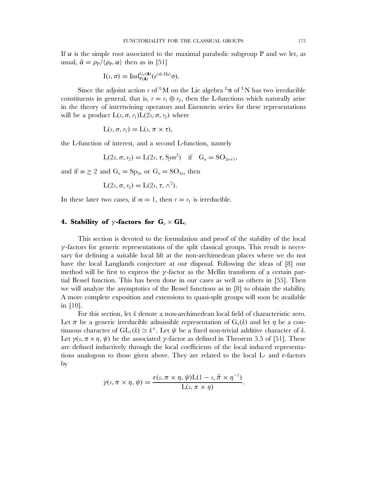If  $\alpha$  is the simple root associated to the maximal parabolic subgroup P and we let, as usual,  $\tilde{\alpha} = \rho_P / \langle \rho_P, \alpha \rangle$  then as in [51]

$$
I(s,\sigma)=\mathrm{Ind}_{P(\mathbf{A})}^{G_d(\mathbf{A})}(e^{\langle s\tilde{\alpha},H_P\rangle}\sigma).
$$

Since the adjoint action  $r$  of <sup>L</sup>M on the Lie algebra <sup>L</sup>n of <sup>L</sup>N has two irreducible constituents in general, that is,  $r = r_1 \oplus r_2$ , then the L-functions which naturally arise in the theory of intertwining operators and Eisenstein series for these representations will be a product  $L(s, \sigma, r_1) L(2s, \sigma, r_2)$  where

$$
L(s, \sigma, r_1) = L(s, \pi \times \tau),
$$

the L-function of interest, and a second L-function, namely

$$
L(2s, \sigma, r_2) = L(2s, \tau, \text{Sym}^2) \quad \text{if} \quad G_n = SO_{2n+1},
$$

and if  $m \geq 2$  and  $G_n = Sp_{2n}$  or  $G_n = SO_{2n}$ , then

$$
L(2s, \sigma, r_2) = L(2s, \tau, \wedge^2).
$$

In these later two cases, if  $m = 1$ , then  $r = r_1$  is irreducible.

# **4. Stability of**  $\gamma$ **-factors for**  $G_n \times GL_1$

This section is devoted to the formulation and proof of the stability of the local  $\gamma$ -factors for generic representations of the split classical groups. This result is necessary for defining a suitable local lift at the non-archimedean places where we do not have the local Langlands conjecture at our disposal. Following the ideas of [8] our method will be first to express the  $\gamma$ -factor as the Mellin transform of a certain partial Bessel function. This has been done in our cases as well as others in [55]. Then we will analyze the asymptotics of the Bessel functions as in [8] to obtain the stability. A more complete exposition and extensions to quasi-split groups will soon be available in [10].

For this section, let k denote a non-archimedean local field of characteristic zero. Let  $\pi$  be a generic irreducible admissible representation of  $G_n(k)$  and let  $\eta$  be a continuous character of  $GL_1(k) \simeq k^{\times}$ . Let  $\psi$  be a fixed non-trivial additive character of k. Let  $\gamma(s, \pi \times \eta, \psi)$  be the associated  $\gamma$ -factor as defined in Theorem 3.5 of [51]. These are defined inductively through the local coefficients of the local induced representations analogous to those given above. They are related to the local L- and  $\varepsilon$ -factors by

$$
\gamma(s,\pi \times \eta,\psi) = \frac{\varepsilon(s,\pi \times \eta,\psi)\mathcal{L}(1-s,\tilde{\pi} \times \eta^{-1})}{\mathcal{L}(s,\pi \times \eta)}.
$$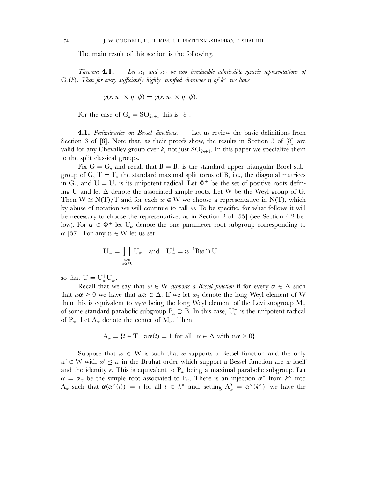The main result of this section is the following.

*Theorem* **4.1.** — Let  $\pi_1$  and  $\pi_2$  be two irreducible admissible generic representations of  $G_n(k)$ . Then for every sufficiently highly ramified character  $\eta$  of  $k^{\times}$  we have

$$
\gamma(s,\pi_1\times\eta,\psi)=\gamma(s,\pi_2\times\eta,\psi).
$$

For the case of  $G_n = SO_{2n+1}$  this is [8].

**4.1.** *Preliminaries on Bessel functions.* — Let us review the basic definitions from Section 3 of [8]. Note that, as their proofs show, the results in Section 3 of [8] are valid for any Chevalley group over k, not just  $SO_{2n+1}$ . In this paper we specialize them to the split classical groups.

Fix  $G = G_n$  and recall that  $B = B_n$  is the standard upper triangular Borel subgroup of G,  $T = T_n$  the standard maximal split torus of B, i.e., the diagonal matrices in  $G_n$ , and  $U = U_n$  is its unipotent radical. Let  $\Phi^+$  be the set of positive roots defining U and let  $\Delta$  denote the associated simple roots. Let W be the Weyl group of G. Then  $W \simeq N(T)/T$  and for each  $w \in W$  we choose a representative in  $N(T)$ , which by abuse of notation we will continue to call  $w$ . To be specific, for what follows it will be necessary to choose the representatives as in Section 2 of [55] (see Section 4.2 below). For  $\alpha \in \Phi^+$  let U<sub>α</sub> denote the one parameter root subgroup corresponding to  $\alpha$  [57]. For any  $w \in W$  let us set

$$
U_w^- = \coprod_{\substack{\alpha > 0 \\ u\alpha < 0}} U_\alpha \quad \text{and} \quad U_w^+ = w^{-1} B w \cap U
$$

so that  $U = U_w^+ U_w^-$ .

Recall that we say that  $w \in W$  *supports a Bessel function* if for every  $\alpha \in \Delta$  such that  $w\alpha > 0$  we have that  $w\alpha \in \Delta$ . If we let  $w_0$  denote the long Weyl element of W then this is equivalent to  $w_0w$  being the long Weyl element of the Levi subgroup  $M_w$ of some standard parabolic subgroup  $P_w \supset B$ . In this case,  $U_w^-$  is the unipotent radical of  $P_w$ . Let  $A_w$  denote the center of  $M_w$ . Then

$$
A_w = \{ t \in T \mid w\alpha(t) = 1 \text{ for all } \alpha \in \Delta \text{ with } w\alpha > 0 \}.
$$

Suppose that  $w \in W$  is such that w supports a Bessel function and the only  $w' \in W$  with  $w' \leq w$  in the Bruhat order which support a Bessel function are w itself and the identity e. This is equivalent to  $P_w$  being a maximal parabolic subgroup. Let  $\alpha = \alpha_w$  be the simple root associated to P<sub>w</sub>. There is an injection  $\alpha^{\vee}$  from  $k^{\times}$  into  $A_w$  such that  $\alpha(\alpha^{\vee}(t)) = t$  for all  $t \in k^{\times}$  and, setting  $A_w^0 = \alpha^{\vee}(k^{\times})$ , we have the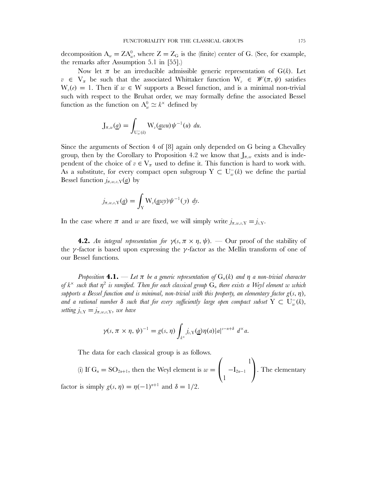decomposition  $A_w = Z A_w^0$ , where  $Z = Z_G$  is the (finite) center of G. (See, for example, the remarks after Assumption 5.1 in [55].)

Now let  $\pi$  be an irreducible admissible generic representation of  $G(k)$ . Let  $v \in V_{\pi}$  be such that the associated Whittaker function  $W_{v} \in \mathscr{W}(\pi,\psi)$  satisfies  $W_{\nu}(e) = 1$ . Then if  $w \in W$  supports a Bessel function, and is a minimal non-trivial such with respect to the Bruhat order, we may formally define the associated Bessel function as the function on  $A_w^0 \simeq k^{\times}$  defined by

$$
\mathrm{J}_{\pi,w}(\underline{a})=\int_{\mathrm{U}_{w}^{-}(k)}\mathrm{W}_{v}(\underline{a}wu)\psi^{-1}(u) \ du.
$$

Since the arguments of Section 4 of [8] again only depended on G being a Chevalley group, then by the Corollary to Proposition 4.2 we know that  $J_{\pi,w}$  exists and is independent of the choice of  $v \in V_\pi$  used to define it. This function is hard to work with. As a substitute, for every compact open subgroup  $Y \subset U_w^-(k)$  we define the partial Bessel function  $j_{\pi,w,v,Y}(\underline{a})$  by

$$
j_{\pi,w,v,\mathrm{Y}}(\underline{a})=\int_{\mathrm{Y}}\mathrm{W}_{v}(\underline{a}w\mathrm{y})\psi^{-1}(\mathrm{y})\,d\mathrm{y}.
$$

In the case where  $\pi$  and w are fixed, we will simply write  $j_{\pi,w,v} = j_{v}$ .

**4.2.** An integral representation for  $\gamma(s, \pi \times \eta, \psi)$ . — Our proof of the stability of the  $\gamma$ -factor is based upon expressing the  $\gamma$ -factor as the Mellin transform of one of our Bessel functions.

*Proposition* **4.1.** — Let  $\pi$  be a generic representation of  $G_n(k)$  and  $\eta$  a non-trivial character *of*  $k^{\times}$  *such that*  $\eta^2$  *is ramified. Then for each classical group*  $G_n$  *there exists a Weyl element* w *which supports a Bessel function and is minimal, non-trivial with this property, an elementary factor*  $g(s, \eta)$ *,* and a rational number  $\delta$  such that for every sufficiently large open compact subset  $Y \subset U_w^-(k)$ , *setting*  $j_{v,Y} = j_{\pi,w,v,Y}$ *, we have* 

$$
\gamma(s,\pi\times\eta,\psi)^{-1}=g(s,\eta)\int_{k^{\times}}j_{v,Y}(\underline{a})\eta(a)|a|^{s-n+\delta} d^{\times}a.
$$

The data for each classical group is as follows.

(i) If  $G_n = SO_{2n+1}$ , then the Weyl element is  $w =$  $\sqrt{ }$  $\mathbf{I}$ 1  $-I_{2n-1}$ 1  $\setminus$ . The elementary factor is simply  $g(s, \eta) = \eta(-1)^{n+1}$  and  $\delta = 1/2$ .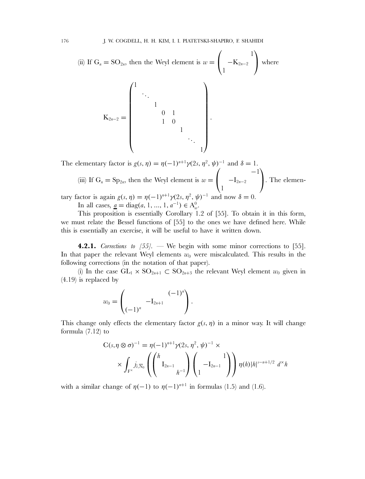(ii) If  $G_n = SO_{2n}$ , then the Weyl element is  $w =$  $\sqrt{ }$  $\mathbf{I}$ 1  $-K_{2n-2}$ 1  $\lambda$ where  $K_{2n-2} =$  $\sqrt{ }$  $\mathbf{I}$  $\parallel$  $\mathsf{I}$  $\overline{\mathcal{L}}$ 1 ... 1 0 1 1 0 1 ... 1  $\lambda$  $\mathbf{I}$  $\frac{1}{2}$  $\perp$  $\Big\}$ .

The elementary factor is  $g(s, \eta) = \eta(-1)^{n+1}\gamma(2s, \eta^2, \psi)^{-1}$  and  $\delta = 1$ . (iii) If  $G_n = Sp_{2n}$ , then the Weyl element is  $w =$  $\sqrt{ }$  $\mathbf{I}$ −1  $-I_{2n-2}$ 1  $\lambda$ . The elementary factor is again  $g(s, \eta) = \eta(-1)^{n+1} \gamma(2s, \eta^2, \psi)^{-1}$  and now  $\delta = 0$ . In all cases,  $\underline{a} = \text{diag}(a, 1, ..., 1, a^{-1}) \in A_w^0$ .

This proposition is essentially Corollary 1.2 of [55]. To obtain it in this form, we must relate the Bessel functions of [55] to the ones we have defined here. While this is essentially an exercise, it will be useful to have it written down.

**4.2.1.** *Corrections to [55].* — We begin with some minor corrections to [55]. In that paper the relevant Weyl elements  $w_0$  were miscalculated. This results in the following corrections (in the notation of that paper).

(i) In the case  $GL_1 \times SO_{2n+1} \subset SO_{2n+3}$  the relevant Weyl element  $w_0$  given in (4.19) is replaced by

$$
w_0 = \begin{pmatrix} (-1)^n \\ (-1)^n \end{pmatrix}.
$$

This change only effects the elementary factor  $g(s, \eta)$  in a minor way. It will change formula  $(7.12)$  to

$$
C(s, \eta \otimes \sigma)^{-1} = \eta(-1)^{n+1} \gamma(2s, \eta^2, \psi)^{-1} \times \times \int_{F^{\times}} j_{\tilde{v}, \overline{N}_0} \left( \begin{pmatrix} h & & & \\ & I_{2n-1} & \\ & & h^{-1} \end{pmatrix} \begin{pmatrix} 1 \\ -I_{2n-1} \end{pmatrix} \right) \eta(h) |h|^{s-n+1/2} d^{\times} h
$$

with a similar change of  $\eta(-1)$  to  $\eta(-1)^{n+1}$  in formulas (1.5) and (1.6).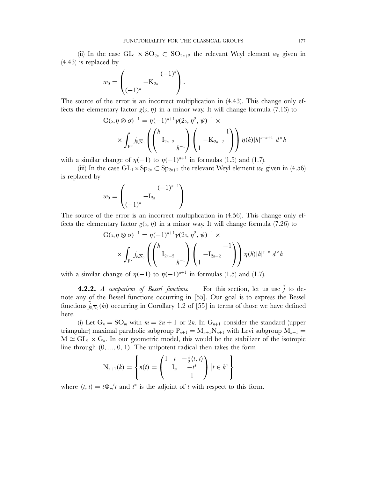(ii) In the case  $GL_1 \times SO_{2n} \subset SO_{2n+2}$  the relevant Weyl element  $w_0$  given in (4.43) is replaced by

$$
w_0 = \begin{pmatrix} (-1)^n \\ (-1)^n \end{pmatrix}.
$$

The source of the error is an incorrect multiplication in (4.43). This change only effects the elementary factor  $g(s, \eta)$  in a minor way. It will change formula (7.13) to

$$
C(s, \eta \otimes \sigma)^{-1} = \eta(-1)^{n+1} \gamma(2s, \eta^2, \psi)^{-1} \times \times \int_{F^{\times}} j_{\tilde{v}, \overline{N}_0} \left( \binom{h}{I_{2n-2}}_{h^{-1}} \right) \binom{1}{1} \eta(h) |h|^{s-n+1} d^{\times} h
$$

with a similar change of  $\eta(-1)$  to  $\eta(-1)^{n+1}$  in formulas (1.5) and (1.7).

(iii) In the case  $GL_1 \times Sp_{2n} \subset Sp_{2n+2}$  the relevant Weyl element  $w_0$  given in (4.56) is replaced by

$$
w_0 = \begin{pmatrix} (-1)^{n+1} \\ -I_{2n} \end{pmatrix}.
$$

The source of the error is an incorrect multiplication in (4.56). This change only effects the elementary factor  $g(s, \eta)$  in a minor way. It will change formula (7.26) to

$$
C(s, \eta \otimes \sigma)^{-1} = \eta(-1)^{n+1} \gamma(2s, \eta^2, \psi)^{-1} \times \times \int_{F^{\times}} j_{\tilde{v}, \overline{N}_0} \left( \binom{h}{I_{2n-2}}_{h^{-1}} \right) \binom{-I_{2n-2}}{I} \eta(h) |h|^{s-n} d^{\times}h
$$

with a similar change of  $\eta(-1)$  to  $\eta(-1)^{n+1}$  in formulas (1.5) and (1.7).

**4.2.2.** *A comparison of Bessel functions.* — For this section, let us use  $\tilde{j}$  to denote any of the Bessel functions occurring in [55]. Our goal is to express the Bessel functions  $\tilde{j}_{\tilde{v},\bar{N}_0}(\dot{m})$  occurring in Corollary 1.2 of [55] in terms of those we have defined here.

(i) Let  $G_n = SO_m$  with  $m = 2n + 1$  or  $2n$ . In  $G_{n+1}$  consider the standard (upper triangular) maximal parabolic subgroup  $P_{n+1} = M_{n+1}N_{n+1}$  with Levi subgroup  $M_{n+1}$  $M \simeq GL_1 \times G_n$ . In our geometric model, this would be the stabilizer of the isotropic line through  $(0, ..., 0, 1)$ . The unipotent radical then takes the form

$$
N_{n+1}(k) = \left\{ n(t) = \begin{pmatrix} 1 & t & -\frac{1}{2}\langle t, t \rangle \\ I_m & -t^* \\ 1 & 1 \end{pmatrix} \big| t \in k^m \right\}
$$

where  $\langle t, t \rangle = t \Phi_m^{\dagger} t$  and  $t^*$  is the adjoint of t with respect to this form.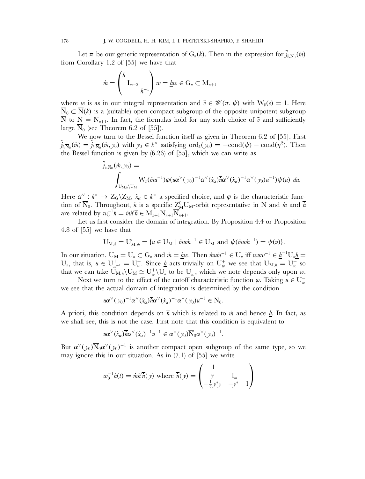Let  $\pi$  be our generic representation of  $G_n(k)$ . Then in the expression for  $\tilde{j}_{\tilde{v},\overline{N}_0}(m)$ from Corollary 1.2 of [55] we have that

$$
\dot{m} = \left(\begin{array}{c} h \\ I_{m-2} \\ h^{-1} \end{array}\right) w = \underline{h}w \in G_n \subset M_{n+1}
$$

where w is as in our integral representation and  $\tilde{v} \in \mathcal{W}(\pi, \psi)$  with  $W_{\tilde{v}}(e) = 1$ . Here  $\overline{N}_0 \subset \overline{N}(k)$  is a (suitable) open compact subgroup of the opposite unipotent subgroup  $\overline{N}$  to  $N = N_{n+1}$ . In fact, the formulas hold for any such choice of  $\tilde{v}$  and sufficiently large  $\overline{N}_0$  (see Theorem 6.2 of [55]).

We now turn to the Bessel function itself as given in Theorem 6.2 of [55]. First  $\tilde{j}_{\tilde{v},\overline{N}_0}(\dot{m}) = \tilde{j}_{\tilde{v},\overline{N}_0}(\dot{m},y_0)$  with  $y_0 \in k^\times$  satisfying  $\text{ord}_k(y_0) = -\text{cond}(\psi) - \text{cond}(\eta^2)$ . Then the Bessel function is given by (6.26) of [55], which we can write as

$$
\tilde{j}_{\tilde{v},\overline{N}_0}(\dot{m},y_0) = \int_{U_{M,\dot{n}}\setminus U_M} W_{\tilde{v}}(\dot{m}u^{-1})\varphi(u\alpha^{\vee}(y_0)^{-1}\alpha^{\vee}(\dot{x}_{\alpha})\overline{\dot{n}}\alpha^{\vee}(\dot{x}_{\alpha})^{-1}\alpha^{\vee}(y_0)u^{-1})\psi(u) du.
$$

Here  $\alpha^{\vee}: k^{\times} \to Z_{\mathbb{G}} \backslash Z_M$ ,  $\dot{x}_{\alpha} \in k^{\times}$  a specified choice, and  $\varphi$  is the characteristic function of  $\overline{N}_0$ . Throughout,  $\dot{n}$  is a specific  $Z_M^0 U_M$ -orbit representative in N and  $\dot{m}$  and  $\dot{n}$ are related by  $w_0^{-1} \dot{n} = \dot{m} \dot{n} \overline{\dot{n}} \in M_{n+1} N_{n+1} \overline{N}_{n+1}$ .

Let us first consider the domain of integration. By Proposition 4.4 or Proposition 4.8 of [55] we have that

$$
U_{M, n} = U'_{M, m} = \{ u \in U_M \mid \text{in } T^{-1} \in U_M \text{ and } \psi(\text{in } T^{-1}) = \psi(u) \}.
$$

In our situation,  $U_M = U_n \subset G_n$  and  $\dot{m} = \underline{h}w$ . Then  $\dot{m}w\dot{m}^{-1} \in U_n$  iff  $wuw^{-1} \in \underline{h}^{-1}U_n\underline{h} =$ U<sub>n</sub>, that is,  $u \in U_{w^{-1}}^+ = U_w^+$ . Since <u>h</u> acts trivially on  $U_w^+$  we see that  $U_{M,n} = U_w^+$  so that we can take  $\tilde{U}_{M,n} \backslash U_M \simeq U_w^+ \backslash U_n$  to be  $U_w^-$ , which we note depends only upon w.

Next we turn to the effect of the cutoff characteristic function  $\varphi$ . Taking  $u \in U_w^$ we see that the actual domain of integration is determined by the condition

$$
u\alpha^{\vee}(y_0)^{-1}\alpha^{\vee}(x_{\alpha})\overline{h}\alpha^{\vee}(x_{\alpha})^{-1}\alpha^{\vee}(y_0)u^{-1}\in\overline{\mathbb{N}}_0.
$$

A priori, this condition depends on  $\overline{n}$  which is related to  $\dot{m}$  and hence h. In fact, as we shall see, this is not the case. First note that this condition is equivalent to

$$
u\alpha^{\vee}(\dot{x}_{\alpha})\overline{h}\alpha^{\vee}(\dot{x}_{\alpha})^{-1}u^{-1}\in \alpha^{\vee}(y_0)\overline{\mathrm{N}}_0\alpha^{\vee}(y_0)^{-1}.
$$

But  $\alpha^{\vee}(y_0) \overline{N}_0 \alpha^{\vee}(y_0)^{-1}$  is another compact open subgroup of the same type, so we may ignore this in our situation. As in (7.1) of [55] we write

$$
w_0^{-1}\dot{n}(t) = \dot{m}\dot{n}(\dot{n}(y)) \text{ where } \overline{\dot{n}}(y) = \begin{pmatrix} 1 & & \\ y & \mathbf{I}_m & \\ -\frac{1}{2}y^*y & -y^* & 1 \end{pmatrix}
$$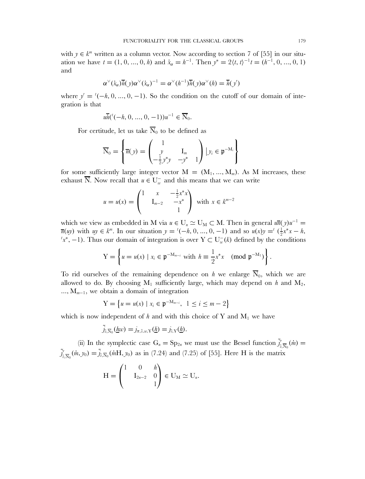with  $y \in k^m$  written as a column vector. Now according to section 7 of [55] in our situation we have  $t = (1, 0, ..., 0, h)$  and  $\dot{x}_{\alpha} = h^{-1}$ . Then  $y^* = 2\langle t, t \rangle^{-1} t = (h^{-1}, 0, ..., 0, 1)$ and

$$
\alpha^{\vee}(\dot{x}_{\alpha})\overline{\dot{n}}(\mathbf{y})\alpha^{\vee}(\dot{x}_{\alpha})^{-1}=\alpha^{\vee}(h^{-1})\overline{\dot{n}}(\mathbf{y})\alpha^{\vee}(h)=\overline{\dot{n}}(\mathbf{y}')
$$

where  $y' = (-h, 0, ..., 0, -1)$ . So the condition on the cutoff of our domain of integration is that

$$
u\overline{h}(^{t}(-h, 0, ..., 0, -1))u^{-1} \in \overline{\mathcal{N}}_0.
$$

For certitude, let us take  $\overline{N}_0$  to be defined as

$$
\overline{\mathbf{N}}_0 = \left\{ \overline{n}(y) = \begin{pmatrix} 1 & & \\ y & \mathbf{I}_m & \\ -\frac{1}{2}y^*y & -y^* & 1 \end{pmatrix} \middle| y_i \in \mathfrak{p}^{-\mathbf{M}_i} \right\}
$$

for some sufficiently large integer vector  $M = (M_1, ..., M_m)$ . As M increases, these exhaust  $\overline{N}$ . Now recall that  $u \in U_w^-$  and this means that we can write

$$
u = u(x) = \begin{pmatrix} 1 & x & -\frac{1}{2}x^*x \\ & I_{m-2} & -x^* \\ & & 1 \end{pmatrix} \text{ with } x \in k^{m-2}
$$

which we view as embedded in M via  $u \in U_n \simeq U_M \subset M$ . Then in general  $u\overline{n}(y)u^{-1} =$  $\overline{n}(uy)$  with  $uy \in k^m$ . In our situation  $y = {}^t(-h, 0, ..., 0, -1)$  and so  $u(x)y = {}^t(\frac{1}{2}x^*x - h,$ <br> $u(x,y) = u(x, y)$  Thus our domain of integration is over  $Y \subset \mathbb{H}^{-1}(k)$  defined by the conditions  $x^*$ , -1). Thus our domain of integration is over  $Y \subset U_w^-(k)$  defined by the conditions

$$
Y = \left\{ u = u(x) \mid x_i \in \mathfrak{p}^{-M_{m-i}} \text{ with } h \equiv \frac{1}{2} x^* x \pmod{\mathfrak{p}^{-M_1}} \right\}.
$$

To rid ourselves of the remaining dependence on h we enlarge  $\overline{N}_0$ , which we are allowed to do. By choosing  $M_1$  sufficiently large, which may depend on h and  $M_2$ ,  $..., M_{m-1}$ , we obtain a domain of integration

$$
Y = \left\{ u = u(x) \mid x_i \in \mathfrak{p}^{-M_{m-i}}, \ 1 \le i \le m-2 \right\}
$$

which is now independent of h and with this choice of Y and  $M_1$  we have

$$
\tilde{j}_{\tilde{v},\overline{N}_0}(\underline{h}w) = j_{\pi,\tilde{v},w,\overline{Y}}(\underline{h}) = j_{\tilde{v},\overline{Y}}(\underline{h}).
$$

(ii) In the symplectic case  $G_n = Sp_{2n}$  we must use the Bessel function  $\tilde{J}_n^{\prime}$  $v_{\tilde v,\overline N_0}(\dot m)=$  $\tilde{j}'_{\tilde{z}}$  $v'_{\tilde{x},\overline{N}_0}(\dot{m},y_0) = \tilde{j}_{\tilde{x},\overline{N}_0}(\dot{m}H, y_0)$  as in (7.24) and (7.25) of [55]. Here H is the matrix

$$
H = \begin{pmatrix} 1 & 0 & h \\ & I_{2n-2} & 0 \\ & & 1 \end{pmatrix} \in U_M \simeq U_n.
$$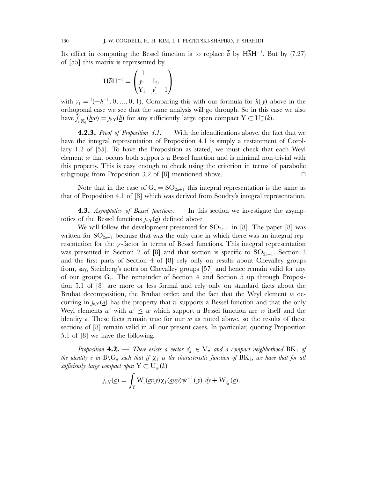Its effect in computing the Bessel function is to replace  $\bar{i}$  by H $\bar{i}$ H<sup>-1</sup>. But by (7.27) of [55] this matrix is represented by

$$
\mathbf{H}\overline{n}\mathbf{H}^{-1} = \begin{pmatrix} 1 & & \\ y_1 & \mathbf{I}_{2n} \\ \mathbf{Y}_1 & y_1' & 1 \end{pmatrix}
$$

with  $y'_1 = '(-h^{-1}, 0, ..., 0, 1)$ . Comparing this with our formula for  $\overline{h}(y)$  above in the orthogonal case we see that the same analysis will go through. So in this case we also have  $\tilde{j}'_{\tilde{i}}$  $v'_{\tilde{v},\overline{N}_0}(\underline{h}w) = j_{\tilde{v},Y}(\underline{h})$  for any sufficiently large open compact  $Y \subset U_w^-(k)$ .

**4.2.3.** *Proof of Proposition 4.1.* — With the identifications above, the fact that we have the integral representation of Proposition 4.1 is simply a restatement of Corollary 1.2 of [55]. To have the Proposition as stated, we must check that each Weyl element  $w$  that occurs both supports a Bessel function and is minimal non-trivial with this property. This is easy enough to check using the criterion in terms of parabolic subgroups from Proposition 3.2 of [8] mentioned above.  $\Box$ 

Note that in the case of  $G_n = SO_{2n+1}$  this integral representation is the same as that of Proposition 4.1 of [8] which was derived from Soudry's integral representation.

**4.3.** *Asymptotics of Bessel functions.* — In this section we investigate the asymptotics of the Bessel functions  $j_{v}y(a)$  defined above.

We will follow the development presented for  $SO_{2n+1}$  in [8]. The paper [8] was written for  $SO_{2n+1}$  because that was the only case in which there was an integral representation for the  $\gamma$ -factor in terms of Bessel functions. This integral representation was presented in Section 2 of [8] and that section is specific to  $SO_{2n+1}$ . Section 3 and the first parts of Section 4 of [8] rely only on results about Chevalley groups from, say, Steinberg's notes on Chevalley groups [57] and hence remain valid for any of our groups  $G_n$ . The remainder of Section 4 and Section 5 up through Proposition 5.1 of [8] are more or less formal and rely only on standard facts about the Bruhat decomposition, the Bruhat order, and the fact that the Weyl element  $w$  occurring in  $j_{v}y(a)$  has the property that w supports a Bessel function and that the only Weyl elements w with  $w' \leq w$  which support a Bessel function are w itself and the identity  $e$ . These facts remain true for our  $w$  as noted above, so the results of these sections of [8] remain valid in all our present cases. In particular, quoting Proposition 5.1 of [8] we have the following.

*Proposition* **4.2.** — *There exists a vector*  $v'_\pi \in V_\pi$  *and a compact neighborhood*  $BK_1$  *of the identity e in*  $B \ G_n$  *such that if*  $\chi_1$  *is the characteristic function of*  $BK_1$ *, we have that for all*  $sufficiently\ large\ compact\ open\ Y \subset U_w^-(k)$ 

$$
j_{v,\mathrm{Y}}(\underline{a}) = \int_{\mathrm{Y}} \mathrm{W}_{v}(\underline{a}w y) \chi_1(\underline{a}w y) \psi^{-1}(y) \ dy + \mathrm{W}_{v'_\pi}(\underline{a}).
$$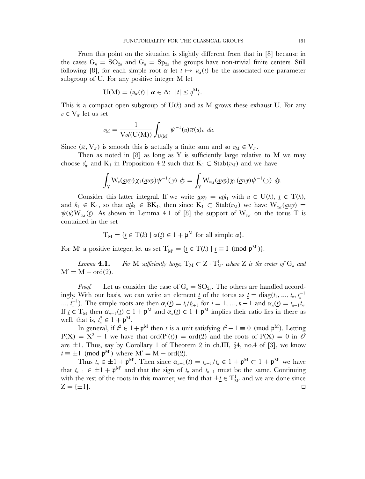From this point on the situation is slightly different from that in [8] because in the cases  $G_n = SO_{2n}$  and  $G_n = Sp_{2n}$  the groups have non-trivial finite centers. Still following [8], for each simple root  $\alpha$  let  $t \mapsto u_{\alpha}(t)$  be the associated one parameter subgroup of U. For any positive integer M let

$$
U(M) = \langle u_{\alpha}(t) \mid \alpha \in \Delta; \ \vert t \vert \leq q^{M} \rangle.
$$

This is a compact open subgroup of  $U(k)$  and as M grows these exhaust U. For any  $v \in V_{\pi}$  let us set

$$
v_{\rm M} = \frac{1}{\text{Vol}(\text{U}(\text{M}))} \int_{\text{U}(\text{M})} \psi^{-1}(u) \pi(u) v \, du.
$$

Since  $(\pi, V_{\pi})$  is smooth this is actually a finite sum and so  $v_M \in V_{\pi}$ .

Then as noted in  $[8]$  as long as Y is sufficiently large relative to M we may choose  $v'_\pi$  and K<sub>1</sub> in Proposition 4.2 such that K<sub>1</sub> ⊂ Stab( $v_M$ ) and we have

$$
\int_{Y} W_{\nu}(\underline{a}w y) \chi_1(\underline{a}w y) \psi^{-1}(y) dy = \int_{Y} W_{\nu_M}(\underline{a}w y) \chi_1(\underline{a}w y) \psi^{-1}(y) dy.
$$

Consider this latter integral. If we write <u>a</u>wy = utk<sub>1</sub> with  $u \in U(k)$ ,  $t \in T(k)$ , and  $k_1 \in K_1$ , so that  $u \underline{t} k_1 \in BK_1$ , then since  $K_1 \subset Stab(v_M)$  we have  $W_{v_M}(\underline{a}w y) =$  $\psi(u)W_{v_M}(t)$ . As shown in Lemma 4.1 of [8] the support of  $W_{v_M}$  on the torus T is contained in the set

$$
T_M = \{ \underline{t} \in T(k) \mid \alpha(\underline{t}) \in 1 + \mathfrak{p}^M \text{ for all simple } \alpha \}.
$$

For M' a positive integer, let us set  $T_M^1 = \{ \underline{t} \in T(k) \mid \underline{t} \equiv I \pmod{p^M} \}.$ 

Lemma  $4.1.$  — For  $M$  sufficiently large,  $T_M \subset Z \cdot T^1_{M'}$  where  $Z$  is the center of  $G_n$  and  $M' = M - ord(2)$ .

*Proof.* — Let us consider the case of  $G_n = SO_{2n}$ . The others are handled accordingly. With our basis, we can write an element  $\underline{t}$  of the torus as  $\underline{t} = \text{diag}(t_1, ..., t_n, t_n^{-1})$ ...,  $t_1^{-1}$ ). The simple roots are then  $\alpha_i(\underline{t}) = t_i/t_{i+1}$  for  $i = 1, ..., n-1$  and  $\alpha_n(\underline{t}) = t_{n-1}t_n$ . If  $\underline{t} \in T_M$  then  $\alpha_{n-1}(\underline{t}) \in 1 + \mathfrak{p}^M$  and  $\alpha_n(\underline{t}) \in 1 + \mathfrak{p}^M$  implies their ratio lies in there as well, that is,  $t_n^2 \in 1 + \mathfrak{p}^M$ .

In general, if  $t^2 \in 1 + \mathfrak{p}^M$  then t is a unit satisfying  $t^2 - 1 \equiv 0 \pmod{\mathfrak{p}^M}$ . Letting  $P(X) = X^2 - 1$  we have that ord $(P'(t)) = \text{ord}(2)$  and the roots of  $P(X) = 0$  in  $\mathcal O$ are  $\pm 1$ . Thus, say by Corollary 1 of Theorem 2 in ch.III, §4, no.4 of [3], we know  $t \equiv \pm 1 \pmod{p^{M'}}$  where  $M' = M - \text{ord}(2)$ .

Thus  $t_n \in \pm 1 + \mathfrak{p}^M$ . Then since  $\alpha_{n-1}(t) = t_{n-1}/t_n \in 1 + \mathfrak{p}^M \subset 1 + \mathfrak{p}^M$  we have that  $t_{n-1} \in \pm 1 + \mathfrak{p}^{M'}$  and that the sign of  $t_n$  and  $t_{n-1}$  must be the same. Continuing with the rest of the roots in this manner, we find that  $\pm \underline{t} \in T^1_{M'}$  and we are done since  $Z = \{\pm 1\}.$  $\Box$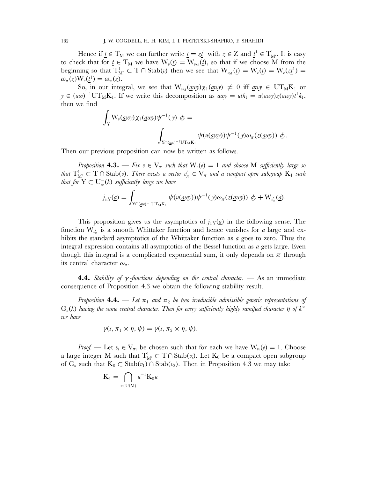Hence if  $\underline{t} \in T_M$  we can further write  $\underline{t} = z\underline{t}^1$  with  $z \in Z$  and  $\underline{t}^1 \in T_M^1$ . It is easy to check that for  $\underline{t} \in T_M$  we have  $W_v(\underline{t}) = W_{v_M}(\underline{t})$ , so that if we choose M from the beginning so that  $T^1_{M'} \subset T \cap Stab(v)$  then we see that  $W_{v_M}(t) = W_v(t) = W_v(z_t^1) =$  $\omega_{\pi}(z) \mathrm{W}_{\nu}(\underline{t}^1) = \omega_{\pi}(z).$ 

So, in our integral, we see that  $W_{M}(a w y) \chi_1(a w y) \neq 0$  iff awy  $\in UT_M K_1$  or  $y \in (a\omega)^{-1} \text{UT}_M \text{K}_1$ . If we write this decomposition as  $a\omega y = u\underline{t}k_1 = u(a\omega y)z(a\omega y)\underline{t}^1k_1$ , then we find

$$
\int_{Y} W_{\nu}(\underline{a}w y) \chi_{1}(\underline{a}w y) \psi^{-1}(y) dy =
$$
\n
$$
\int_{Y \cap (\underline{a}w)^{-1} \cup T_M K_1} \psi(u(\underline{a}w y)) \psi^{-1}(y) \omega_{\pi}(z(\underline{a}w y)) dy.
$$

Then our previous proposition can now be written as follows.

*Proposition* **4.3.** — *Fix*  $v \in V_\pi$  *such that*  $W_v(e) = 1$  *and choose* M *sufficiently large so that*  $T^1_{M'} \subset T \cap \text{Stab}(v)$ *. There exists a vector*  $v'_\pi \in V_\pi$  *and a compact open subgroup*  $K_1$  *such that for*  $Y \subset U_w^-(k)$  *sufficiently large we have* 

$$
j_{v,\mathrm{Y}}(\underline{a}) = \int_{\mathrm{Y} \cap (\underline{a}v)^{-1} \mathrm{UT}_{\mathrm{M}} \mathrm{K}_1} \psi(u(\underline{a}v)\psi) \psi^{-1}(y) \omega_{\pi}(z(\underline{a}v)\psi) \, dy + \mathrm{W}_{v'_{\pi}}(\underline{a}).
$$

This proposition gives us the asymptotics of  $j_{v,Y}(a)$  in the following sense. The function  $W_{\nu'_n}$  is a smooth Whittaker function and hence vanishes for a large and exhibits the standard asymptotics of the Whittaker function as a goes to zero. Thus the integral expression contains all asymptotics of the Bessel function as  $a$  gets large. Even though this integral is a complicated exponential sum, it only depends on  $\pi$  through its central character  $\omega_{\pi}$ .

**4.4.** *Stability of* γ *-functions depending on the central character.* — As an immediate consequence of Proposition 4.3 we obtain the following stability result.

*Proposition* **4.4.** — Let  $\pi_1$  and  $\pi_2$  be two irreducible admissible generic representations of  $G_n(k)$  *having the same central character. Then for every sufficiently highly ramified character*  $\eta$  of  $k^{\times}$ *we have*

$$
\gamma(s,\pi_1\times\eta,\psi)=\gamma(s,\pi_2\times\eta,\psi).
$$

*Proof.* — Let  $v_i \in V_{\pi_i}$  be chosen such that for each we have  $W_{v_i}(e) = 1$ . Choose a large integer M such that  $T^1_{M'} \subset T \cap Stab(v_i)$ . Let  $K_0$  be a compact open subgroup of  $G_n$  such that  $K_0 \subset \text{Stab}(v_1) \cap \text{Stab}(v_2)$ . Then in Proposition 4.3 we may take

$$
K_1 = \bigcap_{u \in U(M)} u^{-1} K_0 u
$$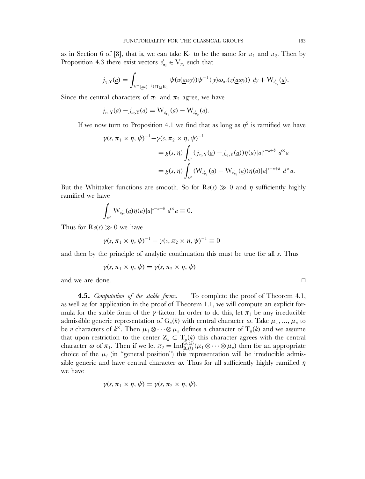as in Section 6 of [8], that is, we can take  $K_1$  to be the same for  $\pi_1$  and  $\pi_2$ . Then by Proposition 4.3 there exist vectors  $v'_{\pi_i} \in V_{\pi_i}$  such that

$$
j_{v_i,\mathrm{Y}}(\underline{a})=\int_{\mathrm{Y}\cap(\underline{a}w)^{-1}\mathrm{UT}_\mathrm{M}\mathrm{K}_1}\psi(u(\underline{a}w y))\psi^{-1}(y)\omega_{\pi_i}(z(\underline{a}w y))\ dy+\mathrm{W}_{v'_{\pi_i}}(\underline{a}).
$$

Since the central characters of  $\pi_1$  and  $\pi_2$  agree, we have

$$
j_{v_1,\mathrm{Y}}(\underline{a})-j_{v_2,\mathrm{Y}}(\underline{a})=\mathrm{W}_{v'_{\pi_1}}(\underline{a})-\mathrm{W}_{v'_{\pi_2}}(\underline{a}).
$$

If we now turn to Proposition 4.1 we find that as long as  $\eta^2$  is ramified we have

$$
\begin{split} \gamma(s,\pi_1 \times \eta,\,\psi)^{-1} &- \gamma(s,\pi_2 \times \eta,\,\psi)^{-1} \\ &= g(s,\,\eta) \int_{k^\times} (j_{v_1,\mathrm{Y}}(\underline{a}) - j_{v_2,\mathrm{Y}}(\underline{a})) \eta(a) |a|^{s-n+\delta} \, \, d^\times a \\ &= g(s,\,\eta) \int_{k^\times} (\mathrm{W}_{v_{\pi_1}'}(\underline{a}) - \mathrm{W}_{v_{\pi_2}'}(\underline{a})) \eta(a) |a|^{s-n+\delta} \, \, d^\times a. \end{split}
$$

But the Whittaker functions are smooth. So for  $\mathsf{R}e(s) \gg 0$  and  $\eta$  sufficiently highly ramified we have

$$
\int_{k^{\times}} \mathrm{W}_{v'_{\pi_i}}(\underline{a}) \eta(a) |a|^{s-n+\delta} d^{\times} a \equiv 0.
$$

Thus for  $\text{Re}(s) \gg 0$  we have

$$
\gamma(s,\pi_1\times\eta,\psi)^{-1}-\gamma(s,\pi_2\times\eta,\psi)^{-1}\equiv 0
$$

and then by the principle of analytic continuation this must be true for all s. Thus

$$
\gamma(s,\pi_1\times\eta,\psi)=\gamma(s,\pi_2\times\eta,\psi)
$$

and we are done.

**4.5.** *Computation of the stable forms.* — To complete the proof of Theorem 4.1, as well as for application in the proof of Theorem 1.1, we will compute an explicit formula for the stable form of the  $\gamma$ -factor. In order to do this, let  $\pi_1$  be any irreducible admissible generic representation of  $G_n(k)$  with central character  $\omega$ . Take  $\mu_1, ..., \mu_n$  to be *n* characters of  $k^{\times}$ . Then  $\mu_1 \otimes \cdots \otimes \mu_n$  defines a character of  $T_n(k)$  and we assume that upon restriction to the center  $Z_n \subset T_n(k)$  this character agrees with the central character  $\omega$  of  $\pi_1$ . Then if we let  $\pi_2 = \text{Ind}_{B_n(k)}^{G_n(k)}(\mu_1 \otimes \cdots \otimes \mu_n)$  then for an appropriate choice of the  $\mu_i$  (in "general position") this representation will be irreducible admissible generic and have central character  $\omega$ . Thus for all sufficiently highly ramified  $\eta$ we have

$$
\gamma(s,\pi_1\times\eta,\psi)=\gamma(s,\pi_2\times\eta,\psi).
$$

 $\Box$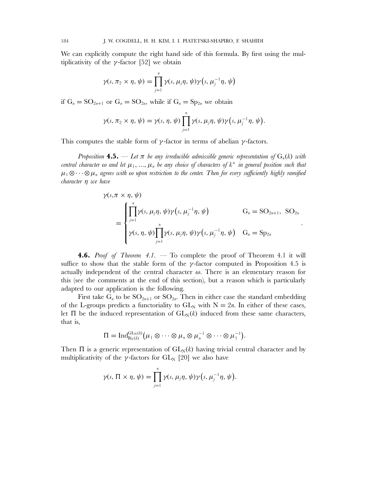We can explicitly compute the right hand side of this formula. By first using the multiplicativity of the  $\gamma$ -factor [52] we obtain

$$
\gamma(s,\pi_2\times\eta,\psi)=\prod_{j=1}^n\gamma(s,\mu_j\eta,\psi)\gamma(s,\mu_j^{-1}\eta,\psi)
$$

if  $G_n = SO_{2n+1}$  or  $G_n = SO_{2n}$ , while if  $G_n = Sp_{2n}$  we obtain

$$
\gamma(s,\pi_2\times\eta,\psi)=\gamma(s,\eta,\psi)\prod_{j=1}^n\gamma(s,\mu_j\eta,\psi)\gamma(s,\mu_j^{-1}\eta,\psi).
$$

This computes the stable form of  $\gamma$ -factor in terms of abelian  $\gamma$ -factors.

*Proposition* **4.5.** — Let  $\pi$  be any irreducible admissible generic representation of  $G_n(k)$  with *central character*  $\omega$  *and let*  $\mu_1, \ldots, \mu_n$  *be any choice of characters of*  $k^{\times}$  *in general position such that*  $\mu_1 \otimes \cdots \otimes \mu_n$  *agrees with*  $\omega$  *upon restriction to the center. Then for every sufficiently highly ramified character* η *we have*

$$
\gamma(s,\pi \times \eta, \psi)
$$
\n
$$
= \begin{cases}\n\prod_{j=1}^{n} \gamma(s, \mu_{j}\eta, \psi) \gamma(s, \mu_{j}^{-1}\eta, \psi) & G_{n} = \text{SO}_{2n+1}, \text{ SO}_{2n} \\
\gamma(s, \eta, \psi) \prod_{j=1}^{n} \gamma(s, \mu_{j}\eta, \psi) \gamma(s, \mu_{j}^{-1}\eta, \psi) & G_{n} = \text{Sp}_{2n}\n\end{cases}
$$

.

**4.6.** *Proof of Theorem 4.1.* — To complete the proof of Theorem 4.1 it will suffice to show that the stable form of the  $\gamma$ -factor computed in Proposition 4.5 is actually independent of the central character  $\omega$ . There is an elementary reason for this (see the comments at the end of this section), but a reason which is particularly adapted to our application is the following.

First take  $G_n$  to be  $SO_{2n+1}$  or  $SO_{2n}$ . Then in either case the standard embedding of the L-groups predicts a functoriality to  $GL_N$  with  $N = 2n$ . In either of these cases, let  $\Pi$  be the induced representation of  $GL_N(k)$  induced from these same characters, that is,

$$
\Pi = \mathrm{Ind}_{B_N(k)}^{\mathrm{GL}_N(k)} \big( \mu_1 \otimes \cdots \otimes \mu_n \otimes \mu_n^{-1} \otimes \cdots \otimes \mu_1^{-1} \big).
$$

Then  $\Pi$  is a generic representation of  $GL_N(k)$  having trivial central character and by multiplicativity of the  $\gamma$ -factors for  $GL_N$  [20] we also have

$$
\gamma(s,\,\Pi\times\eta,\,\psi)=\prod_{j=1}^n\gamma(s,\,\mu_j\eta,\,\psi)\gamma(s,\,\mu_j^{-1}\eta,\,\psi).
$$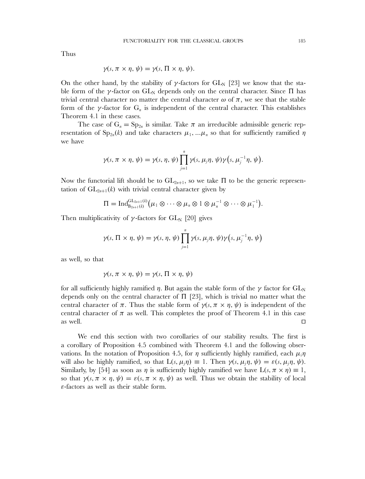Thus

$$
\gamma(s, \pi \times \eta, \psi) = \gamma(s, \Pi \times \eta, \psi).
$$

On the other hand, by the stability of  $\gamma$ -factors for  $GL_N$  [23] we know that the stable form of the *γ*-factor on  $GL_N$  depends only on the central character. Since  $\Pi$  has trivial central character no matter the central character  $\omega$  of  $\pi$ , we see that the stable form of the  $\gamma$ -factor for  $G_n$  is independent of the central character. This establishes Theorem 4.1 in these cases.

The case of  $G_n = Sp_{2n}$  is similar. Take  $\pi$  an irreducible admissible generic representation of  $Sp_{2n}(k)$  and take characters  $\mu_1,...\mu_n$  so that for sufficiently ramified  $\eta$ we have

$$
\gamma(s,\pi\times\eta,\psi)=\gamma(s,\eta,\psi)\prod_{j=1}^n\gamma(s,\mu_j\eta,\psi)\gamma(s,\mu_j^{-1}\eta,\psi).
$$

Now the functorial lift should be to  $GL_{2n+1}$ , so we take  $\Pi$  to be the generic representation of  $GL_{2n+1}(k)$  with trivial central character given by

$$
\Pi = \mathrm{Ind}_{B_{2n+1}(k)}^{\mathrm{GL}_{2n+1}(k)} (\mu_1 \otimes \cdots \otimes \mu_n \otimes 1 \otimes \mu_n^{-1} \otimes \cdots \otimes \mu_1^{-1}).
$$

Then multiplicativity of  $\gamma$ -factors for GL<sub>N</sub> [20] gives

$$
\gamma(s,\Pi \times \eta, \psi) = \gamma(s,\eta, \psi) \prod_{j=1}^n \gamma(s,\mu_j \eta, \psi) \gamma(s,\mu_j^{-1} \eta, \psi)
$$

as well, so that

$$
\gamma(s, \pi \times \eta, \psi) = \gamma(s, \Pi \times \eta, \psi)
$$

for all sufficiently highly ramified  $\eta$ . But again the stable form of the  $\gamma$  factor for  $GL_N$ depends only on the central character of  $\Pi$  [23], which is trivial no matter what the central character of  $\pi$ . Thus the stable form of  $\gamma(s, \pi \times \eta, \psi)$  is independent of the central character of  $\pi$  as well. This completes the proof of Theorem 4.1 in this case as well.  $\Box$ 

We end this section with two corollaries of our stability results. The first is a corollary of Proposition 4.5 combined with Theorem 4.1 and the following observations. In the notation of Proposition 4.5, for  $\eta$  sufficiently highly ramified, each  $\mu_i\eta$ will also be highly ramified, so that  $L(s, \mu, \eta) \equiv 1$ . Then  $\gamma(s, \mu, \eta, \psi) = \varepsilon(s, \mu, \eta, \psi)$ . Similarly, by [54] as soon as  $\eta$  is sufficiently highly ramified we have  $L(s, \pi \times \eta) \equiv 1$ , so that  $\gamma(s, \pi \times \eta, \psi) = \varepsilon(s, \pi \times \eta, \psi)$  as well. Thus we obtain the stability of local ε-factors as well as their stable form.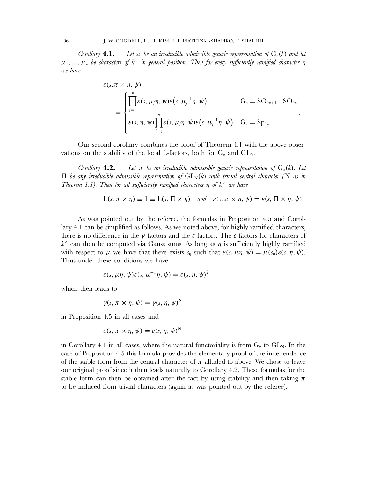*Corollary* **4.1.** — Let  $\pi$  be an irreducible admissible generic representation of  $G_n(k)$  and let  $\mu_1, \ldots, \mu_n$  be characters of  $k^\times$  *in general position. Then for every sufficiently ramified character*  $\eta$ *we have*

$$
\varepsilon(s,\pi \times \eta, \psi) = \begin{cases} \prod_{j=1}^{n} \varepsilon(s, \mu_{j}\eta, \psi) \varepsilon(s, \mu_{j}^{-1}\eta, \psi) & G_{n} = \text{SO}_{2n+1}, \text{ SO}_{2n} \\ \sum_{j=1}^{n} \varepsilon(s, \eta, \psi) \prod_{j=1}^{n} \varepsilon(s, \mu_{j}\eta, \psi) \varepsilon(s, \mu_{j}^{-1}\eta, \psi) & G_{n} = \text{Sp}_{2n} \end{cases}
$$

.

Our second corollary combines the proof of Theorem 4.1 with the above observations on the stability of the local L-factors, both for  $G_n$  and  $GL_N$ .

*Corollary* **4.2.** — Let  $\pi$  be an irreducible admissible generic representation of  $G_n(k)$ . Let  $\Pi$  *be any irreducible admissible representation of*  $GL_N(k)$  *with trivial central character* (N *as in Theorem 1.1). Then for all sufficiently ramified characters*  $\eta$  of  $k^{\times}$  we have

$$
L(s, \pi \times \eta) \equiv 1 \equiv L(s, \Pi \times \eta)
$$
 and  $\varepsilon(s, \pi \times \eta, \psi) = \varepsilon(s, \Pi \times \eta, \psi)$ .

As was pointed out by the referee, the formulas in Proposition 4.5 and Corollary 4.1 can be simplified as follows. As we noted above, for highly ramified characters, there is no difference in the  $\gamma$ -factors and the  $\varepsilon$ -factors. The  $\varepsilon$ -factors for characters of  $k^{\times}$  can then be computed via Gauss sums. As long as  $\eta$  is sufficiently highly ramified with respect to  $\mu$  we have that there exists  $c_n$  such that  $\varepsilon(s, \mu\eta, \psi) = \mu(c_n)\varepsilon(s, \eta, \psi)$ . Thus under these conditions we have

$$
\varepsilon(s, \mu\eta, \psi)\varepsilon(s, \mu^{-1}\eta, \psi) = \varepsilon(s, \eta, \psi)^2
$$

which then leads to

$$
\gamma(s, \pi \times \eta, \psi) = \gamma(s, \eta, \psi)^{N}
$$

in Proposition 4.5 in all cases and

$$
\varepsilon(s, \pi \times \eta, \psi) = \varepsilon(s, \eta, \psi)^{N}
$$

in Corollary 4.1 in all cases, where the natural functoriality is from  $G_n$  to  $GL_N$ . In the case of Proposition 4.5 this formula provides the elementary proof of the independence of the stable form from the central character of  $\pi$  alluded to above. We chose to leave our original proof since it then leads naturally to Corollary 4.2. These formulas for the stable form can then be obtained after the fact by using stability and then taking  $\pi$ to be induced from trivial characters (again as was pointed out by the referee).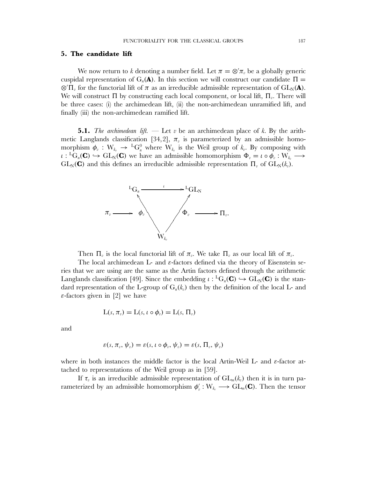# **5. The candidate lift**

We now return to k denoting a number field. Let  $\pi = \otimes' \pi_v$  be a globally generic cuspidal representation of  $G_n(\mathbf{A})$ . In this section we will construct our candidate  $\Pi =$  $\otimes' \Pi_v$  for the functorial lift of  $\pi$  as an irreducible admissible representation of GL<sub>N</sub>(**A**). We will construct  $\Pi$  by constructing each local component, or local lift,  $\Pi_{v}$ . There will be three cases: (i) the archimedean lift, (ii) the non-archimedean unramified lift, and finally (iii) the non-archimedean ramified lift.

**5.1.** *The archimedean lift.* — Let v be an archimedean place of k. By the arithmetic Langlands classification [34,2],  $\pi$ <sub>n</sub> is parameterized by an admissible homomorphism  $\phi_v : W_{k_v} \to {}^L G_n^0$  where  $W_{k_v}$  is the Weil group of  $k_v$ . By composing with  $\iota: {}^L G_n(\mathbf{C}) \hookrightarrow GL_N(\mathbf{C})$  we have an admissible homomorphism  $\Phi_v = \iota \circ \phi_v : W_{k_v} \longrightarrow$  $GL_N(\mathbf{C})$  and this defines an irreducible admissible representation  $\Pi_v$  of  $GL_N(k_v)$ .



Then  $\Pi_v$  is the local functorial lift of  $\pi_v$ . We take  $\Pi_v$  as our local lift of  $\pi_v$ .

The local archimedean L- and  $\varepsilon$ -factors defined via the theory of Eisenstein series that we are using are the same as the Artin factors defined through the arithmetic Langlands classification [49]. Since the embedding  $\iota : {}^L G_n(\mathbf{C}) \hookrightarrow GL_N(\mathbf{C})$  is the standard representation of the L-group of  $G_n(k_n)$  then by the definition of the local L- and  $\varepsilon$ -factors given in [2] we have

$$
L(s, \pi_v) = L(s, \iota \circ \phi_v) = L(s, \Pi_v)
$$

and

$$
\varepsilon(s,\pi_v,\psi_v)=\varepsilon(s,\iota\circ\phi_v,\psi_v)=\varepsilon(s,\Pi_v,\psi_v)
$$

where in both instances the middle factor is the local Artin-Weil L- and ε-factor attached to representations of the Weil group as in [59].

If  $\tau_v$  is an irreducible admissible representation of  $GL_m(k_v)$  then it is in turn parameterized by an admissible homomorphism  $\phi'_v : W_{k_v} \longrightarrow GL_m(\mathbf{C})$ . Then the tensor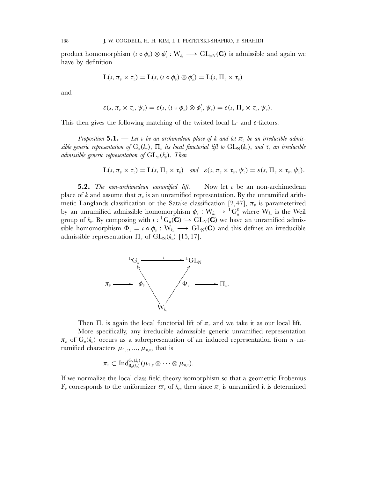product homomorphism  $(\iota \circ \phi_v) \otimes \phi'_v : W_{k_v} \longrightarrow GL_{mN}(\mathbf{C})$  is admissible and again we have by definition

$$
L(s, \pi_v \times \tau_v) = L(s, (t \circ \phi_v) \otimes \phi'_v) = L(s, \Pi_v \times \tau_v)
$$

and

$$
\varepsilon(s,\pi_{v}\times \tau_{v},\psi_{v})=\varepsilon(s,(t\circ \phi_{v})\otimes \phi'_{v},\psi_{v})=\varepsilon(s,\Pi_{v}\times \tau_{v},\psi_{v}).
$$

This then gives the following matching of the twisted local L- and  $\varepsilon$ -factors.

*Proposition* 5.1. — Let v be an archimedean place of k and let  $\pi$ , be an irreducible admis*sible generic representation of*  $G_n(k_v)$ ,  $\Pi_v$  *its local functorial lift to*  $GL_N(k_v)$ , and  $\tau_v$  *an irreducible admissible generic representation of*  $GL_m(k_n)$ . Then

$$
L(s, \pi_v \times \tau_v) = L(s, \Pi_v \times \tau_v) \quad \text{and} \quad \varepsilon(s, \pi_v \times \tau_v, \psi_v) = \varepsilon(s, \Pi_v \times \tau_v, \psi_v).
$$

**5.2.** *The non-archimedean unramified lift.*  $\longrightarrow$  Now let v be an non-archimedean place of k and assume that  $\pi_v$  is an unramified representation. By the unramified arithmetic Langlands classification or the Satake classification [2,47],  $\pi$ <sub>v</sub> is parameterized by an unramified admissible homomorphism  $\phi_v : W_{k_v} \to {}^L G_n^0$  where  $W_{k_v}$  is the Weil group of  $k_v$ . By composing with  $\iota : {}^L G_n(\mathbf{C}) \hookrightarrow GL_N(\mathbf{C})$  we have an unramified admissible homomorphism  $\Phi_v = \iota \circ \phi_v : W_{k_v} \longrightarrow GL_N(\mathbb{C})$  and this defines an irreducible admissible representation  $\Pi_{v}$  of  $GL_{N}(k_{v})$  [15,17].



Then  $\Pi_{\nu}$  is again the local functorial lift of  $\pi_{\nu}$  and we take it as our local lift.

More specifically, any irreducible admissible generic unramified representation  $\pi_{v}$  of  $G_{n}(k_{v})$  occurs as a subrepresentation of an induced representation from *n* unramified characters  $\mu_{1,v},...,\mu_{n,v}$ , that is

$$
\pi_v\subset \text{Ind}_{\text{B}_n(k_v)}^{\text{G}_n(k_v)}(\mu_{1,v}\otimes\cdots\otimes\mu_{n,v}).
$$

If we normalize the local class field theory isomorphism so that a geometric Frobenius  $\mathbf{F}_v$  corresponds to the uniformizer  $\varpi_v$  of  $k_v$ , then since  $\pi_v$  is unramified it is determined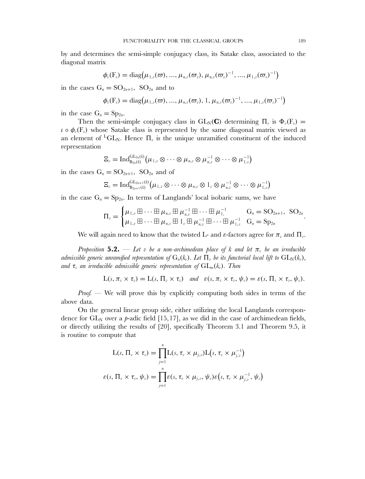by and determines the semi-simple conjugacy class, its Satake class, associated to the diagonal matrix

$$
\phi_{v}(\mathrm{F}_{v}) = \mathrm{diag}(\mu_{1,v}(\varpi),...,\mu_{n,v}(\varpi_{v}),\mu_{n,v}(\varpi_{v})^{-1},...,\mu_{1,v}(\varpi_{v})^{-1})
$$

in the cases  $G_n = SO_{2n+1}$ ,  $SO_{2n}$  and to

$$
\phi_{v}(\mathbf{F}_{v}) = \mathrm{diag}(\mu_{1,v}(\varpi), ..., \mu_{n,v}(\varpi_{v}), 1, \mu_{n,v}(\varpi_{v})^{-1}, ..., \mu_{1,v}(\varpi_{v})^{-1})
$$

in the case  $G_n = Sp_{2n}$ .

Then the semi-simple conjugacy class in  $GL_N(\mathbf{C})$  determining  $\Pi_v$  is  $\Phi_v(\mathbf{F}_v)$  =  $\iota \circ \phi_n(F_n)$  whose Satake class is represented by the same diagonal matrix viewed as an element of <sup>L</sup>GL<sub>N</sub>. Hence  $\Pi_{v}$  is the unique unramified constituent of the induced representation

$$
\Xi_v = \mathrm{Ind}_{\mathrm{B}_{2n}(k)}^{\mathrm{GL}_{2n}(k)} \big( \mu_{1,v} \otimes \cdots \otimes \mu_{n,v} \otimes \mu_{n,v}^{-1} \otimes \cdots \otimes \mu_{1,v}^{-1} \big)
$$

in the cases  $G_n = SO_{2n+1}$ ,  $SO_{2n}$  and of

$$
\Xi_v = \mathrm{Ind}_{\mathrm{B}_{2n+1}(k)}^{\mathrm{GL}_{2n+1}(k)} \left(\mu_{1,v} \otimes \cdots \otimes \mu_{n,v} \otimes 1_v \otimes \mu_{n,v}^{-1} \otimes \cdots \otimes \mu_{1,v}^{-1}\right)
$$

in the case  $G_n = Sp_{2n}$ . In terms of Langlands' local isobaric sums, we have

$$
\Pi_v = \begin{cases} \mu_{1,v} \boxplus \cdots \boxplus \mu_{n,v} \boxplus \mu_{n,v}^{-1} \boxplus \cdots \boxplus \mu_{1}^{-1} & G_n = SO_{2n+1}, \ SO_{2n} \\ \mu_{1,v} \boxplus \cdots \boxplus \mu_{n,v} \boxplus 1_v \boxplus \mu_{n,v}^{-1} \boxplus \cdots \boxplus \mu_{1}^{-1} & G_n = Sp_{2n} \end{cases}.
$$

We will again need to know that the twisted L- and  $\varepsilon$ -factors agree for  $\pi_v$  and  $\Pi_v$ .

*Proposition* **5.2.** — Let v be a non-archimedean place of k and let  $\pi$ , be an irreducible *admissible generic unramified representation of*  $G_n(k_v)$ *. Let*  $\Pi_v$  *be its functorial local lift to*  $GL_N(k_v)$ *, and*  $\tau$ <sub>*n*</sub> *an irreducible admissible generic representation of*  $GL_m(k_n)$ *. Then* 

$$
L(s, \pi_v \times \tau_v) = L(s, \Pi_v \times \tau_v) \quad \text{and} \quad \varepsilon(s, \pi_v \times \tau_v, \psi_v) = \varepsilon(s, \Pi_v \times \tau_v, \psi_v).
$$

*Proof.* — We will prove this by explicitly computing both sides in terms of the above data.

On the general linear group side, either utilizing the local Langlands correspondence for  $GL_N$  over a p-adic field [15,17], as we did in the case of archimedean fields, or directly utilizing the results of [20], specifically Theorem 3.1 and Theorem 9.5, it is routine to compute that

$$
L(s, \Pi_v \times \tau_v) = \prod_{j=1}^n L(s, \tau_v \times \mu_{j,v}) L(s, \tau_v \times \mu_{j,v}^{-1})
$$
  

$$
\varepsilon(s, \Pi_v \times \tau_v, \psi_v) = \prod_{j=1}^n \varepsilon(s, \tau_v \times \mu_{j,v}, \psi_v) \varepsilon(s, \tau_v \times \mu_{j,v}^{-1}, \psi_v)
$$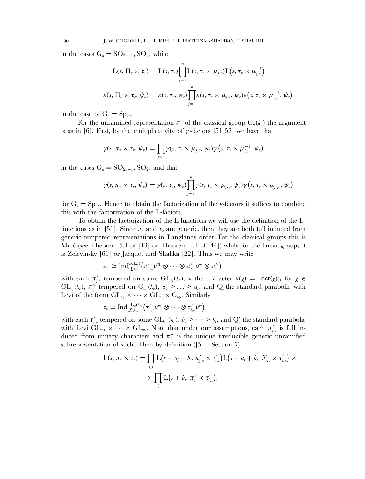in the cases  $G_n = SO_{2n+1}$ ,  $SO_{2n}$  while

$$
L(s, \Pi_v \times \tau_v) = L(s, \tau_v) \prod_{j=1}^n L(s, \tau_v \times \mu_{j,v}) L(s, \tau_v \times \mu_{j,v}^{-1})
$$
  

$$
\varepsilon(s, \Pi_v \times \tau_v, \psi_v) = \varepsilon(s, \tau_v, \psi_v) \prod_{j=1}^n \varepsilon(s, \tau_v \times \mu_{j,v}, \psi_v) \varepsilon(s, \tau_v \times \mu_{j,v}^{-1}, \psi_v)
$$

in the case of  $G_n = Sp_{2n}$ .

For the unramified representation  $\pi$ , of the classical group  $G_n(k_n)$  the argument is as in [6]. First, by the multiplicativity of  $\gamma$ -factors [51,52] we have that

$$
\gamma(s,\pi_{v}\times \tau_{v},\psi_{v})=\prod_{j=1}^{n}\gamma(s,\,\tau_{v}\times \mu_{j,v},\,\psi_{v})\gamma\big(s,\,\tau_{v}\times \mu_{j,v}^{-1}\,,\,\psi_{v}\big)
$$

in the cases  $G_n = SO_{2n+1}$ ,  $SO_{2n}$  and that

$$
\gamma(s,\pi_v\times \tau_v,\psi_v)=\gamma(s,\tau_v,\psi_v)\underset{j=1}{\overset{n}{\prod}}\gamma(s,\tau_v\times \mu_{j,v},\psi_v)\gamma\big(s,\tau_v\times \mu_{j,v}^{-1},\psi_v\big)
$$

for  $G_n = Sp_{2n}$ . Hence to obtain the factorization of the *ε*-factors it suffices to combine this with the factorization of the L-factors.

To obtain the factorization of the L-functions we will use the definition of the Lfunctions as in [51]. Since  $\pi_{\nu}$  and  $\tau_{\nu}$  are generic, then they are both full induced from generic tempered representations in Langlands order. For the classical groups this is Muić (see Theorem 5.1 of  $[43]$  or Theorem 1.1 of  $[44]$ ) while for the linear groups it is Zelevinsky [61] or Jacquet and Shalika [22]. Thus we may write

$$
\pi_{v}\simeq\mathrm{Ind}_{\mathrm{Q}(k_{v})}^{\mathrm{G}_{n}(k_{v})}\big(\pi'_{1,v}\nu^{a_{1}}\otimes\cdots\otimes\pi'_{r,v}\nu^{a_{r}}\otimes\pi''_{v}\big)
$$

with each  $\pi'_{j,v}$  tempered on some  $GL_{n_j}(k_v)$ ,  $v$  the character  $v(g) = |\det(g)|_v$  for  $g \in$  $GL_{n_j}(k_v)$ ,  $\pi''_v$  tempered on  $G_{n_0}(k_v)$ ,  $a_1 > ... > a_r$ , and Q the standard parabolic with Levi of the form  $GL_{n_1} \times \cdots \times GL_{n_r} \times G_{n_0}$ . Similarly

$$
\tau_{\scriptscriptstyle v} \simeq \mathrm{Ind}_{\mathrm{Q}'(k_{\scriptscriptstyle v})}^{\mathrm{GL}_m(k_{\scriptscriptstyle v})} \big(\tau_{1,\scriptscriptstyle v}' \nu^{b_1} \otimes \cdots \otimes \tau_{t,\scriptscriptstyle v}' \nu^{b_t} \big)
$$

with each  $\tau'_{i,v}$  tempered on some  $GL_{m_i}(k_v)$ ,  $b_1 > \cdots > b_t$ , and  $Q'$  the standard parabolic with Levi  $GL_{m_1} \times \cdots \times GL_{m_l}$ . Note that under our assumptions, each  $\pi'_{j,v}$  is full induced from unitary characters and  $\pi''_v$  is the unique irreducible generic unramified subrepresentation of such. Then by definition ([51], Section 7)

$$
L(s, \pi_v \times \tau_v) = \prod_{i,j} L(s + a_j + b_i, \pi'_{j,v} \times \tau'_{i,v}) L(s - a_j + b_i, \tilde{\pi}'_{j,v} \times \tau'_{i,v}) \times \times \prod_i L(s + b_i, \pi''_v \times \tau'_{i,v}).
$$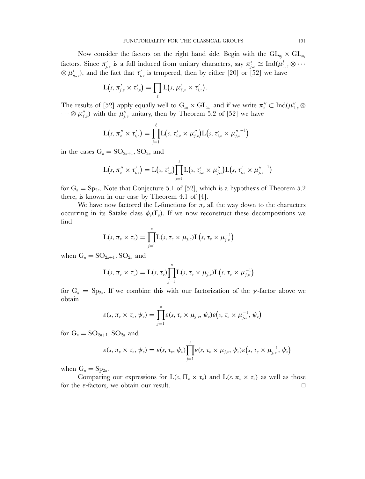Now consider the factors on the right hand side. Begin with the  $GL_{n_i} \times GL_{m_i}$ factors. Since  $\pi'_{j,v}$  is a full induced from unitary characters, say  $\pi'_{j,v} \simeq \text{Ind}(\mu_{1,v}^j \otimes \cdots)$  $\otimes \mu^j_{n_j,\nu}$ ), and the fact that  $\tau'_{i,\nu}$  is tempered, then by either [20] or [52] we have

$$
L(s, \pi'_{j,v} \times \tau'_{i,v}) = \prod_{\ell} L(s, \mu'_{\ell,v} \times \tau'_{i,v}).
$$

The results of [52] apply equally well to  $G_{n_0} \times GL_{m_i}$  and if we write  $\pi''_v \subset \text{Ind}(\mu''_{1,v} \otimes$  $\dots \otimes \mu_{\ell,v}''$  with the  $\mu_{j,v}''$  unitary, then by Theorem 5.2 of [52] we have

$$
L(s, \pi''_v \times \tau'_{i,v}) = \prod_{j=1}^{\ell} L(s, \tau'_{i,v} \times \mu''_{j,v}) L(s, \tau'_{i,v} \times \mu''_{j,v}^{-1})
$$

in the cases  $G_n = SO_{2n+1}$ ,  $SO_{2n}$  and

$$
L(s, \pi''_v \times \tau'_{i,v}) = L(s, \tau'_{i,v}) \prod_{j=1}^{\ell} L(s, \tau'_{i,v} \times \mu''_{j,v}) L(s, \tau'_{i,v} \times \mu''_{j,v}^{-1})
$$

for  $G_n = Sp_{2n}$ . Note that Conjecture 5.1 of [52], which is a hypothesis of Theorem 5.2 there, is known in our case by Theorem 4.1 of [4].

We have now factored the L-functions for  $\pi_{v}$  all the way down to the characters occurring in its Satake class  $\phi_{\nu}(\mathbf{F}_{\nu})$ . If we now reconstruct these decompositions we find

$$
L(s, \pi_v \times \tau_v) = \prod_{j=1}^n L(s, \tau_v \times \mu_{j,v}) L(s, \tau_v \times \mu_{j,v}^{-1})
$$

when  $G_n = SO_{2n+1}$ ,  $SO_{2n}$  and

$$
L(s, \pi_v \times \tau_v) = L(s, \tau_v) \prod_{j=1}^n L(s, \tau_v \times \mu_{j,v}) L(s, \tau_v \times \mu_{j,v}^{-1})
$$

for  $G_n = Sp_{2n}$ . If we combine this with our factorization of the *γ*-factor above we obtain

$$
\varepsilon(s,\pi_v\times \tau_v,\psi_v)=\prod_{j=1}^n\varepsilon(s,\tau_v\times \mu_{j,v},\psi_v)\varepsilon(s,\tau_v\times \mu_{j,v}^{-1},\psi_v)
$$

for  $G_n = SO_{2n+1}$ ,  $SO_{2n}$  and

$$
\varepsilon(s,\pi_v\times \tau_v,\psi_v)=\varepsilon(s,\tau_v,\psi_v)\underset{j=1}{\overset{n}{\prod}}\varepsilon(s,\tau_v\times \mu_{j,v},\psi_v)\varepsilon\big(s,\tau_v\times \mu_{j,v}^{-1},\psi_v\big)
$$

when  $G_n = Sp_{2n}$ .

Comparing our expressions for  $L(s, \Pi_{v} \times \tau_{v})$  and  $L(s, \pi_{v} \times \tau_{v})$  as well as those for the  $\varepsilon$ -factors, we obtain our result.  $\Box$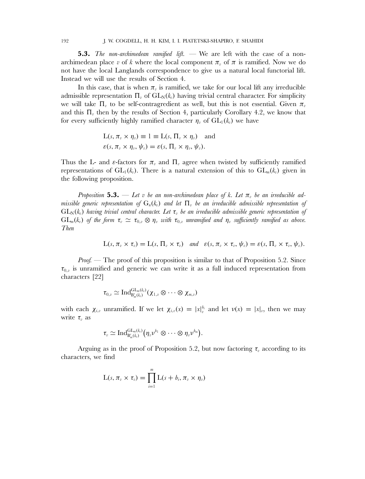192 J. W. COGDELL, H. H. KIM, I. I. PIATETSKI-SHAPIRO, F. SHAHIDI

**5.3.** *The non-archimedean ramified lift.* — We are left with the case of a nonarchimedean place v of k where the local component  $\pi_n$  of  $\pi$  is ramified. Now we do not have the local Langlands correspondence to give us a natural local functorial lift. Instead we will use the results of Section 4.

In this case, that is when  $\pi$ <sub>*n*</sub> is ramified, we take for our local lift any irreducible admissible representation  $\Pi_{v}$  of  $GL_{N}(k_{v})$  having trivial central character. For simplicity we will take  $\Pi_{\nu}$  to be self-contragredient as well, but this is not essential. Given  $\pi_{\nu}$ and this  $\Pi_{\nu}$  then by the results of Section 4, particularly Corollary 4.2, we know that for every sufficiently highly ramified character  $\eta_v$  of  $GL_1(k_v)$  we have

$$
L(s, \pi_v \times \eta_v) \equiv 1 \equiv L(s, \Pi_v \times \eta_v) \text{ and}
$$
  

$$
\varepsilon(s, \pi_v \times \eta_v, \psi_v) = \varepsilon(s, \Pi_v \times \eta_v, \psi_v).
$$

Thus the L- and  $\varepsilon$ -factors for  $\pi_{\eta}$  and  $\Pi_{\eta}$  agree when twisted by sufficiently ramified representations of  $GL_1(k_v)$ . There is a natural extension of this to  $GL_m(k_v)$  given in the following proposition.

*Proposition* 5.3. — Let v be an non-archimedean place of k. Let  $\pi_v$  be an irreducible ad*missible generic representation of*  $G_n(k_n)$  *and let*  $\Pi_n$  *be an irreducible admissible representation of*  $GL_N(k_n)$  *having trivial central character. Let*  $\tau_n$  *be an irreducible admissible generic representation of*  $GL_m(k_v)$  *of the form*  $\tau_v \simeq \tau_{0,v} \otimes \eta_v$  *with*  $\tau_{0,v}$  *unramified and*  $\eta_v$  *sufficiently ramified as above. Then*

$$
L(s, \pi_v \times \tau_v) = L(s, \Pi_v \times \tau_v) \quad \text{and} \quad \varepsilon(s, \pi_v \times \tau_v, \psi_v) = \varepsilon(s, \Pi_v \times \tau_v, \psi_v).
$$

*Proof.* — The proof of this proposition is similar to that of Proposition 5.2. Since  $\tau_{0,v}$  is unramified and generic we can write it as a full induced representation from characters [22]

$$
\tau_{0,v}\simeq \mathrm{Ind}_{\mathrm{B}'_m(k_v)}^{\mathrm{GL}_m(k_v)}(\chi_{1,v}\otimes\cdots\otimes\chi_{m,v})
$$

with each  $\chi_{i,v}$  unramified. If we let  $\chi_{i,v}(x) = |x|_v^{b_i}$  and let  $v(x) = |x|_v$ , then we may write  $\tau_v$  as

$$
\tau_v \simeq \text{Ind}_{\text{B}'_m(k_v)}^{\text{GL}_m(k_v)} \big(\eta_v\nu^{b_1}\otimes \cdots \otimes \eta_v\nu^{b_m}\big).
$$

Arguing as in the proof of Proposition 5.2, but now factoring  $\tau_n$  according to its characters, we find

$$
L(s, \pi_v \times \tau_v) = \prod_{i=1}^m L(s + b_i, \pi_v \times \eta_v)
$$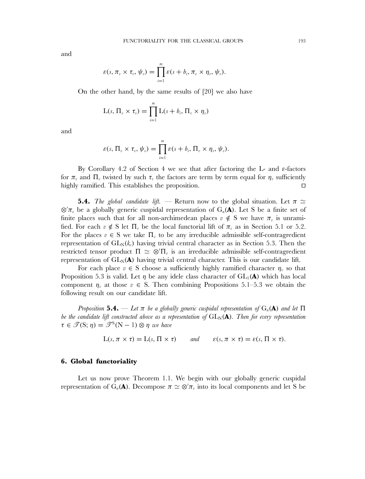and

$$
\varepsilon(s,\pi_v\times \tau_v,\psi_v)=\prod_{i=1}^m\varepsilon(s+b_i,\pi_v\times \eta_v,\psi_v).
$$

On the other hand, by the same results of [20] we also have

$$
L(s, \Pi_v \times \tau_v) = \prod_{i=1}^m L(s + b_i, \Pi_v \times \eta_v)
$$

and

$$
\varepsilon(s,\,\Pi_{v}\times\tau_{v},\,\psi_{v})=\prod_{i=1}^{m}\varepsilon(s+b_{i},\,\Pi_{v}\times\eta_{v},\,\psi_{v}).
$$

By Corollary 4.2 of Section 4 we see that after factoring the L- and  $\varepsilon$ -factors for  $\pi_v$  and  $\Pi_v$  twisted by such  $\tau_v$  the factors are term by term equal for  $\eta_v$  sufficiently highly ramified. This establishes the proposition.  $\Box$ 

**5.4.** *The global candidate lift.* — Return now to the global situation. Let  $\pi \simeq$  $\otimes' \pi_v$  be a globally generic cuspidal representation of  $G_n(\mathbf{A})$ . Let S be a finite set of finite places such that for all non-archimedean places  $v \notin S$  we have  $\pi_v$  is unramified. For each  $v \notin S$  let  $\Pi_v$  be the local functorial lift of  $\pi_v$  as in Section 5.1 or 5.2. For the places  $v \in S$  we take  $\Pi_v$  to be any irreducible admissible self-contragredient representation of  $GL_N(k_n)$  having trivial central character as in Section 5.3. Then the restricted tensor product  $\Pi \simeq \otimes' \Pi_v$  is an irreducible admissible self-contragredient representation of  $GL_N(\bf A)$  having trivial central character. This is our candidate lift.

For each place  $v \in S$  choose a sufficiently highly ramified character  $\eta_v$  so that Proposition 5.3 is valid. Let  $\eta$  be any idele class character of  $GL_1(\mathbf{A})$  which has local component  $\eta_v$  at those  $v \in S$ . Then combining Propositions 5.1–5.3 we obtain the following result on our candidate lift.

*Proposition* 5.4. — Let  $\pi$  be a globally generic cuspidal representation of  $G_n(A)$  and let  $\Pi$ *be the candidate lift constructed above as a representation of*  $GL_N(\bf{A})$ *. Then for every representation*  $\tau \in \mathcal{T}(\mathbf{S};\eta) = \mathcal{T}^{\mathbf{S}}(\mathbf{N}-1) \otimes \eta$  we have

$$
L(s, \pi \times \tau) = L(s, \Pi \times \tau) \quad \text{and} \quad \varepsilon(s, \pi \times \tau) = \varepsilon(s, \Pi \times \tau).
$$

#### **6. Global functoriality**

Let us now prove Theorem 1.1. We begin with our globally generic cuspidal representation of G<sub>n</sub>(**A**). Decompose  $\pi \simeq \otimes' \pi_v$  into its local components and let S be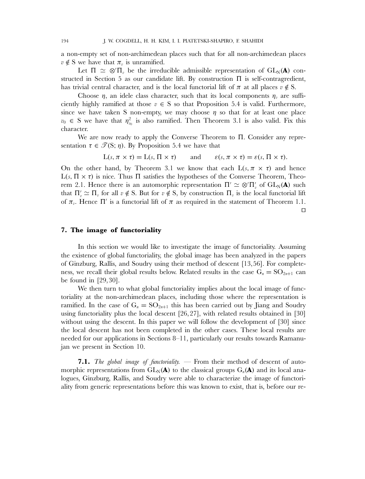a non-empty set of non-archimedean places such that for all non-archimedean places  $v \notin S$  we have that  $\pi_v$  is unramified.

Let  $\Pi \simeq \otimes' \Pi_v$  be the irreducible admissible representation of  $GL_N(\mathbf{A})$  constructed in Section 5 as our candidate lift. By construction  $\Pi$  is self-contragredient, has trivial central character, and is the local functorial lift of  $\pi$  at all places  $v \notin S$ .

Choose  $\eta$ , an idele class character, such that its local components  $\eta_v$  are sufficiently highly ramified at those  $v \in S$  so that Proposition 5.4 is valid. Furthermore, since we have taken S non-empty, we may choose  $\eta$  so that for at least one place  $v_0 \in S$  we have that  $\eta_{v_0}^2$  is also ramified. Then Theorem 3.1 is also valid. Fix this character.

We are now ready to apply the Converse Theorem to Π. Consider any representation  $\tau \in \mathcal{T}(S; \eta)$ . By Proposition 5.4 we have that

$$
L(s, \pi \times \tau) = L(s, \Pi \times \tau) \quad \text{and} \quad \varepsilon(s, \pi \times \tau) = \varepsilon(s, \Pi \times \tau).
$$

On the other hand, by Theorem 3.1 we know that each  $L(s, \pi \times \tau)$  and hence L(s, Π  $\times$  τ) is nice. Thus Π satisfies the hypotheses of the Converse Theorem, Theorem 2.1. Hence there is an automorphic representation  $\Pi' \simeq \otimes' \Pi'_{v}$  of  $GL_N(A)$  such that  $\Pi'_v \simeq \Pi_v$  for all  $v \notin S$ . But for  $v \notin S$ , by construction  $\Pi_v$  is the local functorial lift of  $\pi_{v}$ . Hence  $\Pi'$  is a functorial lift of  $\pi$  as required in the statement of Theorem 1.1.

# $\Box$

# **7. The image of functoriality**

In this section we would like to investigate the image of functoriality. Assuming the existence of global functoriality, the global image has been analyzed in the papers of Ginzburg, Rallis, and Soudry using their method of descent [13,56]. For completeness, we recall their global results below. Related results in the case  $G_n = SO_{2n+1}$  can be found in [29,30].

We then turn to what global functoriality implies about the local image of functoriality at the non-archimedean places, including those where the representation is ramified. In the case of  $G_n = SO_{2n+1}$  this has been carried out by Jiang and Soudry using functoriality plus the local descent [26,27], with related results obtained in [30] without using the descent. In this paper we will follow the development of [30] since the local descent has not been completed in the other cases. These local results are needed for our applications in Sections 8–11, particularly our results towards Ramanujan we present in Section 10.

**7.1.** *The global image of functoriality.* — From their method of descent of automorphic representations from  $GL_N(\bf A)$  to the classical groups  $G_n(\bf A)$  and its local analogues, Ginzburg, Rallis, and Soudry were able to characterize the image of functoriality from generic representations before this was known to exist, that is, before our re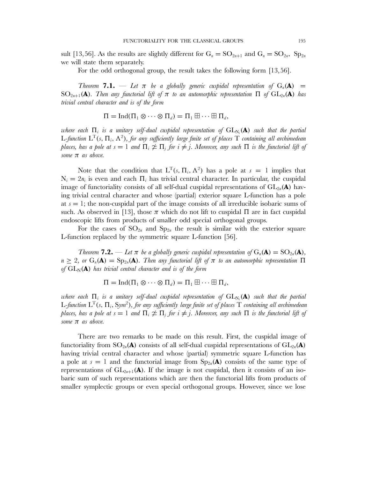sult [13,56]. As the results are slightly different for  $G_n = SO_{2n+1}$  and  $G_n = SO_{2n}$ ,  $Sp_{2n}$ we will state them separately.

For the odd orthogonal group, the result takes the following form [13,56].

*Theorem* **<b>7.1.** — Let  $\pi$  be a globally generic cuspidal representation of  $G_n(\mathbf{A}) =$ SO<sub>2n+1</sub>(**A**)*. Then any functorial lift of*  $\pi$  *to an automorphic representation*  $\Pi$  *of*  $GL_{2n}(\mathbf{A})$  *has trivial central character and is of the form*

$$
\Pi=\mathrm{Ind}(\Pi_1\otimes\cdots\otimes\Pi_d)=\Pi_1\boxplus\cdots\boxplus\Pi_d,
$$

 $w$ here each  $\Pi_i$  is a unitary self-dual cuspidal representation of  $\mathrm{GL}_{\mathrm{N}_i}(\mathbf{A})$  such that the partial L-function  $L^T(s, \Pi, \Lambda^2)$ , for any sufficiently large finite set of places T containing all archimedean *places, has a pole at*  $s = 1$  *and*  $\Pi_i \not\cong \Pi_j$  *for*  $i \neq j$ *. Moreover, any such*  $\Pi$  *is the functorial lift of some* π *as above.*

Note that the condition that  $L^{T}(s, \Pi_{i}, \Lambda^{2})$  has a pole at  $s = 1$  implies that  $N_i = 2n_i$  is even and each  $\Pi_i$  has trivial central character. In particular, the cuspidal image of functoriality consists of all self-dual cuspidal representations of  $GL_{2n}(\mathbf{A})$  having trivial central character and whose (partial) exterior square L-function has a pole at  $s = 1$ ; the non-cuspidal part of the image consists of all irreducible isobaric sums of such. As observed in [13], those  $\pi$  which do not lift to cuspidal  $\Pi$  are in fact cuspidal endoscopic lifts from products of smaller odd special orthogonal groups.

For the cases of  $SO_{2n}$  and  $Sp_{2n}$  the result is similar with the exterior square L-function replaced by the symmetric square L-function [56].

*Theorem* **7.2.** — Let  $\pi$  be a globally generic cuspidal representation of  $G_n(\mathbf{A}) = SO_{2n}(\mathbf{A})$ ,  $n \geq 2$ , or  $G_n(\mathbf{A}) = Sp_{2n}(\mathbf{A})$ . Then any functorial lift of  $\pi$  to an automorphic representation  $\Pi$ of  $GL_N(A)$  has trivial central character and is of the form

$$
\Pi=\mathrm{Ind}(\Pi_1\otimes\cdots\otimes\Pi_d)=\Pi_1\boxplus\cdots\boxplus\Pi_d,
$$

 $w$ here each  $\Pi_i$  is a unitary self-dual cuspidal representation of  $\mathrm{GL}_{\mathrm{N}_i}(\mathbf{A})$  such that the partial L*-function* L<sup>T</sup>(s, Πi, Sym<sup>2</sup>)*, for any sufficiently large finite set of places* T *containing all archimedean places, has a pole at*  $s = 1$  *and*  $\Pi_i \not\cong \Pi_j$  *for*  $i \neq j$ *. Moreover, any such*  $\Pi$  *is the functorial lift of some* π *as above.*

There are two remarks to be made on this result. First, the cuspidal image of functoriality from  $SO_{2n}(\mathbf{A})$  consists of all self-dual cuspidal representations of  $GL_{2n}(\mathbf{A})$ having trivial central character and whose (partial) symmetric square L-function has a pole at  $s = 1$  and the functorial image from  $Sp_{2n}(\mathbf{A})$  consists of the same type of representations of  $GL_{2n+1}(\mathbf{A})$ . If the image is not cuspidal, then it consists of an isobaric sum of such representations which are then the functorial lifts from products of smaller symplectic groups or even special orthogonal groups. However, since we lose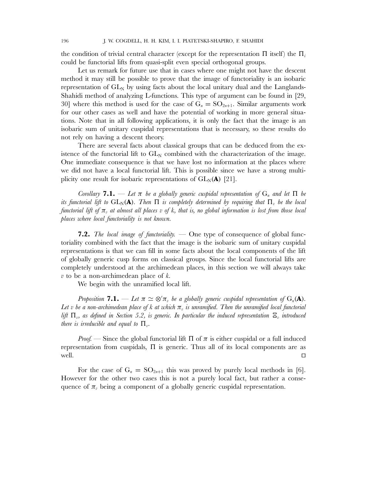the condition of trivial central character (except for the representation  $\Pi$  itself) the  $\Pi_i$ could be functorial lifts from quasi-split even special orthogonal groups.

Let us remark for future use that in cases where one might not have the descent method it may still be possible to prove that the image of functoriality is an isobaric representation of  $GL_N$  by using facts about the local unitary dual and the Langlands-Shahidi method of analyzing L-functions. This type of argument can be found in [29, 30] where this method is used for the case of  $G_n = SO_{2n+1}$ . Similar arguments work for our other cases as well and have the potential of working in more general situations. Note that in all following applications, it is only the fact that the image is an isobaric sum of unitary cuspidal representations that is necessary, so these results do not rely on having a descent theory.

There are several facts about classical groups that can be deduced from the existence of the functorial lift to  $GL_N$  combined with the characterization of the image. One immediate consequence is that we have lost no information at the places where we did not have a local functorial lift. This is possible since we have a strong multiplicity one result for isobaric representations of  $GL_N(A)$  [21].

*Corollary* **7.1.** — Let  $\pi$  be a globally generic cuspidal representation of  $G_n$  and let  $\Pi$  be *its functorial lift to*  $GL_N(\bf{A})$ *. Then*  $\Pi$  *is completely determined by requiring that*  $\Pi$ <sub>*n</sub> be the local*</sub> *functorial lift of*  $\pi$ <sub>*n*</sub> *at almost all places* v of k, that is, no global information is lost from those local *places where local functoriality is not known.*

**7.2.** *The local image of functoriality.* — One type of consequence of global functoriality combined with the fact that the image is the isobaric sum of unitary cuspidal representations is that we can fill in some facts about the local components of the lift of globally generic cusp forms on classical groups. Since the local functorial lifts are completely understood at the archimedean places, in this section we will always take  $v$  to be a non-archimedean place of  $k$ .

We begin with the unramified local lift.

*Proposition* **7.1.** — Let  $\pi \simeq \otimes' \pi_v$  be a globally generic cuspidal representation of  $G_n(\mathbf{A})$ . Let v be a non-archimedean place of k at which  $\pi$ , is unramified. Then the unramified local functorial *lift*  $\Pi_{v}$ , as defined in Section 5.2, is generic. In particular the induced representation  $\Xi_{v}$  introduced *there is irreducible and equal to*  $\Pi_{\nu}$ *.* 

*Proof.* — Since the global functorial lift  $\Pi$  of  $\pi$  is either cuspidal or a full induced representation from cuspidals,  $\Pi$  is generic. Thus all of its local components are as well.  $\Box$  $\Box$ 

For the case of  $G_n = SO_{2n+1}$  this was proved by purely local methods in [6]. However for the other two cases this is not a purely local fact, but rather a consequence of  $\pi_{v}$  being a component of a globally generic cuspidal representation.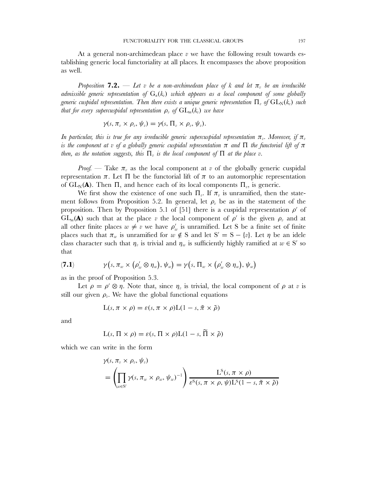At a general non-archimedean place  $v$  we have the following result towards establishing generic local functoriality at all places. It encompasses the above proposition as well.

*Proposition* **7.2.** — Let v be a non-archimedean place of k and let  $\pi$ <sub>n</sub> be an irreducible *admissible generic representation of*  $G_n(k_n)$  *which appears as a local component of some globally generic cuspidal representation. Then there exists a unique generic representation*  $\Pi_v$  *of*  $GL_N(k_v)$  *such that for every supercuspidal representation*  $\rho_n$  *of*  $GL_m(k_n)$  *we have* 

$$
\gamma(s,\pi_v\times\rho_v,\psi_v)=\gamma(s,\Pi_v\times\rho_v,\psi_v).
$$

*In particular, this is true for any irreducible generic supercuspidal representation*  $\pi_v$ . Moreover, if  $\pi_v$ *is the component at v of a globally generic cuspidal representation*  $\pi$  *and*  $\Pi$  *the functorial lift of*  $\pi$ *then, as the notation suggests, this*  $\Pi$ <sub>*i</sub> is the local component of*  $\Pi$  *at the place v.*</sub>

*Proof.* — Take  $\pi_{\eta}$  as the local component at v of the globally generic cuspidal representation π. Let Π be the functorial lift of π to an automorphic representation of  $GL_N(A)$ . Then Π, and hence each of its local components  $\Pi_{\nu}$ , is generic.

We first show the existence of one such  $\Pi_{v}$ . If  $\pi_{v}$  is unramified, then the statement follows from Proposition 5.2. In general, let  $\rho_v$  be as in the statement of the proposition. Then by Proposition 5.1 of [51] there is a cuspidal representation  $\rho'$  of  $GL_m(\mathbf{A})$  such that at the place v the local component of  $\rho'$  is the given  $\rho_v$  and at all other finite places  $w \neq v$  we have  $\rho'_w$  is unramified. Let S be a finite set of finite places such that  $\pi_w$  is unramified for  $w \notin S$  and let  $S' = S - \{v\}$ . Let  $\eta$  be an idele class character such that  $\eta_v$  is trivial and  $\eta_w$  is sufficiently highly ramified at  $w \in S'$  so that

(7.1) 
$$
\gamma(s, \pi_w \times (\rho'_w \otimes \eta_w), \psi_w) = \gamma(s, \Pi_w \times (\rho'_w \otimes \eta_w), \psi_w)
$$

as in the proof of Proposition 5.3.

Let  $\rho = \rho' \otimes \eta$ . Note that, since  $\eta_v$  is trivial, the local component of  $\rho$  at v is still our given  $\rho_{v}$ . We have the global functional equations

$$
L(s, \pi \times \rho) = \varepsilon(s, \pi \times \rho)L(1 - s, \tilde{\pi} \times \tilde{\rho})
$$

and

$$
L(s, \Pi \times \rho) = \varepsilon(s, \Pi \times \rho)L(1-s, \tilde{\Pi} \times \tilde{\rho})
$$

which we can write in the form

$$
\gamma(s, \pi_v \times \rho_v, \psi_v)
$$
  
=  $\left( \prod_{w \in S'} \gamma(s, \pi_w \times \rho_w, \psi_w)^{-1} \right) \frac{L^S(s, \pi \times \rho)}{\varepsilon^S(s, \pi \times \rho, \psi) L^S(1 - s, \tilde{\pi} \times \tilde{\rho})}$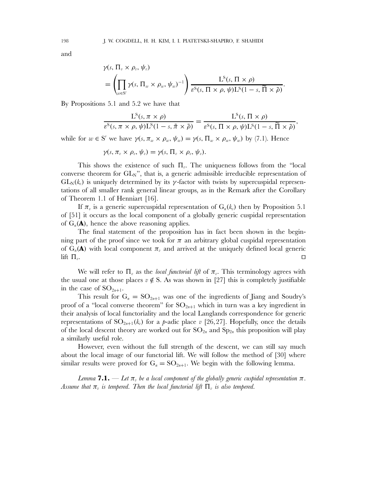and

$$
\gamma(s, \Pi_v \times \rho_v, \psi_v)
$$
  
=  $\left( \prod_{w \in S'} \gamma(s, \Pi_w \times \rho_w, \psi_w)^{-1} \right) \frac{L^S(s, \Pi \times \rho)}{\varepsilon^S(s, \Pi \times \rho, \psi) L^S(1-s, \widetilde{\Pi} \times \widetilde{\rho})}.$ 

By Propositions 5.1 and 5.2 we have that

$$
\frac{L^S(s, \pi \times \rho)}{\varepsilon^S(s, \pi \times \rho, \psi)L^S(1-s, \tilde{\pi} \times \tilde{\rho})} = \frac{L^S(s, \Pi \times \rho)}{\varepsilon^S(s, \Pi \times \rho, \psi)L^S(1-s, \tilde{\Pi} \times \tilde{\rho})},
$$

while for  $w \in S'$  we have  $\gamma(s, \pi_w \times \rho_w, \psi_w) = \gamma(s, \Pi_w \times \rho_w, \psi_w)$  by (7.1). Hence

$$
\gamma(s,\pi_{v}\times\rho_{v},\psi_{v})=\gamma(s,\Pi_{v}\times\rho_{v},\psi_{v}).
$$

This shows the existence of such  $\Pi_{v}$ . The uniqueness follows from the "local converse theorem for  $GL_N$ ", that is, a generic admissible irreducible representation of  $GL_N(k_v)$  is uniquely determined by its  $\gamma$ -factor with twists by supercuspidal representations of all smaller rank general linear groups, as in the Remark after the Corollary of Theorem 1.1 of Henniart [16].

If  $\pi_v$  is a generic supercuspidal representation of  $G_n(k_v)$  then by Proposition 5.1 of [51] it occurs as the local component of a globally generic cuspidal representation of  $G_n(\mathbf{A})$ , hence the above reasoning applies.

The final statement of the proposition has in fact been shown in the beginning part of the proof since we took for  $\pi$  an arbitrary global cuspidal representation of  $G_n(A)$  with local component  $\pi_v$  and arrived at the uniquely defined local generic lift  $\Pi_v$ .  $\Box$ 

We will refer to  $\Pi_{\nu}$  as the *local functorial lift* of  $\pi_{\nu}$ . This terminology agrees with the usual one at those places  $v \notin S$ . As was shown in [27] this is completely justifiable in the case of  $SO_{2n+1}$ .

This result for  $G_n = SO_{2n+1}$  was one of the ingredients of Jiang and Soudry's proof of a "local converse theorem" for  $SO_{2n+1}$  which in turn was a key ingredient in their analysis of local functoriality and the local Langlands correspondence for generic representations of  $SO_{2n+1}(k_n)$  for a p-adic place v [26,27]. Hopefully, once the details of the local descent theory are worked out for  $SO_{2n}$  and  $Sp_{2n}$  this proposition will play a similarly useful role.

However, even without the full strength of the descent, we can still say much about the local image of our functorial lift. We will follow the method of [30] where similar results were proved for  $G_n = SO_{2n+1}$ . We begin with the following lemma.

*Lemma* **7.1.** — *Let*  $\pi$ <sub>*r*</sub> *be a local component of the globally generic cuspidal representation*  $\pi$ . Assume that  $\pi_v$  is tempered. Then the local functorial lift  $\Pi_v$  is also tempered.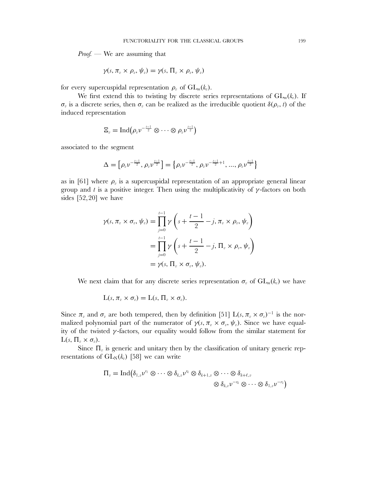*Proof.* — We are assuming that

$$
\gamma(s,\pi_v\times\rho_v,\psi_v)=\gamma(s,\Pi_v\times\rho_v,\psi_v)
$$

for every supercuspidal representation  $\rho_n$  of  $GL_m(k_n)$ .

We first extend this to twisting by discrete series representations of  $GL_m(k_v)$ . If  $\sigma_v$  is a discrete series, then  $\sigma_v$  can be realized as the irreducible quotient  $\delta(\rho_v, t)$  of the induced representation

$$
\Xi_v = \operatorname{Ind}(\rho_v v^{-\frac{t-1}{2}} \otimes \cdots \otimes \rho_v v^{\frac{t-1}{2}})
$$

associated to the segment

$$
\Delta=\left[\rho_{\text{\tiny $v$}}\nu^{-\frac{l-1}{2}},\rho_{\text{\tiny $v$}}\nu^{\frac{l-1}{2}}\right]=\left\{\rho_{\text{\tiny $v$}}\nu^{-\frac{l-1}{2}},\rho_{\text{\tiny $v$}}\nu^{-\frac{l-1}{2}+1},...,\rho_{\text{\tiny $v$}}\nu^{\frac{l-1}{2}}\right\}
$$

as in [61] where  $\rho_{\nu}$  is a supercuspidal representation of an appropriate general linear group and t is a positive integer. Then using the multiplicativity of  $\gamma$ -factors on both sides [52,20] we have

$$
\gamma(s, \pi_v \times \sigma_v, \psi_v) = \prod_{j=0}^{t-1} \gamma\left(s + \frac{t-1}{2} - j, \pi_v \times \rho_v, \psi_v\right)
$$
  
= 
$$
\prod_{j=0}^{t-1} \gamma\left(s + \frac{t-1}{2} - j, \Pi_v \times \rho_v, \psi_v\right)
$$
  
= 
$$
\gamma(s, \Pi_v \times \sigma_v, \psi_v).
$$

We next claim that for any discrete series representation  $\sigma_v$  of  $GL_m(k_v)$  we have

$$
L(s, \pi_v \times \sigma_v) = L(s, \Pi_v \times \sigma_v).
$$

Since  $\pi_v$  and  $\sigma_v$  are both tempered, then by definition [51] L(s,  $\pi_v \times \sigma_v$ )<sup>-1</sup> is the normalized polynomial part of the numerator of  $\gamma(s, \pi_{v} \times \sigma_{v}, \psi_{v})$ . Since we have equality of the twisted  $\gamma$ -factors, our equality would follow from the similar statement for  $L(s, \Pi_{v} \times \sigma_{v}).$ 

Since  $\Pi_{\nu}$  is generic and unitary then by the classification of unitary generic representations of  $GL_N(k_v)$  [58] we can write

$$
\Pi_v = \text{Ind}(\delta_{1,v}v^{r_1} \otimes \cdots \otimes \delta_{k,v}v^{r_k} \otimes \delta_{k+1,v} \otimes \cdots \otimes \delta_{k+\ell,v} \newline \otimes \delta_{k,v}v^{-r_k} \otimes \cdots \otimes \delta_{1,v}v^{-r_1})
$$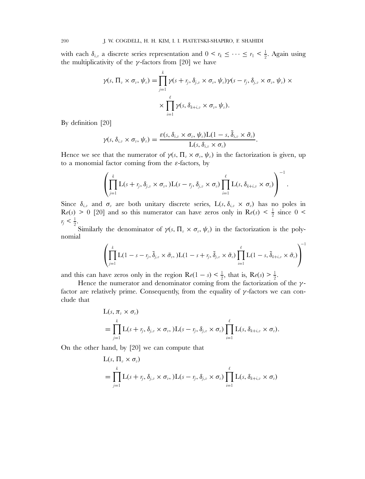with each  $\delta_{i,v}$  a discrete series representation and  $0 \leq r_k \leq \cdots \leq r_1 \leq \frac{1}{2}$ . Again using the multiplicativity of the  $\gamma$ -factors from [20] we have

$$
\gamma(s,\Pi_v\times\sigma_v,\psi_v)=\prod_{j=1}^k\gamma(s+\mathit{r}_j,\delta_{j,v}\times\sigma_v,\psi_v)\gamma(s-\mathit{r}_j,\delta_{j,v}\times\sigma_v,\psi_v)\times\\\times\prod_{i=1}^\ell\gamma(s,\delta_{k+i,v}\times\sigma_v,\psi_v).
$$

By definition [20]

$$
\gamma(s,\delta_{i,v}\times\sigma_v,\psi_v)=\frac{\varepsilon(s,\delta_{i,v}\times\sigma_v,\psi_v)\mathcal{L}(1-s,\tilde{\delta}_{i,v}\times\tilde{\sigma}_v)}{\mathcal{L}(s,\delta_{i,v}\times\sigma_v)}.
$$

Hence we see that the numerator of  $\gamma(s, \Pi_{v} \times \sigma_{v}, \psi_{v})$  in the factorization is given, up to a monomial factor coming from the  $\varepsilon$ -factors, by

$$
\left(\prod_{j=1}^k \mathrm{L}(s+r_j,\delta_{j,v}\times\sigma_v,\mathrm{)L}(s-r_j,\delta_{j,v}\times\sigma_v)\prod_{i=1}^\ell \mathrm{L}(s,\delta_{k+i,v}\times\sigma_v)\right)^{-1}
$$

.

Since  $\delta_{i,v}$  and  $\sigma_v$  are both unitary discrete series,  $L(s, \delta_{i,v} \times \sigma_v)$  has no poles in  $\text{Re}(s) > 0$  [20] and so this numerator can have zeros only in  $\text{Re}(s) < \frac{1}{2}$  since  $0 <$  $r_j < \frac{1}{2}$ .

Similarly the denominator of  $\gamma(s, \Pi_{v} \times \sigma_{v}, \psi_{v})$  in the factorization is the polynomial

$$
\left(\prod_{j=1}^k \mathrm{L}(1-s-r_j, \tilde{\delta}_{j,v} \times \tilde{\sigma}_v, \mathrm{L}(1-s+r_j, \tilde{\delta}_{j,v} \times \tilde{\sigma}_v) \prod_{i=1}^\ell \mathrm{L}(1-s, \tilde{\delta}_{k+i,v} \times \tilde{\sigma}_v)\right)^{-1}
$$

and this can have zeros only in the region  $\text{Re}(1-s) < \frac{1}{2}$ , that is,  $\text{Re}(s) > \frac{1}{2}$ .

Hence the numerator and denominator coming from the factorization of the  $\gamma$ factor are relatively prime. Consequently, from the equality of  $\gamma$ -factors we can conclude that

$$
L(s, \pi_v \times \sigma_v)
$$
  
=  $\prod_{j=1}^k L(s + r_j, \delta_{j,v} \times \sigma_v,)L(s - r_j, \delta_{j,v} \times \sigma_v) \prod_{i=1}^\ell L(s, \delta_{k+i,v} \times \sigma_v).$ 

On the other hand, by [20] we can compute that

$$
L(s, \Pi_v \times \sigma_v)
$$
  
=  $\prod_{j=1}^k L(s + r_j, \delta_{j,v} \times \sigma_v, )L(s - r_j, \delta_{j,v} \times \sigma_v) \prod_{i=1}^\ell L(s, \delta_{k+i,v} \times \sigma_v)$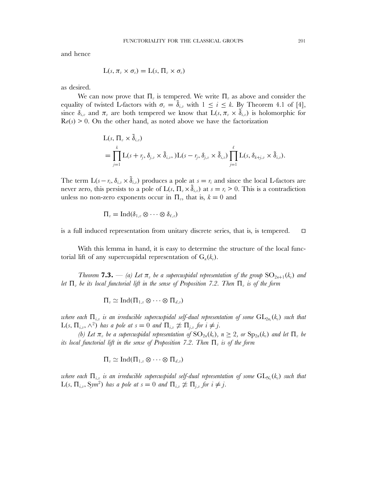and hence

$$
L(s, \pi_v \times \sigma_v) = L(s, \Pi_v \times \sigma_v)
$$

as desired.

We can now prove that  $\Pi_{\nu}$  is tempered. We write  $\Pi_{\nu}$  as above and consider the equality of twisted L-factors with  $\sigma_v = \delta_{i,v}$  with  $1 \le i \le k$ . By Theorem 4.1 of [4], since  $\delta_{i,v}$  and  $\pi_v$  are both tempered we know that  $L(s, \pi_v \times \tilde{\delta}_{i,v})$  is holomorphic for  $\mathbf{R}e(s) \geq 0$ . On the other hand, as noted above we have the factorization

$$
L(s, \Pi_v \times \tilde{\delta}_{i,v})
$$
  
=  $\prod_{j=1}^k L(s + r_j, \delta_{j,v} \times \tilde{\delta}_{i,v},)L(s - r_j, \delta_{j,v} \times \tilde{\delta}_{i,v}) \prod_{j=1}^\ell L(s, \delta_{k+j,v} \times \tilde{\delta}_{i,v}).$ 

The term  $L(s - r_i, \delta_{i,v} \times \tilde{\delta}_{i,v})$  produces a pole at  $s = r_i$  and since the local L-factors are never zero, this persists to a pole of  $L(s, \Pi_{v} \times \tilde{\delta}_{i,v})$  at  $s = r_i > 0$ . This is a contradiction unless no non-zero exponents occur in  $\Pi_{v}$ , that is,  $k = 0$  and

$$
\Pi_v = \operatorname{Ind}(\delta_{1,v} \otimes \cdots \otimes \delta_{\ell,v})
$$

is a full induced representation from unitary discrete series, that is, is tempered.  $\Box$ 

With this lemma in hand, it is easy to determine the structure of the local functorial lift of any supercuspidal representation of  $G_n(k_n)$ .

*Theorem* **7.3.** — *(a)* Let  $\pi_v$  be a supercuspidal representation of the group  $SO_{2n+1}(k_v)$  and *let*  $\Pi_v$  *be its local functorial lift in the sense of Proposition 7.2. Then*  $\Pi_v$  *is of the form* 

$$
\Pi_v \simeq \mathrm{Ind}(\Pi_{1,v} \otimes \cdots \otimes \Pi_{d,v})
$$

where each  $\Pi_{i,v}$  is an irreducible supercuspidal self-dual representation of some  $\mathrm{GL}_{2n_i}(k_v)$  such that  $L(s, Π<sub>i,v</sub>, ∧<sup>2</sup>)$  *has a pole at*  $s = 0$  *and*  $Π<sub>i,v</sub> ≠ Π<sub>j,v</sub>$  *for*  $i ≠ j$ *.* 

*(b)* Let  $\pi_v$  be a supercuspidal representation of  $SO_{2n}(k_v)$ ,  $n \geq 2$ , or  $Sp_{2n}(k_v)$  and let  $\Pi_v$  be *its local functorial lift in the sense of Proposition 7.2. Then*  $\Pi_n$  *is of the form* 

$$
\Pi_v \simeq \mathrm{Ind}(\Pi_{1,v} \otimes \cdots \otimes \Pi_{d,v})
$$

where each  $\Pi_{i,v}$  is an irreducible supercuspidal self-dual representation of some  $\mathrm{GL}_{\mathrm{N}_i}(k_v)$  such that  $L(s, \Pi_{i,v}, \text{Sym}^2)$  *has a pole at*  $s = 0$  *and*  $\Pi_{i,v} \not\cong \Pi_{j,v}$  *for*  $i \neq j$ *.*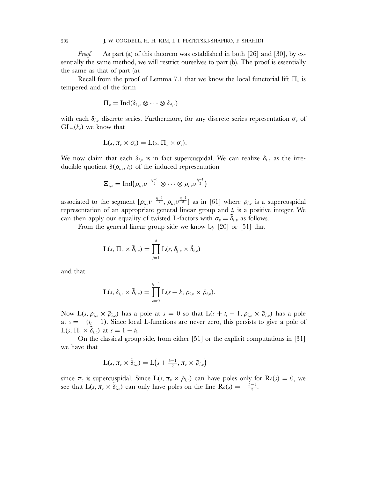202 J. W. COGDELL, H. H. KIM, I. I. PIATETSKI-SHAPIRO, F. SHAHIDI

*Proof.* — As part (a) of this theorem was established in both [26] and [30], by essentially the same method, we will restrict ourselves to part (b). The proof is essentially the same as that of part (a).

Recall from the proof of Lemma 7.1 that we know the local functorial lift  $\Pi_{\nu}$  is tempered and of the form

$$
\Pi_v = \operatorname{Ind}(\delta_{1,v} \otimes \cdots \otimes \delta_{d,v})
$$

with each  $\delta_{i,v}$  discrete series. Furthermore, for any discrete series representation  $\sigma_v$  of  $GL_m(k_n)$  we know that

$$
L(s, \pi_v \times \sigma_v) = L(s, \Pi_v \times \sigma_v).
$$

We now claim that each  $\delta_{i,v}$  is in fact supercuspidal. We can realize  $\delta_{i,v}$  as the irreducible quotient  $\delta(\rho_{i,v},t_i)$  of the induced representation

$$
\Xi_{i,v} = \operatorname{Ind}(\rho_{i,v} \nu^{-\frac{i_i-1}{2}} \otimes \cdots \otimes \rho_{i,v} \nu^{\frac{i_i-1}{2}})
$$

associated to the segment  $[\rho_{i,v}v^{-\frac{l_i-1}{2}}, \rho_{i,v}v^{\frac{l_i-1}{2}}]$  as in [61] where  $\rho_{i,v}$  is a supercuspidal representation of an appropriate general linear group and  $t_i$  is a positive integer. We can then apply our equality of twisted L-factors with  $\sigma_v = \delta_{i,v}$  as follows.

From the general linear group side we know by [20] or [51] that

$$
\mathrm{L}(s,\,\Pi_v\times\widetilde{\delta}_{i,v})=\prod_{j=1}^d\mathrm{L}(s,\,\delta_{j,v}\times\widetilde{\delta}_{i,v})
$$

and that

$$
L(s, \delta_{i,v} \times \tilde{\delta}_{i,v}) = \prod_{k=0}^{i_i-1} L(s+k, \rho_{i,v} \times \tilde{\rho}_{i,v}).
$$

Now L(s,  $\rho_{i,v} \times \tilde{\rho}_{i,v}$ ) has a pole at  $s = 0$  so that  $L(s + t_i - 1, \rho_{i,v} \times \tilde{\rho}_{i,v})$  has a pole at  $s = -(t<sub>i</sub> - 1)$ . Since local L-functions are never zero, this persists to give a pole of  $L(s, \Pi_{v} \times \delta_{i,v})$  at  $s = 1 - t_i$ .

On the classical group side, from either [51] or the explicit computations in [31] we have that

$$
L(s, \pi_v \times \tilde{\delta}_{i,v}) = L(s + \frac{i-1}{2}, \pi_v \times \tilde{\rho}_{i,v})
$$

since  $\pi_v$  is supercuspidal. Since  $L(s, \pi_v \times \tilde{\rho}_{i,v})$  can have poles only for  $\text{Re}(s) = 0$ , we see that  $L(s, \pi_v \times \tilde{\delta}_{i,v})$  can only have poles on the line  $\text{Re}(s) = -\frac{i-1}{2}$ .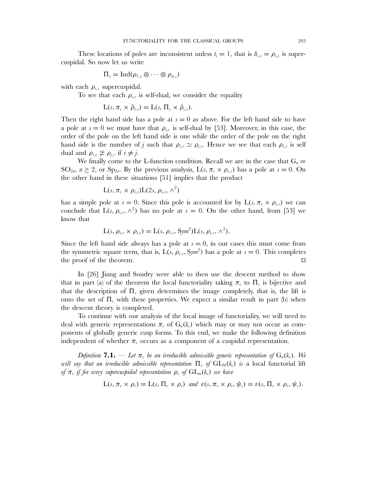These locations of poles are inconsistent unless  $t_i = 1$ , that is  $\delta_{i,v} = \rho_{i,v}$  is supercuspidal. So now let us write

$$
\Pi_v = \operatorname{Ind}(\rho_{1,v} \otimes \cdots \otimes \rho_{d,v})
$$

with each  $\rho_{i,v}$  supercuspidal.

To see that each  $\rho_{i,v}$  is self-dual, we consider the equality

$$
L(s, \pi_v \times \tilde{\rho}_{i,v}) = L(s, \Pi_v \times \tilde{\rho}_{i,v}).
$$

Then the right hand side has a pole at  $s = 0$  as above. For the left hand side to have a pole at  $s = 0$  we must have that  $\rho_{i,v}$  is self-dual by [53]. Moreover, in this case, the order of the pole on the left hand side is one while the order of the pole on the right hand side is the number of j such that  $\rho_{i,v} \simeq \rho_{i,v}$ . Hence we see that each  $\rho_{i,v}$  is self dual and  $\rho_{i,v} \not\cong \rho_{i,v}$  if  $i \neq j$ .

We finally come to the L-function condition. Recall we are in the case that  $G_n =$  $SO_{2n}$ ,  $n \geq 2$ , or  $Sp_{2n}$ . By the previous analysis,  $L(s, \pi_{\nu} \times \rho_{i,\nu})$  has a pole at  $s = 0$ . On the other hand in these situations [51] implies that the product

$$
L(s, \pi_v \times \rho_{i,v})L(2s, \rho_{i,v}, \wedge^2)
$$

has a simple pole at  $s = 0$ . Since this pole is accounted for by  $L(s, \pi_{v} \times \rho_{i,v})$  we can conclude that  $L(s, \rho_{i,v}, \wedge^2)$  has no pole at  $s = 0$ . On the other hand, from [53] we know that

$$
L(s, \rho_{i,v} \times \rho_{i,v}) = L(s, \rho_{i,v}, Sym^2)L(s, \rho_{i,v}, \wedge^2).
$$

Since the left hand side always has a pole at  $s = 0$ , in our cases this must come from the symmetric square term, that is,  $L(s, \rho_{i,v}, \text{Sym}^2)$  has a pole at  $s = 0$ . This completes the proof of the theorem.  $\Box$ 

In [26] Jiang and Soudry were able to then use the descent method to show that in part (a) of the theorem the local functoriality taking  $\pi_{\eta}$  to  $\Pi_{\eta}$  is bijective and that the description of  $\Pi_{\nu}$  given determines the image completely, that is, the lift is onto the set of  $\Pi_{\nu}$  with these properties. We expect a similar result in part (b) when the descent theory is completed.

To continue with our analysis of the local image of functoriality, we will need to deal with generic representations  $\pi_{v}$  of  $G_{n}(k_{v})$  which may or may not occur as components of globally generic cusp forms. To this end, we make the following definition independent of whether  $\pi_{\nu}$  occurs as a component of a cuspidal representation.

*Definition* **7.1.** — Let  $\pi_v$  be an irreducible admissible generic representation of  $G_n(k_v)$ . We *will say that an irreducible admissible representation*  $\Pi_{v}$  *of*  $GL_{N}(k_{v})$  *is* a local functorial lift *of*  $\pi_v$  *if for every supercuspidal representation*  $\rho_v$  *of*  $GL_m(k_v)$  *we have* 

$$
L(s, \pi_v \times \rho_v) = L(s, \Pi_v \times \rho_v) \text{ and } \varepsilon(s, \pi_v \times \rho_v, \psi_v) = \varepsilon(s, \Pi_v \times \rho_v, \psi_v).
$$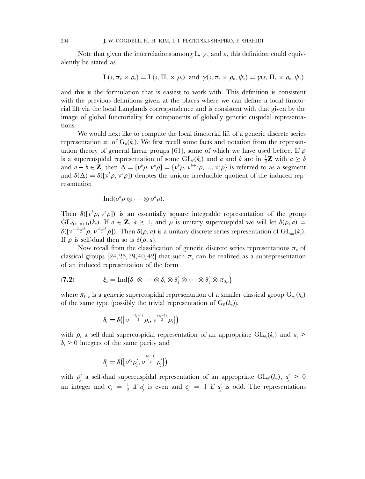Note that given the interrelations among L,  $\gamma$ , and  $\varepsilon$ , this definition could equivalently be stated as

$$
L(s, \pi_v \times \rho_v) = L(s, \Pi_v \times \rho_v) \text{ and } \gamma(s, \pi_v \times \rho_v, \psi_v) = \gamma(s, \Pi_v \times \rho_v, \psi_v)
$$

and this is the formulation that is easiest to work with. This definition is consistent with the previous definitions given at the places where we can define a local functorial lift via the local Langlands correspondence and is consistent with that given by the image of global functoriality for components of globally generic cuspidal representations.

We would next like to compute the local functorial lift of a generic discrete series representation  $\pi_{v}$  of  $G_{n}(k_{v})$ . We first recall some facts and notation from the representation theory of general linear groups [61], some of which we have used before. If  $\rho$ is a supercuspidal representation of some  $GL_d(k_v)$  and a and b are in  $\frac{1}{2}\mathbf{Z}$  with  $a \geq b$ and  $a - b \in \mathbf{Z}$ , then  $\Delta = [\nu^b \rho, \nu^a \rho] = {\{\nu^b \rho, \nu^{b+1} \rho, ..., \nu^a \rho\}}$  is referred to as a segment and  $\delta(\Delta) = \delta([\nu^b \rho, \nu^a \rho])$  denotes the unique irreducible quotient of the induced representation

$$
\operatorname{Ind}(\nu^b \rho \otimes \cdots \otimes \nu^a \rho).
$$

Then  $\delta([\nu^b \rho, \nu^a \rho])$  is an essentially square integrable representation of the group  $GL_{d(a-b+1)}(k_v)$ . If  $a \in \mathbb{Z}$ ,  $a \ge 1$ , and  $\rho$  is unitary supercuspidal we will let  $\delta(\rho, a) =$  $\delta([\nu^{-{(a-1)\over 2}}\rho, \nu^{(a-1)\over 2}\rho])$ . Then  $\delta(\rho, a)$  is a unitary discrete series representation of  $GL_{da}(k_v)$ . If  $\rho$  is self-dual then so is  $\delta(\rho, a)$ .

Now recall from the classification of generic discrete series representations  $\pi_{\nu}$  of classical groups [24, 25, 39, 40, 42] that such  $\pi_v$  can be realized as a subrepresentation of an induced representation of the form

$$
\mathbf{F}(\mathbf{7.2}) \qquad \qquad \xi_v = \mathrm{Ind} \big( \delta_1 \otimes \cdots \otimes \delta_r \otimes \delta'_1 \otimes \cdots \otimes \delta'_\ell \otimes \pi_{0,v} \big)
$$

where  $\pi_{0,v}$  is a generic supercuspidal representation of a smaller classical group  $G_{n_0}(k_v)$ of the same type (possibly the trivial representation of  $G_0(k_p)$ ),

$$
\delta_i = \delta\big(\big[\nu^{-\frac{(b_i-1)}{2}}\rho_i,\nu^{\frac{(a_i-1)}{2}}\rho_i\big]\big)
$$

with  $\rho_i$  a self-dual supercuspidal representation of an appropriate  $GL_{d_i}(k_v)$  and  $a_i >$  $b_i > 0$  integers of the same parity and

$$
\delta_j' = \delta\big(\big[\nu^{\epsilon_j}\rho_j',\,\nu^{\frac{(d_j'-1)}{2}}\rho_j'\big]\big)
$$

with  $\rho'_j$  a self-dual supercuspidal representation of an appropriate  $GL_{d'_j}(k_v)$ ,  $a'_j > 0$ an integer and  $\epsilon_j = \frac{1}{2}$  if  $a'_j$  is even and  $\epsilon_j = 1$  if  $a'_j$  is odd. The representations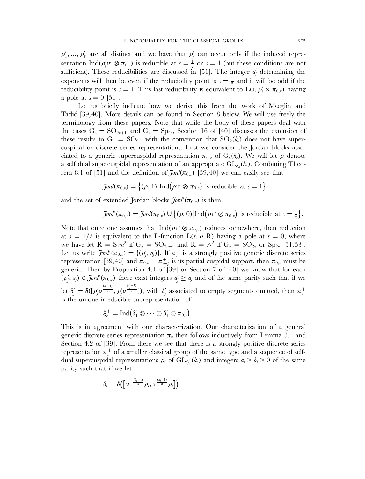$\rho'_1, ..., \rho'_\ell$  are all distinct and we have that  $\rho'_j$  can occur only if the induced representation Ind( $\rho'_j v^s \otimes \pi_{0,v}$ ) is reducible at  $s=\frac{1}{2}$  or  $s=1$  (but these conditions are not sufficient). These reducibilities are discussed in [51]. The integer  $a'_j$  determining the exponents will then be even if the reducibility point is  $s = \frac{1}{2}$  and it will be odd if the reducibility point is  $s = 1$ . This last reducibility is equivalent to  $L(s, \rho'_j \times \pi_{0, \nu})$  having a pole at  $s = 0$  [51].

Let us briefly indicate how we derive this from the work of Mœglin and Tadić [39,40]. More details can be found in Section 8 below. We will use freely the terminology from these papers. Note that while the body of these papers deal with the cases  $G_n = SO_{2n+1}$  and  $G_n = Sp_{2n}$ , Section 16 of [40] discusses the extension of these results to  $G_n = SO_{2n}$ , with the convention that  $SO_2(k_n)$  does not have supercuspidal or discrete series representations. First we consider the Jordan blocks associated to a generic supercuspidal representation  $\pi_{0,v}$  of  $G_n(k_v)$ . We will let  $\rho$  denote a self dual supercuspidal representation of an appropriate  $GL_{d_p}(k_p)$ . Combining Theorem 8.1 of [51] and the definition of  $\tilde{J}$ ord $(\pi_{0,v})$  [39,40] we can easily see that

$$
\text{Jord}(\pi_{0,v}) = \{(\rho, 1) | \text{Ind}(\rho v^s \otimes \pi_{0,v}) \text{ is reducible at } s = 1\}
$$

and the set of extended Jordan blocks  $\tilde{\mathcal{J}}ord'(\pi_{0,v})$  is then

$$
\text{Jord}'(\pi_{0,v}) = \text{Jord}(\pi_{0,v}) \cup \{(\rho, 0) | \text{Ind}(\rho v^s \otimes \pi_{0,v}) \text{ is reducible at } s = \frac{1}{2}\}.
$$

Note that once one assumes that  $\text{Ind}(\rho v^s \otimes \pi_{0,v})$  reduces somewhere, then reduction at  $s = 1/2$  is equivalent to the L-function  $L(s, \rho, R)$  having a pole at  $s = 0$ , where we have let  $R = Sym^2$  if  $G_n = SO_{2n+1}$  and  $R = \wedge^2$  if  $G_n = SO_{2n}$  or  $Sp_{2n}$  [51,53]. Let us write  $\tilde{J}$ *ord*' $(\pi_{0,v}) = \{(\rho'_j, q_j)\}\$ . If  $\pi_v^+$  is a strongly positive generic discrete series representation [39,40] and  $\pi_{0,v} = \pi_{cusp}^+$  is its partial cuspidal support, then  $\pi_{0,v}$  must be generic. Then by Proposition 4.1 of [39] or Section 7 of [40] we know that for each  $(\rho'_j, a_j) \in \mathcal{J}ord'(\pi_{0,v})$  there exist integers  $a'_j \ge a_j$  and of the same parity such that if we let  $\delta'_{j}=\delta([\rho'_{j}\nu^{\frac{(q_{j}+1)}{2}},\rho'_{j}\nu])$  $\frac{(\alpha_j^{(-1)})}{2}$ ]), with  $\delta_j'$  associated to empty segments omitted, then  $\pi_v^+$ is the unique irreducible subrepresentation of

$$
\xi_v^+ = \mathrm{Ind} \bigl( \delta_1' \otimes \cdots \otimes \delta_\ell' \otimes \pi_{0,v} \bigr).
$$

This is in agreement with our characterization. Our characterization of a general generic discrete series representation  $\pi_{v}$  then follows inductively from Lemma 3.1 and Section 4.2 of [39]. From there we see that there is a strongly positive discrete series representation  $\pi_v^+$  of a smaller classical group of the same type and a sequence of selfdual supercuspidal representations  $\rho_i$  of  $GL_{d_{\rho_i}}(k_v)$  and integers  $a_i > b_i > 0$  of the same parity such that if we let

$$
\delta_i = \delta\big(\big[\nu^{-\frac{(b_i-1)}{2}}\rho_i, \nu^{\frac{(a_i-1)}{2}}\rho_i\big]\big)
$$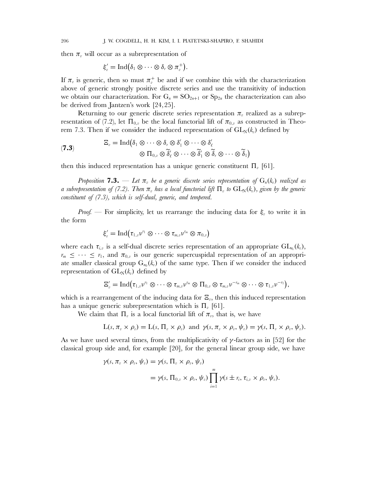then  $\pi_{\nu}$  will occur as a subrepresentation of

$$
\xi_v'=\operatorname{Ind}(\delta_1\otimes\cdots\otimes\delta_r\otimes\pi_v^+).
$$

If  $\pi_v$  is generic, then so must  $\pi_v^+$  be and if we combine this with the characterization above of generic strongly positive discrete series and use the transitivity of induction we obtain our characterization. For  $G_n = SO_{2n+1}$  or  $Sp_{2n}$  the characterization can also be derived from Jantzen's work [24,25].

Returning to our generic discrete series representation  $\pi_{\nu}$  realized as a subrepresentation of (7.2), let  $\Pi_{0,v}$  be the local functorial lift of  $\pi_{0,v}$  as constructed in Theorem 7.3. Then if we consider the induced representation of  $GL_N(k_n)$  defined by

(7.3) 
$$
\Xi_v = \operatorname{Ind}(\delta_1 \otimes \cdots \otimes \delta_r \otimes \delta'_1 \otimes \cdots \otimes \delta'_\ell \otimes \Pi_{0,v} \otimes \widetilde{\delta}'_t \otimes \cdots \otimes \widetilde{\delta}'_1 \otimes \widetilde{\delta}_r \otimes \cdots \otimes \widetilde{\delta}_1)
$$

then this induced representation has a unique generic constituent  $\Pi_{\nu}$  [61].

*Proposition* **7.3.** — Let  $\pi$ , be a generic discrete series representation of  $G_n(k_n)$  realized as *a subrepresentation of (7.2). Then*  $\pi_v$  *has a local functorial lift*  $\Pi_v$  *to*  $GL_N(k_v)$ *, given by the generic constituent of (7.3), which is self-dual, generic, and tempered.*

*Proof.* — For simplicity, let us rearrange the inducing data for  $\xi_v$  to write it in the form

$$
\xi'_v = \mathrm{Ind}\big(\tau_{1,v}\nu^{r_1}\otimes \cdots \otimes \tau_{m,v}\nu^{r_m}\otimes \pi_{0,v}\big)
$$

where each  $\tau_{i,v}$  is a self-dual discrete series representation of an appropriate  $GL_{n_i}(k_v)$ ,  $r_m \leq \cdots \leq r_1$ , and  $\pi_{0,v}$  is our generic supercuspidal representation of an appropriate smaller classical group  $G_{n_0}(k_v)$  of the same type. Then if we consider the induced representation of  $GL_N(k_n)$  defined by

$$
\Xi'_v = \mathrm{Ind}(\tau_{1,v}\nu^{r_1}\otimes \cdots \otimes \tau_{m,v}\nu^{r_m}\otimes \Pi_{0,v}\otimes \tau_{m,v}\nu^{-r_m}\otimes \cdots \otimes \tau_{1,v}\nu^{-r_1}),
$$

which is a rearrangement of the inducing data for  $\Xi_v$ , then this induced representation has a unique generic subrepresentation which is  $\Pi_{\nu}$  [61].

We claim that  $\Pi_{\nu}$  is a local functorial lift of  $\pi_{\nu}$ , that is, we have

$$
L(s, \pi_v \times \rho_v) = L(s, \Pi_v \times \rho_v) \text{ and } \gamma(s, \pi_v \times \rho_v, \psi_v) = \gamma(s, \Pi_v \times \rho_v, \psi_v).
$$

As we have used several times, from the multiplicativity of  $\gamma$ -factors as in [52] for the classical group side and, for example [20], for the general linear group side, we have

$$
\gamma(s, \pi_v \times \rho_v, \psi_v) = \gamma(s, \Pi_v \times \rho_v, \psi_v)
$$
  
=  $\gamma(s, \Pi_{0,v} \times \rho_v, \psi_v) \prod_{i=1}^m \gamma(s \pm r_i, \tau_{i,v} \times \rho_v, \psi_v).$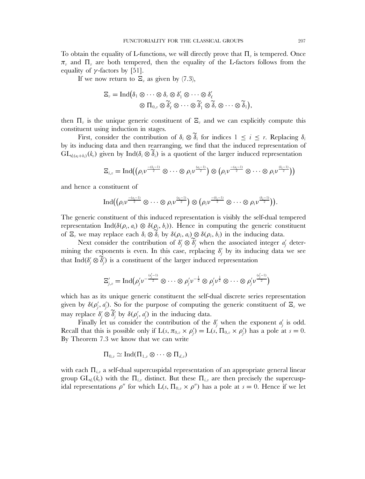To obtain the equality of L-functions, we will directly prove that  $\Pi_{\nu}$  is tempered. Once  $\pi_v$  and  $\Pi_v$  are both tempered, then the equality of the L-factors follows from the equality of  $\gamma$ -factors by [51].

If we now return to  $\Xi_v$  as given by (7.3),

$$
\Xi_v = \mathrm{Ind} \big( \delta_1 \otimes \cdots \otimes \delta_r \otimes \delta'_1 \otimes \cdots \otimes \delta'_{\ell} \newline \otimes \Pi_{0,v} \otimes \widetilde{\delta}'_{\ell} \otimes \cdots \otimes \widetilde{\delta}'_1 \otimes \widetilde{\delta}_r \otimes \cdots \otimes \widetilde{\delta}_1 \big),
$$

then  $\Pi_{\nu}$  is the unique generic constituent of  $\Xi_{\nu}$  and we can explicitly compute this constituent using induction in stages.

First, consider the contribution of  $\delta_i \otimes \widetilde{\delta}_i$  for indices  $1 \leq i \leq r$ . Replacing  $\delta_i$ by its inducing data and then rearranging, we find that the induced representation of  $GL_{d_i(a_i+b_i)}(k_i)$  given by Ind $(\delta_i \otimes \widetilde{\delta_i})$  is a quotient of the larger induced representation

$$
\Xi_{i,v}=\mathrm{Ind} \big((\rho_i\nu^{\frac{-(b_i-1)}{2}}\otimes\cdots\otimes\rho_i\nu^{\frac{(a_i-1)}{2}})\otimes\big(\rho_i\nu^{\frac{-(a_i-1)}{2}}\otimes\cdots\otimes\rho_i\nu^{\frac{(b_i-1)}{2}}\big)\big)
$$

and hence a constituent of

$$
\text{Ind}((\rho_i\nu^{\frac{-(a_i-1)}{2}}\otimes\cdots\otimes\rho_i\nu^{\frac{(a_i-1)}{2}})\otimes(\rho_i\nu^{\frac{-(b_i-1)}{2}}\otimes\cdots\otimes\rho_i\nu^{\frac{(b_i-1)}{2}})).
$$

The generic constituent of this induced representation is visibly the self-dual tempered representation Ind( $\delta(\rho_i, a_i) \otimes \delta(\rho_i, b_i)$ ). Hence in computing the generic constituent of  $\Xi_v$  we may replace each  $\delta_i \otimes \delta_i$  by  $\delta(\rho_i, a_i) \otimes \delta(\rho_i, b_i)$  in the inducing data.

Next consider the contribution of  $\delta_j' \otimes \tilde{\delta}_j'$  when the associated integer  $a_j'$  deter-<br>g the augments is guan. In this gase, replacing  $\delta_j'$  by its inducing data we see mining the exponents is even. In this case, replacing  $\delta_j'$  by its inducing data we see that Ind( $\delta_j' \otimes \delta_j'$ ) is a constituent of the larger induced representation

$$
\Xi'_{j,\boldsymbol{\nu}}=\mathrm{Ind}\big(\rho'_j\nu^{-\frac{(d'_j-1)}{2}}\otimes\cdots\otimes\rho'_j\nu^{-\frac{1}{2}}\otimes\rho'_j\nu^{\frac{1}{2}}\otimes\cdots\otimes\rho'_j\nu^{\frac{(d'_j-1)}{2}}\big)
$$

which has as its unique generic constituent the self-dual discrete series representation given by  $\delta(\rho'_j, a'_j)$ . So for the purpose of computing the generic constituent of  $\Xi_v$  we may replace  $\delta_j' \otimes \tilde{\delta}_j'$  by  $\delta(\rho_j', d_j')$  in the inducing data.

Finally let us consider the contribution of the  $\delta'_{j}$  when the exponent  $a'_{j}$  is odd. Recall that this is possible only if  $L(s, \pi_{0,v} \times \rho'_j) = L(s, \Pi_{0,v} \times \rho'_j)$  has a pole at  $s = 0$ . By Theorem 7.3 we know that we can write

$$
\Pi_{0,v} \simeq \mathrm{Ind}(\Pi_{1,v} \otimes \cdots \otimes \Pi_{d,v})
$$

with each  $\Pi_{i,v}$  a self-dual supercuspidal representation of an appropriate general linear group  $GL_{d_i}(k_v)$  with the  $\Pi_{i,v}$  distinct. But these  $\Pi_{i,v}$  are then precisely the supercuspidal representations  $\rho''$  for which  $L(s, \Pi_{0,v} \times \rho'')$  has a pole at  $s = 0$ . Hence if we let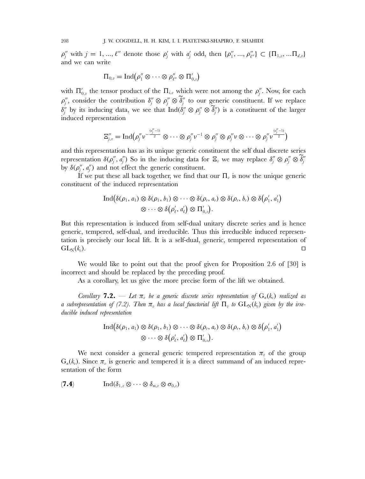$\rho''_j$  with  $j = 1, ..., \ell''$  denote those  $\rho'_j$  with  $a'_j$  odd, then  $\{\rho''_1, ..., \rho''_{\ell''}\}\subset {\{\Pi_{1,v}, ..., \Pi_{d,v}\}}$ and we can write

$$
\Pi_{0,v}=\operatorname{Ind}\bigl(\rho''_1\otimes\cdots\otimes\rho''_{\ell''}\otimes\Pi'_{0,v}\bigr)
$$

with  $\Pi'_{0,v}$  the tensor product of the  $\Pi_{i,v}$  which were not among the  $\rho''_j$ . Now, for each  $\rho_j''$ , consider the contribution  $\delta_j'' \otimes \rho_j'' \otimes \delta_j''$  to our generic constituent. If we replace  $\delta_j''$  by its inducing data, we see that  $\text{Ind}(\delta_j'' \otimes \rho_j'' \otimes \delta_j'')$  is a constituent of the larger induced representation

$$
\Xi_{j,\nu}''=\mathrm{Ind}\big(\rho_j''\nu^{-\frac{(d_j''-1)}{2}}\otimes\cdots\otimes\rho_j''\nu^{-1}\otimes\rho_j''\otimes\rho_j''\nu\otimes\cdots\otimes\rho_j''\nu^{\frac{(d_j''-1)}{2}}\big)
$$

and this representation has as its unique generic constituent the self dual discrete series representation  $\delta(\rho_j'', a_j'')$  So in the inducing data for  $\Xi_v$  we may replace  $\delta_j'' \otimes \rho_j'' \otimes \delta_j''$ by  $\delta(\rho_j'', a_j'')$  and not effect the generic constituent.

If we put these all back together, we find that our  $\Pi_{\nu}$  is now the unique generic constituent of the induced representation

$$
\operatorname{Ind}(\delta(\rho_1, a_1) \otimes \delta(\rho_1, b_1) \otimes \cdots \otimes \delta(\rho_r, a_r) \otimes \delta(\rho_r, b_r) \otimes \delta(\rho'_1, a'_1)
$$
  

$$
\otimes \cdots \otimes \delta(\rho'_\ell, a'_\ell) \otimes \Pi'_{0,v}).
$$

But this representation is induced from self-dual unitary discrete series and is hence generic, tempered, self-dual, and irreducible. Thus this irreducible induced representation is precisely our local lift. It is a self-dual, generic, tempered representation of  $\operatorname{GL}_N(k_v)$ .  $\Box$ 

We would like to point out that the proof given for Proposition 2.6 of [30] is incorrect and should be replaced by the preceding proof.

As a corollary, let us give the more precise form of the lift we obtained.

*Corollary* **7.2.** — Let  $\pi_v$  be a generic discrete series representation of  $G_n(k_v)$  realized as *a* subrepresentation of (7.2). Then  $\pi_v$  has a local functorial lift  $\Pi_v$  to  $GL_N(k_v)$  given by the irre*ducible induced representation*

$$
\operatorname{Ind}(\delta(\rho_1, a_1) \otimes \delta(\rho_1, b_1) \otimes \cdots \otimes \delta(\rho_r, a_r) \otimes \delta(\rho_r, b_r) \otimes \delta(\rho'_1, a'_1)
$$
  

$$
\otimes \cdots \otimes \delta(\rho'_\ell, a'_\ell) \otimes \Pi'_{0,v}).
$$

We next consider a general generic tempered representation  $\pi$ <sub>v</sub> of the group  $G_n(k_v)$ . Since  $\pi_v$  is generic and tempered it is a direct summand of an induced representation of the form

$$
(\mathbf{7.4}) \quad \text{Ind}(\delta_{1,v}\otimes\cdots\otimes\delta_{m,v}\otimes\sigma_{0,v})
$$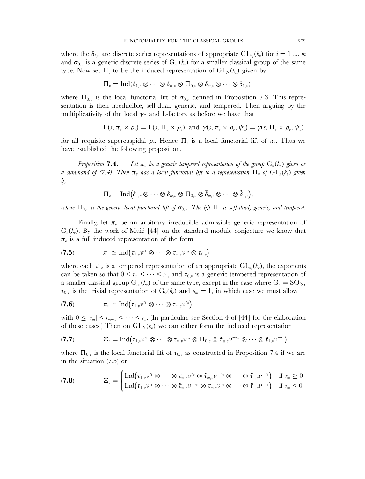where the  $\delta_{i,v}$  are discrete series representations of appropriate  $GL_{n_i}(k_v)$  for  $i=1...$ , m and  $\sigma_{0,v}$  is a generic discrete series of  $G_{n_0}(k_v)$  for a smaller classical group of the same type. Now set  $\Pi_{v}$  to be the induced representation of  $GL_{N}(k_{v})$  given by

$$
\Pi_v = \text{Ind}(\delta_{1,v} \otimes \cdots \otimes \delta_{m,v} \otimes \Pi_{0,v} \otimes \tilde{\delta}_{m,v} \otimes \cdots \otimes \tilde{\delta}_{1,v})
$$

where  $\Pi_{0,v}$  is the local functorial lift of  $\sigma_{0,v}$  defined in Proposition 7.3. This representation is then irreducible, self-dual, generic, and tempered. Then arguing by the multiplicativity of the local  $\gamma$ - and L-factors as before we have that

$$
L(s, \pi_v \times \rho_v) = L(s, \Pi_v \times \rho_v) \text{ and } \gamma(s, \pi_v \times \rho_v, \psi_v) = \gamma(s, \Pi_v \times \rho_v, \psi_v)
$$

for all requisite supercuspidal  $\rho_{\nu}$ . Hence  $\Pi_{\nu}$  is a local functorial lift of  $\pi_{\nu}$ . Thus we have established the following proposition.

*Proposition* **7.4.** — Let  $\pi$ , be a generic tempered representation of the group  $G_n(k_n)$  given as *a* summand of (7.4). Then  $\pi_v$  has a local functorial lift to a representation  $\Pi_v$  of  $GL_n(k_v)$  given *by*

$$
\Pi_v = \mathrm{Ind}(\delta_{1,v} \otimes \cdots \otimes \delta_{m,v} \otimes \Pi_{0,v} \otimes \tilde{\delta}_{m,v} \otimes \cdots \otimes \tilde{\delta}_{1,v}),
$$

*where*  $\Pi_{0,v}$  *is the generic local functorial lift of*  $\sigma_{0,v}$ . The lift  $\Pi_v$  *is self-dual, generic, and tempered.* 

Finally, let  $\pi_{\nu}$  be an arbitrary irreducible admissible generic representation of  $G_n(k_v)$ . By the work of Muic [44] on the standard module conjecture we know that  $\pi_{v}$  is a full induced representation of the form

$$
(\mathbf{7.5}) \qquad \qquad \pi_v \simeq \mathrm{Ind}(\tau_{1,v}v^{r_1} \otimes \cdots \otimes \tau_{m,v}v^{r_m} \otimes \tau_{0,v})
$$

where each  $\tau_{i,v}$  is a tempered representation of an appropriate  $\text{GL}_{n_i}(k_v)$ , the exponents can be taken so that  $0 \leq r_m \leq \cdots \leq r_1$ , and  $\tau_{0,v}$  is a generic tempered representation of a smaller classical group  $G_{n_0}(k_v)$  of the same type, except in the case where  $G_n = SO_{2n}$ ,  $\tau_{0,v}$  is the trivial representation of  $G_0(k_v)$  and  $n_m = 1$ , in which case we must allow

$$
(\mathbf{7.6}) \qquad \qquad \pi_v \simeq \mathrm{Ind}(\tau_{1,v}\nu^{r_1} \otimes \cdots \otimes \tau_{m,v}\nu^{r_m})
$$

with  $0 \leq |r_m| \leq r_{m-1} \leq \cdots \leq r_1$ . (In particular, see Section 4 of [44] for the elaboration of these cases.) Then on  $GL_N(k_v)$  we can either form the induced representation

$$
(\mathbf{7.7}) \qquad \qquad \Xi_v = \mathrm{Ind}(\tau_{1,v}v^{r_1} \otimes \cdots \otimes \tau_{m,v}v^{r_m} \otimes \Pi_{0,v} \otimes \tilde{\tau}_{m,v}v^{-r_m} \otimes \cdots \otimes \tilde{\tau}_{1,v}v^{-r_1})
$$

where  $\Pi_{0,v}$  is the local functorial lift of  $\tau_{0,v}$  as constructed in Proposition 7.4 if we are in the situation (7.5) or

$$
\mathbf{Z}_v = \begin{cases} \text{Ind}(\tau_{1,v}v^{r_1} \otimes \cdots \otimes \tau_{m,v}v^{r_m} \otimes \tilde{\tau}_{m,v}v^{-r_m} \otimes \cdots \otimes \tilde{\tau}_{1,v}v^{-r_1}) & \text{if } r_m \geq 0 \\ \text{Ind}(\tau_{1,v}v^{r_1} \otimes \cdots \otimes \tilde{\tau}_{m,v}v^{-r_m} \otimes \tau_{m,v}v^{r_m} \otimes \cdots \otimes \tilde{\tau}_{1,v}v^{-r_1}) & \text{if } r_m < 0 \end{cases}
$$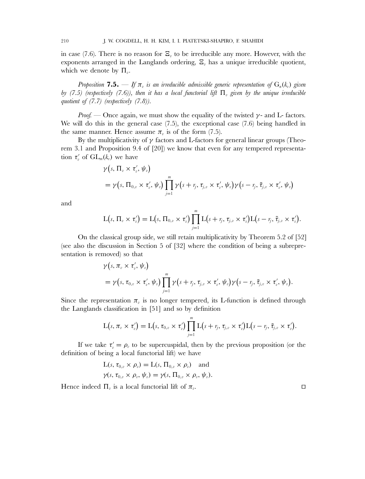in case (7.6). There is no reason for  $\Xi$ <sub>*n*</sub> to be irreducible any more. However, with the exponents arranged in the Langlands ordering,  $\Xi$ <sub>n</sub> has a unique irreducible quotient, which we denote by  $\Pi_{\nu}$ .

*Proposition* **7.5.** — *If*  $\pi_v$  *is an irreducible admissible generic representation of*  $G_n(k_v)$  *given by (7.5) (respectively (7.6)), then it has a local functorial lift*  $\Pi$ <sub>*v</sub> given by the unique irreducible*</sub> *quotient of (7.7) (respectively (7.8)).*

*Proof.* — Once again, we must show the equality of the twisted  $\gamma$ - and L- factors. We will do this in the general case (7.5), the exceptional case (7.6) being handled in the same manner. Hence assume  $\pi_{\nu}$  is of the form (7.5).

By the multiplicativity of  $\gamma$  factors and L-factors for general linear groups (Theorem 3.1 and Proposition 9.4 of [20]) we know that even for any tempered representation  $\tau'_{v}$  of  $GL_m(k_{v})$  we have

$$
\gamma(s, \Pi_v \times \tau'_v, \psi_v)
$$
  
=  $\gamma(s, \Pi_{0,v} \times \tau'_v, \psi_v) \prod_{j=1}^m \gamma(s + r_j, \tau_{j,v} \times \tau'_v, \psi_v) \gamma(s - r_j, \tilde{\tau}_{j,v} \times \tau'_v, \psi_v)$ 

and

$$
L(s,\Pi_v\times \tau'_v)=L(s,\Pi_{0,v}\times \tau'_v)\prod_{j=1}^m L(s+\eta_j,\tau_{j,v}\times \tau'_v)L(s-\eta_j,\tilde \tau_{j,v}\times \tau'_v).
$$

On the classical group side, we still retain multiplicativity by Theorem 5.2 of [52] (see also the discussion in Section 5 of [32] where the condition of being a subrepresentation is removed) so that

$$
\gamma(s, \pi_v \times \tau'_v, \psi_v)
$$
  
=  $\gamma(s, \tau_{0,v} \times \tau'_v, \psi_v) \prod_{j=1}^m \gamma(s + r_j, \tau_{j,v} \times \tau'_v, \psi_v) \gamma(s - r_j, \tilde{\tau}_{j,v} \times \tau'_v, \psi_v).$ 

Since the representation  $\pi_{\nu}$  is no longer tempered, its L-function is defined through the Langlands classification in [51] and so by definition

$$
L(s, \pi_v \times \tau_v') = L(s, \tau_{0,v} \times \tau_v') \prod_{j=1}^m L(s + r_j, \tau_{j,v} \times \tau_v') L(s - r_j, \tilde{\tau}_{j,v} \times \tau_v').
$$

If we take  $\tau'_{v} = \rho_{v}$  to be supercuspidal, then by the previous proposition (or the definition of being a local functorial lift) we have

$$
L(s, \tau_{0,v} \times \rho_v) = L(s, \Pi_{0,v} \times \rho_v) \text{ and}
$$
  

$$
\gamma(s, \tau_{0,v} \times \rho_v, \psi_v) = \gamma(s, \Pi_{0,v} \times \rho_v, \psi_v).
$$

Hence indeed  $\Pi_{v}$  is a local functorial lift of  $\pi_{v}$ .

 $\Box$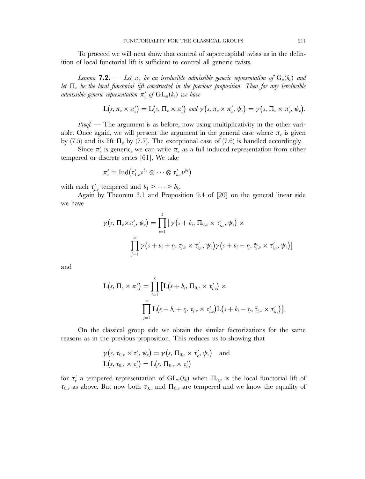To proceed we will next show that control of supercuspidal twists as in the definition of local functorial lift is sufficient to control all generic twists.

*Lemma* **7.2.** — Let  $\pi_{v}$  be an irreducible admissible generic representation of  $G_{n}(k_{v})$  and *let*  $\Pi_n$  *be the local functorial lift constructed in the previous proposition. Then for any irreducible*  $admissible$  generic representation  $\pi_v'$  of  $\operatorname{GL}_m(k_v)$  we have

$$
L(s, \pi_v \times \pi'_v) = L(s, \Pi_v \times \pi'_v) \text{ and } \gamma(s, \pi_v \times \pi'_v, \psi_v) = \gamma(s, \Pi_v \times \pi'_v, \psi_v).
$$

*Proof.* — The argument is as before, now using multiplicativity in the other variable. Once again, we will present the argument in the general case where  $\pi_{\nu}$  is given by (7.5) and its lift  $\Pi_{\nu}$  by (7.7). The exceptional case of (7.6) is handled accordingly.

Since  $\pi'_v$  is generic, we can write  $\pi_v$  as a full induced representation from either tempered or discrete series [61]. We take

$$
\pi'_v \simeq \mathrm{Ind} \bigl(\tau'_{1,v}\nu^{b_1} \otimes \cdots \otimes \tau'_{k,v}\nu^{b_k}\bigr)
$$

with each  $\tau'_{j,v}$  tempered and  $b_1 > \cdots > b_k$ .

Again by Theorem 3.1 and Proposition 9.4 of [20] on the general linear side we have

$$
\gamma(s,\,\Pi_v\times\pi'_v,\,\psi_v)=\prod_{i=1}^k\big[\gamma\big(s+b_i,\,\Pi_{0,v}\times\tau'_{i,v},\,\psi_v\big)\times\\\prod_{j=1}^m\gamma\big(s+b_i+\eta_j,\,\tau_{j,v}\times\tau'_{i,v},\,\psi_v\big)\gamma\big(s+b_i-\eta_j,\,\tilde\tau_{j,v}\times\tau'_{i,v},\,\psi_v\big)\big]
$$

and

$$
L(s, \Pi_v \times \pi'_v) = \prod_{i=1}^k \left[ L(s + b_i, \Pi_{0,v} \times \tau'_{i,v}) \times \prod_{j=1}^m L(s + b_i + \eta_j, \tau_{j,v} \times \tau'_{i,v}) L(s + b_i - \eta_j, \tilde{\tau}_{j,v} \times \tau'_{i,v}) \right].
$$

On the classical group side we obtain the similar factorizations for the same reasons as in the previous proposition. This reduces us to showing that

$$
\gamma(s, \tau_{0,v} \times \tau'_v, \psi_v) = \gamma(s, \Pi_{0,v} \times \tau'_v, \psi_v) \quad \text{and} \quad
$$

$$
L(s, \tau_{0,v} \times \tau'_v) = L(s, \Pi_{0,v} \times \tau'_v)
$$

for  $\tau'_{v}$  a tempered representation of  $GL_{m}(k_{v})$  when  $\Pi_{0,v}$  is the local functorial lift of  $\tau_{0,v}$  as above. But now both  $\tau_{0,v}$  and  $\Pi_{0,v}$  are tempered and we know the equality of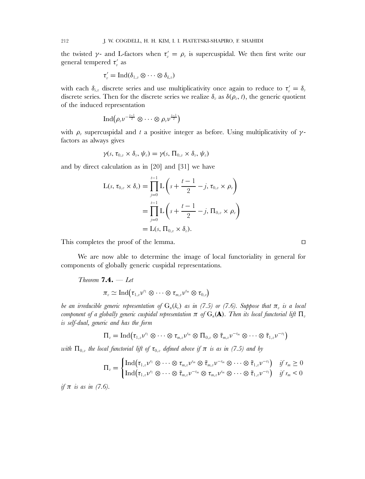the twisted  $\gamma$ - and L-factors when  $\tau'_v = \rho_v$  is supercuspidal. We then first write our general tempered  $\tau'_v$  as

$$
\tau'_v = \operatorname{Ind}(\delta_{1,v} \otimes \cdots \otimes \delta_{k,v})
$$

with each  $\delta_{i,v}$  discrete series and use multiplicativity once again to reduce to  $\tau_v' = \delta_v$ discrete series. Then for the discrete series we realize  $\delta_{\nu}$  as  $\delta(\rho_{\nu},t)$ , the generic quotient of the induced representation

$$
\operatorname{Ind}(\rho_v\nu^{-\frac{t-1}{2}}\otimes\cdots\otimes\rho_v\nu^{\frac{t-1}{2}})
$$

with  $\rho_{\nu}$  supercuspidal and t a positive integer as before. Using multiplicativity of  $\gamma$ factors as always gives

$$
\gamma(s,\,\tau_{0,v}\times\delta_v,\,\psi_v)=\gamma(s,\,\Pi_{0,v}\times\delta_v,\,\psi_v)
$$

and by direct calculation as in [20] and [31] we have

$$
L(s, \tau_{0,v} \times \delta_v) = \prod_{j=0}^{t-1} L\left(s + \frac{t-1}{2} - j, \tau_{0,v} \times \rho_v\right)
$$
  
= 
$$
\prod_{j=0}^{t-1} L\left(s + \frac{t-1}{2} - j, \Pi_{0,v} \times \rho_v\right)
$$
  
= 
$$
L(s, \Pi_{0,v} \times \delta_v).
$$

This completes the proof of the lemma.

We are now able to determine the image of local functoriality in general for components of globally generic cuspidal representations.

Theorem 7.4. — Let  

$$
\pi_v \simeq \mathrm{Ind}(\tau_{1,v}v^{r_1} \otimes \cdots \otimes \tau_{m,v}v^{r_m} \otimes \tau_{0,v})
$$

*be an irreducible generic representation of*  $G_n(k_v)$  *as in (7.5) or (7.6). Suppose that*  $\pi_v$  *is a local component of a globally generic cuspidal representation*  $\pi$  *of*  $G_n(\mathbf{A})$ *. Then its local functorial lift*  $\Pi_v$ *is self-dual, generic and has the form*

$$
\Pi_v = \mathrm{Ind}(\tau_{1,v}\nu^{r_1}\otimes \cdots \otimes \tau_{m,v}\nu^{r_m}\otimes \Pi_{0,v}\otimes \tilde{\tau}_{m,v}\nu^{-r_m}\otimes \cdots \otimes \tilde{\tau}_{1,v}\nu^{-r_1})
$$

*with*  $\Pi_{0,v}$  *the local functorial lift of*  $\tau_{0,v}$  *defined above if*  $\pi$  *is as in (7.5) and by* 

$$
\Pi_v = \begin{cases} \text{Ind}(\tau_{1,v}v^{r_1} \otimes \cdots \otimes \tau_{m,v}v^{r_m} \otimes \tilde{\tau}_{m,v}v^{-r_m} \otimes \cdots \otimes \tilde{\tau}_{1,v}v^{-r_1}) & \text{if } r_m \geq 0 \\ \text{Ind}(\tau_{1,v}v^{r_1} \otimes \cdots \otimes \tilde{\tau}_{m,v}v^{-r_m} \otimes \tau_{m,v}v^{r_m} \otimes \cdots \otimes \tilde{\tau}_{1,v}v^{-r_1}) & \text{if } r_m < 0 \end{cases}
$$

*if* π *is as in (7.6).*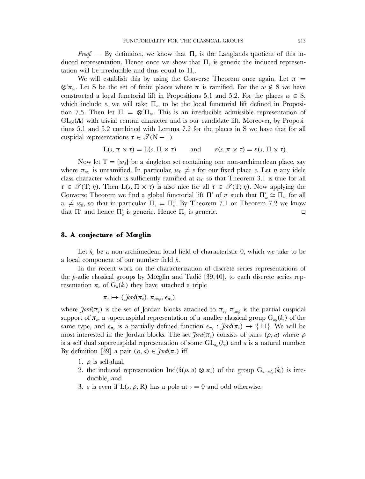*Proof.* — By definition, we know that  $\Pi_{\nu}$  is the Langlands quotient of this induced representation. Hence once we show that  $\Pi_{\eta}$  is generic the induced representation will be irreducible and thus equal to  $\Pi_{\nu}$ .

We will establish this by using the Converse Theorem once again. Let  $\pi$  $\otimes' \pi_w$ . Let S be the set of finite places where  $\pi$  is ramified. For the  $w \notin S$  we have constructed a local functorial lift in Propositions 5.1 and 5.2. For the places  $w \in S$ , which include v, we will take  $\Pi_w$  to be the local functorial lift defined in Proposition 7.5. Then let  $\Pi = \otimes' \Pi_w$ . This is an irreducible admissible representation of  $GL_N(\bf{A})$  with trivial central character and is our candidate lift. Moreover, by Propositions 5.1 and 5.2 combined with Lemma 7.2 for the places in S we have that for all cuspidal representations  $\tau \in \mathcal{T}(N-1)$ 

$$
L(s, \pi \times \tau) = L(s, \Pi \times \tau) \quad \text{and} \quad \varepsilon(s, \pi \times \tau) = \varepsilon(s, \Pi \times \tau).
$$

Now let  $T = \{w_0\}$  be a singleton set containing one non-archimedean place, say where  $\pi_{w_0}$  is unramified. In particular,  $w_0 \neq v$  for our fixed place v. Let  $\eta$  any idele class character which is sufficiently ramified at  $w_0$  so that Theorem 3.1 is true for all  $\tau \in \mathscr{T}(\mathrm{T};\eta)$ . Then  $\mathrm{L}(s,\Pi \times \tau)$  is also nice for all  $\tau \in \mathscr{T}(\mathrm{T};\eta)$ . Now applying the Converse Theorem we find a global functorial lift  $\Pi'$  of  $\pi$  such that  $\Pi'_{w} \simeq \Pi_{w}$  for all  $w \neq w_0$ , so that in particular  $\Pi_v = \Pi'_v$ . By Theorem 7.1 or Theorem 7.2 we know that  $\Pi'$  and hence  $\Pi'_{\nu}$  is generic. Hence  $\Pi_{\nu}$  is generic.  $\Box$ 

# **8. A conjecture of Mœglin**

Let  $k_v$  be a non-archimedean local field of characteristic 0, which we take to be a local component of our number field k.

In the recent work on the characterization of discrete series representations of the  $p$ -adic classical groups by Mœglin and Tadić [39,40], to each discrete series representation  $\pi_{v}$  of  $G_{n}(k_{v})$  they have attached a triple

$$
\pi_v \mapsto (\mathcal{J}\text{ord}(\pi_v), \pi_{\text{cusp}}, \epsilon_{\pi_v})
$$

where  $\tilde{\jmath}$ ord $(\pi_v)$  is the set of Jordan blocks attached to  $\pi_v$ ,  $\pi_{cusp}$  is the partial cuspidal support of  $\pi_v$ , a supercuspidal representation of a smaller classical group  $G_{n_0}(k_v)$  of the same type, and  $\epsilon_{\pi_v}$  is a partially defined function  $\epsilon_{\pi_v} : \mathcal{J}^{ord}(\pi_v) \to {\pm 1}$ . We will be most interested in the Jordan blocks. The set  $\tilde{f}$ *ord*( $\pi$ <sub>*i*</sub>) consists of pairs ( $\rho$ , *a*) where  $\rho$ is a self dual supercuspidal representation of some  $GL_{d_0}(k_v)$  and a is a natural number. By definition [39] a pair  $(\rho, a) \in \mathcal{J}ord(\pi_v)$  iff

- 1.  $\rho$  is self-dual,
- 2. the induced representation Ind( $\delta(\rho, a) \otimes \pi_v$ ) of the group  $G_{n+ad}$  ( $k_v$ ) is irreducible, and
- 3. *a* is even if  $L(s, \rho, R)$  has a pole at  $s = 0$  and odd otherwise.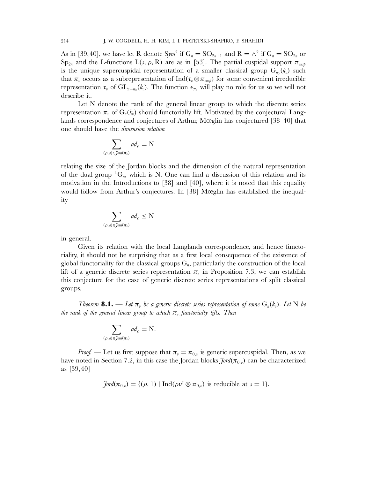As in [39,40], we have let R denote  $Sym^2$  if  $G_n = SO_{2n+1}$  and  $R = \wedge^2$  if  $G_n = SO_{2n}$  or  $\text{Sp}_{2n}$  and the L-functions  $\text{L}(s, \rho, \text{R})$  are as in [53]. The partial cuspidal support  $\pi_{\text{cusp}}$ is the unique supercuspidal representation of a smaller classical group  $G_{n_0}(k_n)$  such that  $\pi_v$  occurs as a subrepresentation of Ind( $\tau_v \otimes \pi_{\text{cusp}}$ ) for some convenient irreducible representation  $\tau_v$  of  $GL_{n-n_0}(k_v)$ . The function  $\epsilon_{\pi_v}$  will play no role for us so we will not describe it.

Let N denote the rank of the general linear group to which the discrete series representation  $\pi_{\nu}$  of  $G_n(k_{\nu})$  should functorially lift. Motivated by the conjectural Langlands correspondence and conjectures of Arthur, Mœglin has conjectured [38–40] that one should have the *dimension relation*

$$
\sum_{(\rho,a)\in\mathop{\text{J}\text{ord}}(\pi_v)}ad_\rho=\textbf{N}
$$

relating the size of the Jordan blocks and the dimension of the natural representation of the dual group  ${}^LG_n$ , which is N. One can find a discussion of this relation and its motivation in the Introductions to [38] and [40], where it is noted that this equality would follow from Arthur's conjectures. In [38] Mœglin has established the inequality

$$
\sum_{(\rho,a)\in\text{J}\text{ord}(\pi_v)}ad_\rho\leq N
$$

in general.

Given its relation with the local Langlands correspondence, and hence functoriality, it should not be surprising that as a first local consequence of the existence of global functoriality for the classical groups  $G_n$ , particularly the construction of the local lift of a generic discrete series representation  $\pi$ , in Proposition 7.3, we can establish this conjecture for the case of generic discrete series representations of split classical groups.

*Theorem* **8.1.** — Let  $\pi_v$  be a generic discrete series representation of some  $G_n(k_v)$ . Let N be *the rank of the general linear group to which*  $\pi$ <sub>*n</sub> functorially lifts. Then*</sub>

$$
\sum_{(\rho,a)\in \text{Jord}(\pi_v)} ad_{\rho} = \mathbf{N}.
$$

*Proof.* — Let us first suppose that  $\pi_v = \pi_{0,v}$  is generic supercuspidal. Then, as we have noted in Section 7.2, in this case the Jordan blocks  $\tilde{\jmath}$ ord( $\pi_{0,v}$ ) can be characterized as [39,40]

$$
\mathcal{J}ord(\pi_{0,v}) = \{(\rho, 1) \mid Ind(\rho v^s \otimes \pi_{0,v}) \text{ is reducible at } s = 1\}.
$$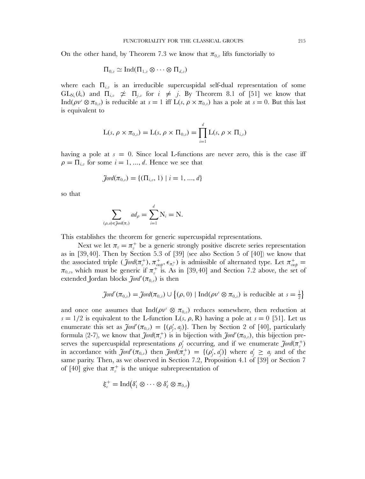On the other hand, by Theorem 7.3 we know that  $\pi_{0,v}$  lifts functorially to

$$
\Pi_{0,v} \simeq \mathrm{Ind}(\Pi_{1,v} \otimes \cdots \otimes \Pi_{d,v})
$$

where each  $\Pi_{i,v}$  is an irreducible supercuspidal self-dual representation of some  $\mathrm{GL}_{N_i}(k_v)$  and  $\Pi_{i,v} \not\cong \Pi_{j,v}$  for  $i \not=j$ . By Theorem 8.1 of [51] we know that Ind( $\rho v^s \otimes \pi_{0,v}$ ) is reducible at  $s = 1$  iff  $L(s, \rho \times \pi_{0,v})$  has a pole at  $s = 0$ . But this last is equivalent to

$$
L(s, \rho \times \pi_{0,v}) = L(s, \rho \times \Pi_{0,v}) = \prod_{i=1}^d L(s, \rho \times \Pi_{i,v})
$$

having a pole at  $s = 0$ . Since local L-functions are never zero, this is the case iff  $\rho = \prod_{i,j}$  for some  $i = 1, ..., d$ . Hence we see that

$$
\tilde{J} \text{ord}(\pi_{0,v}) = \{ (\Pi_{i,v}, 1) \mid i = 1, ..., d \}
$$

so that

$$
\sum_{(\rho,a)\in \tilde{\jmath}^{ord}(\pi_v)}ad_{\rho}=\sum_{i=1}^d N_i=N.
$$

This establishes the theorem for generic supercuspidal representations.

Next we let  $\pi_v = \pi_v^+$  be a generic strongly positive discrete series representation as in [39,40]. Then by Section 5.3 of [39] (see also Section 5 of [40]) we know that the associated triple  $(\tilde{J}ord(\pi_v^+), \pi_{cusp}^+, \epsilon_{\pi_v^+})$  is admissible of alternated type. Let  $\pi_{cusp}^+$  $\pi_{0,v}$ , which must be generic if  $\pi_v^+$  is. As in [39,40] and Section 7.2 above, the set of extended Jordan blocks  $\tilde{\mathcal{J}}ord'(\pi_{0,v})$  is then

$$
\tilde{\mathcal{J}}ord'(\pi_{0,v}) = \tilde{\mathcal{J}}ord(\pi_{0,v}) \cup \{(\rho, 0) \mid Ind(\rho v^s \otimes \pi_{0,v}) \text{ is reducible at } s = \frac{1}{2}\}
$$

and once one assumes that  $Ind(\rho v^s \otimes \pi_{0,v})$  reduces somewhere, then reduction at  $s = 1/2$  is equivalent to the L-function  $L(s, \rho, R)$  having a pole at  $s = 0$  [51]. Let us enumerate this set as  $\tilde{J}$ ord' $(\pi_{0,v}) = \{(\rho'_j, a_j)\}\$ . Then by Section 2 of [40], particularly formula (2-7), we know that  $\tilde{\jmath}$ *ord* $(\pi_v^+)$  is in bijection with  $\tilde{\jmath}$ *ord* $'(\pi_{0,v})$ , this bijection preserves the supercuspidal representations  $\rho'_j$  occurring, and if we enumerate  $\tilde{J}$ ord $(\pi_v^+)$ in accordance with  $\tilde{j}$ ord'( $\pi_{0,v}$ ) then  $\tilde{j}$ ord( $\pi_v^+$ ) = {( $\rho'_j$ ,  $a'_j$ )} where  $a'_j \ge a_j$  and of the same parity. Then, as we observed in Section 7.2, Proposition 4.1 of [39] or Section 7 of [40] give that  $\pi_v^+$  is the unique subrepresentation of

$$
\xi_v^+ = \operatorname{Ind} \bigl( \delta_1' \otimes \cdots \otimes \delta_\ell' \otimes \pi_{0,v} \bigr)
$$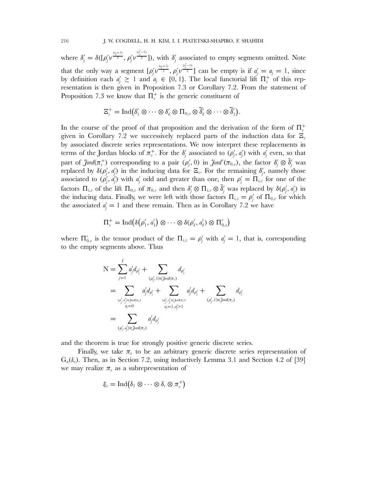where  $\delta'_{j} = \delta([\rho'_{j} v^{\frac{(a_{j}+1)}{2}}, \rho'_{j} v]$  $\frac{(\alpha_j^{(-1)})}{2}]$ ), with  $\delta_j'$  associated to empty segments omitted. Note that the only way a segment  $[\rho_j'v^{\frac{(a_j+1)}{2}},\rho_j'v]$  $\frac{a_j^{(-1)}}{2}$  can be empty is if  $a_j' = a_j = 1$ , since by definition each  $a'_j \geq 1$  and  $a_j \in \{0, 1\}$ . The local functorial lift  $\Pi_v^+$  of this representation is then given in Proposition 7.3 or Corollary 7.2. From the statement of Proposition 7.3 we know that  $\Pi_v^+$  is the generic constituent of

$$
\Xi_{v}^{+}=\operatorname{Ind}(\delta_{1}'\otimes\cdots\otimes\delta_{\ell}'\otimes\Pi_{0,v}\otimes\widetilde{\delta}_{\ell}'\otimes\cdots\otimes\widetilde{\delta}_{1}').
$$

In the course of the proof of that proposition and the derivation of the form of  $\Pi_v^+$ given in Corollary 7.2 we successively replaced parts of the induction data for  $\Xi_{\nu}$ by associated discrete series representations. We now interpret these replacements in terms of the Jordan blocks of  $\pi^+_v$ . For the  $\delta'_j$  associated to  $(\rho'_j, a'_j)$  with  $a'_j$  even, so that part of  $\tilde{J}$ ord $(\pi_v^+)$  corresponding to a pair  $(\rho'_j, 0)$  in  $\tilde{J}$ ord' $(\pi_{0,v})$ , the factor  $\delta'_j \otimes \tilde{\delta}'_j$  was replaced by  $\delta(\rho'_j, a'_j)$  in the inducing data for  $\Xi_v$ . For the remaining  $\delta'_j$ , namely those associated to  $(\rho'_j, \dot{a'_j})$  with  $a'_j$  odd and greater than one, then  $\rho'_j = \prod_{i,j}$  for one of the factors  $\Pi_{i,v}$  of the lift  $\Pi_{0,v}$  of  $\pi_{0,v}$  and then  $\delta'_j \otimes \Pi_{i,v} \otimes \tilde{\delta}'_j$  was replaced by  $\delta(\rho'_j, d'_j)$  in the inducing data. Finally, we were left with those factors  $\Pi_{i,v} = \rho'_j$  of  $\Pi_{0,v}$  for which the associated  $a'_j = 1$  and these remain. Then as in Corollary 7.2 we have

$$
\Pi_v^+ = \mathrm{Ind}(\delta(\rho'_1, a'_1) \otimes \cdots \otimes \delta(\rho'_\ell, a'_\ell) \otimes \Pi'_{0,v})
$$

where  $\Pi'_{0,v}$  is the tensor product of the  $\Pi_{i,v} = \rho'_j$  with  $a'_j = 1$ , that is, corresponding to the empty segments above. Thus

$$
N = \sum_{j=1}^{\ell} a'_j d_{\rho'_j} + \sum_{(o'_j, 1) \in \text{Jord}(\pi_v)} d_{\rho'_j}
$$
  
\n
$$
= \sum_{(o'_j, a'_j) \in \text{Jord}(\pi_v)} a'_j d_{\rho'_j} + \sum_{(o'_j, a'_j) \in \text{Jord}(\pi_v)} a'_j d_{\rho'_j} + \sum_{(o'_j, 1) \in \text{Jord}(\pi_v)} d_{\rho'_j}
$$
  
\n
$$
= \sum_{(o'_j, a'_j) \in \text{Jord}(\pi_v)} a'_j d_{\rho'_j}
$$

and the theorem is true for strongly positive generic discrete series.

Finally, we take  $\pi$  to be an arbitrary generic discrete series representation of  $G_n(k_v)$ . Then, as in Section 7.2, using inductively Lemma 3.1 and Section 4.2 of [39] we may realize  $\pi_{v}$  as a subrepresentation of

$$
\xi_v = \operatorname{Ind}(\delta_1 \otimes \cdots \otimes \delta_r \otimes \pi_v^+)
$$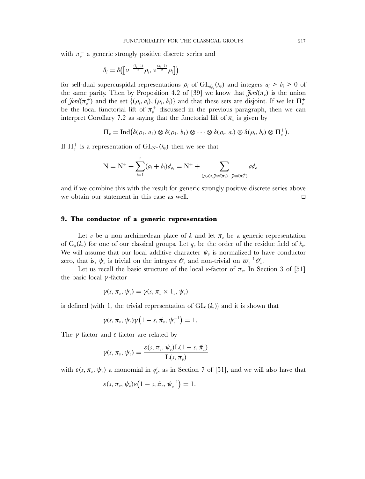with  $\pi_v^+$  a generic strongly positive discrete series and

$$
\delta_i = \delta\big(\big[\nu^{-\frac{(b_i-1)}{2}}\rho_i,\nu^{\frac{(a_i-1)}{2}}\rho_i\big]\big)
$$

for self-dual supercuspidal representations  $\rho_i$  of  $GL_{d_{\rho_i}}(k_v)$  and integers  $a_i > b_i > 0$  of the same parity. Then by Proposition 4.2 of [39] we know that  $\tilde{f} \circ \tilde{f}(\pi_v)$  is the union of  $\tilde{J}ord(\pi_v^+)$  and the set  $\{(\rho_i, a_i), (\rho_i, b_i)\}\$  and that these sets are disjoint. If we let  $\Pi_v^+$ be the local functorial lift of  $\pi_v^+$  discussed in the previous paragraph, then we can interpret Corollary 7.2 as saying that the functorial lift of  $\pi_{\nu}$  is given by

$$
\Pi_v = \mathrm{Ind}(\delta(\rho_1, a_1) \otimes \delta(\rho_1, b_1) \otimes \cdots \otimes \delta(\rho_r, a_r) \otimes \delta(\rho_r, b_r) \otimes \Pi_v^+).
$$

If  $\Pi_v^+$  is a representation of  $GL_{N^+}(k_v)$  then we see that

$$
N = N^{+} + \sum_{i=1}^{r} (a_{i} + b_{i}) d_{\rho_{i}} = N^{+} + \sum_{(\rho, a) \in \text{Jord}(\pi_{v}) - \text{Jord}(\pi_{v}^{+})} ad_{\rho}
$$

and if we combine this with the result for generic strongly positive discrete series above we obtain our statement in this case as well.  $\Box$ 

# **9. The conductor of a generic representation**

Let v be a non-archimedean place of k and let  $\pi$ <sub>v</sub> be a generic representation of  $G_n(k_v)$  for one of our classical groups. Let  $q_v$  be the order of the residue field of  $k_v$ . We will assume that our local additive character  $\psi_{\nu}$  is normalized to have conductor zero, that is,  $\psi_v$  is trivial on the integers  $\mathscr{O}_v$  and non-trivial on  $\varpi_v^{-1}\mathscr{O}_v$ .

Let us recall the basic structure of the local  $\varepsilon$ -factor of  $\pi_{v}$ . In Section 3 of [51] the basic local  $\gamma$ -factor

$$
\gamma(s,\pi_v,\psi_v)=\gamma(s,\pi_v\times 1_v,\psi_v)
$$

is defined (with  $l_v$  the trivial representation of  $GL_1(k_v)$ ) and it is shown that

$$
\gamma(s,\pi_v,\psi_v)\gamma(1-s,\tilde{\pi}_v,\psi_v^{-1})=1.
$$

The  $\gamma$ -factor and  $\varepsilon$ -factor are related by

$$
\gamma(s,\pi_v,\psi_v)=\frac{\varepsilon(s,\pi_v,\psi_v)\mathrm{L}(1-s,\tilde{\pi}_v)}{\mathrm{L}(s,\pi_v)}
$$

with  $\varepsilon(s, \pi_v, \psi_v)$  a monomial in  $q_v^s$ , as in Section 7 of [51], and we will also have that

$$
\varepsilon(s,\pi_v,\psi_v)\varepsilon\big(1-s,\tilde{\pi}_v,\psi_v^{-1}\big)=1.
$$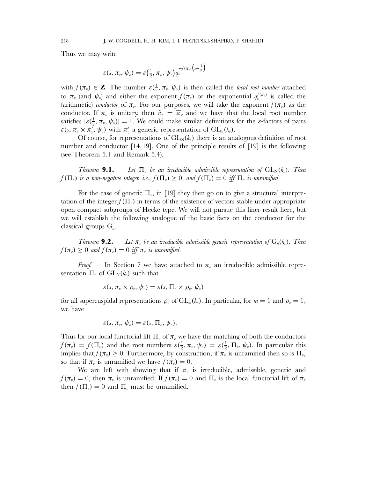Thus we may write

$$
\varepsilon(s,\pi_v,\psi_v)=\varepsilon\left(\frac{1}{2},\pi_v,\psi_v\right)q_v^{-f(\pi_v)\left(s-\frac{1}{2}\right)}
$$

with  $f(\pi_v) \in \mathbf{Z}$ . The number  $\varepsilon(\frac{1}{2}, \pi_v, \psi_v)$  is then called the *local root number* attached to  $\pi_v$  (and  $\psi_v$ ) and either the exponent  $f(\pi_v)$  or the exponential  $q_v^{f(\pi_v)}$  is called the (arithmetic) *conductor* of  $\pi_{v}$ . For our purposes, we will take the exponent  $f(\pi_{v})$  as the conductor. If  $\pi_v$  is unitary, then  $\tilde{\pi}_v = \overline{\pi}_v$  and we have that the local root number satisfies  $|\varepsilon(\frac{1}{2}, \pi_v, \psi_v)| = 1$ . We could make similar definitions for the  $\varepsilon$ -factors of pairs  $\varepsilon(s, \pi_v \times \pi_v^{\overline{\prime}}, \psi_v)$  with  $\pi_v^{\prime}$  a generic representation of  $GL_m(k_v)$ .

Of course, for representations of  $GL_N(k_v)$  there is an analogous definition of root number and conductor [14,19]. One of the principle results of [19] is the following (see Theorem 5.1 and Remark 5.4).

*Theorem* **9.1.** — Let  $\Pi_{v}$  be an irreducible admissible representation of  $GL_{N}(k_{v})$ . Then  $f(\Pi_v)$  *is a non-negative integer, i.e.,*  $f(\Pi_v) \geq 0$ *, and*  $f(\Pi_v) = 0$  *iff*  $\Pi_v$  *is unramified.* 

For the case of generic  $\Pi_{v}$ , in [19] they then go on to give a structural interpretation of the integer  $f(\Pi_{\nu})$  in terms of the existence of vectors stable under appropriate open compact subgroups of Hecke type. We will not pursue this finer result here, but we will establish the following analogue of the basic facts on the conductor for the classical groups  $G_n$ .

*Theorem* **9.2.** — Let  $\pi_v$  be an irreducible admissible generic representation of  $G_n(k_v)$ . Then  $f(\pi_v) \geq 0$  and  $f(\pi_v) = 0$  iff  $\pi_v$  is unramified.

*Proof.* — In Section 7 we have attached to  $\pi$ , an irreducible admissible representation  $\Pi_{v}$  of  $GL_{N}(k_{v})$  such that

$$
\varepsilon(s,\pi_v\times\rho_v,\psi_v)=\varepsilon(s,\Pi_v\times\rho_v,\psi_v)
$$

for all supercuspidal representations  $\rho_v$  of  $GL_m(k_v)$ . In particular, for  $m = 1$  and  $\rho_v = 1_v$ we have

$$
\varepsilon(s,\pi_v,\psi_v)=\varepsilon(s,\Pi_v,\psi_v).
$$

Thus for our local functorial lift  $\Pi_{\nu}$  of  $\pi_{\nu}$  we have the matching of both the conductors  $f(\pi_v) = f(\Pi_v)$  and the root numbers  $\varepsilon(\frac{1}{2}, \pi_v, \psi_v) = \varepsilon(\frac{1}{2}, \Pi_v, \psi_v)$ . In particular this implies that  $f(\pi_v) \geq 0$ . Furthermore, by construction, if  $\pi_v$  is unramified then so is  $\Pi_v$ , so that if  $\pi_{\nu}$  is unramified we have  $f(\pi_{\nu}) = 0$ .

We are left with showing that if  $\pi_{v}$  is irreducible, admissible, generic and  $f(\pi_v) = 0$ , then  $\pi_v$  is unramified. If  $f(\pi_v) = 0$  and  $\Pi_v$  is the local functorial lift of  $\pi_v$ then  $f(\Pi_v) = 0$  and  $\Pi_v$  must be unramified.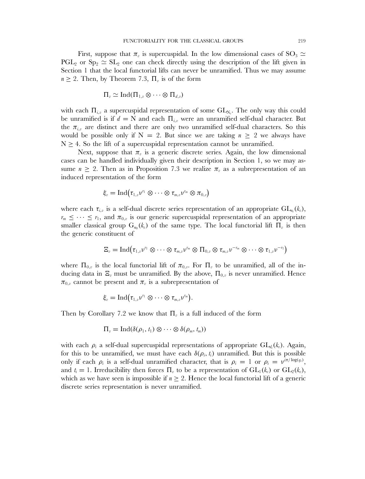First, suppose that  $\pi_{\eta}$  is supercuspidal. In the low dimensional cases of SO<sub>3</sub>  $\simeq$ PGL<sub>2</sub> or S<sub>p<sub>2</sub>  $\simeq$  SL<sub>2</sub> one can check directly using the description of the lift given in</sub> Section 1 that the local functorial lifts can never be unramified. Thus we may assume  $n \geq 2$ . Then, by Theorem 7.3,  $\Pi_v$  is of the form

$$
\Pi_v \simeq \operatorname{Ind}(\Pi_{1,v} \otimes \cdots \otimes \Pi_{d,v})
$$

with each  $\Pi_{i,v}$  a supercuspidal representation of some  $\text{GL}_{N_i}$ . The only way this could be unramified is if  $d = N$  and each  $\Pi_{i,v}$  were an unramified self-dual character. But the  $\pi_{i,\nu}$  are distinct and there are only two unramified self-dual characters. So this would be possible only if  $N = 2$ . But since we are taking  $n \geq 2$  we always have  $N \geq 4$ . So the lift of a supercuspidal representation cannot be unramified.

Next, suppose that  $\pi_{\eta}$  is a generic discrete series. Again, the low dimensional cases can be handled individually given their description in Section 1, so we may assume  $n \geq 2$ . Then as in Proposition 7.3 we realize  $\pi_{\nu}$  as a subrepresentation of an induced representation of the form

$$
\xi_v = \mathop{\operatorname{Ind}}\nolimits \bigl( \tau_{1,v} \nu^{r_1} \otimes \cdots \otimes \tau_{m,v} \nu^{r_m} \otimes \pi_{0,v} \bigr)
$$

where each  $\tau_{i,v}$  is a self-dual discrete series representation of an appropriate  $GL_{n_i}(k_v)$ ,  $r_m \leq \cdots \leq r_1$ , and  $\pi_{0,v}$  is our generic supercuspidal representation of an appropriate smaller classical group  $G_{n_0}(k_v)$  of the same type. The local functorial lift  $\Pi_v$  is then the generic constituent of

$$
\Xi_v = \mathrm{Ind}(\tau_{1,v}\nu^{r_1}\otimes \cdots \otimes \tau_{m,v}\nu^{r_m}\otimes \Pi_{0,v}\otimes \tau_{m,v}\nu^{-r_m}\otimes \cdots \otimes \tau_{1,v}\nu^{-r_1})
$$

where  $\Pi_{0,v}$  is the local functorial lift of  $\pi_{0,v}$ . For  $\Pi_{v}$  to be unramified, all of the inducing data in  $\Xi_v$  must be unramified. By the above,  $\Pi_{0,v}$  is never unramified. Hence  $\pi_{0,v}$  cannot be present and  $\pi_v$  is a subrepresentation of

$$
\xi_v = \mathrm{Ind}(\tau_{1,v}v^{r_1} \otimes \cdots \otimes \tau_{m,v}v^{r_m}).
$$

Then by Corollary 7.2 we know that  $\Pi_{\nu}$  is a full induced of the form

$$
\Pi_v = \operatorname{Ind}(\delta(\rho_1, t_1) \otimes \cdots \otimes \delta(\rho_m, t_m))
$$

with each  $\rho_i$  a self-dual supercuspidal representations of appropriate  $GL_{d_i}(k_v)$ . Again, for this to be unramified, we must have each  $\delta(\rho_i,t_i)$  unramified. But this is possible only if each  $\rho_i$  is a self-dual unramified character, that is  $\rho_i = 1$  or  $\rho_i = v^{i\pi/\log(q_i)}$ , and  $t_i = 1$ . Irreducibility then forces  $\Pi_{v}$  to be a representation of  $GL_1(k_v)$  or  $GL_2(k_v)$ , which as we have seen is impossible if  $n \geq 2$ . Hence the local functorial lift of a generic discrete series representation is never unramified.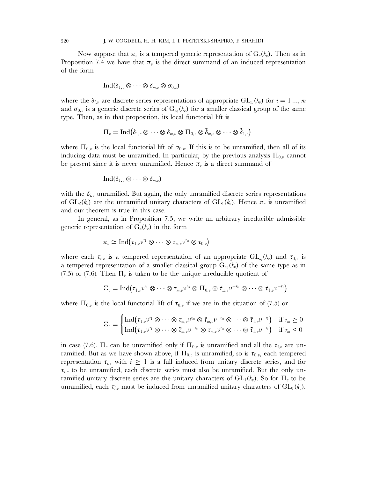Now suppose that  $\pi_{\eta}$  is a tempered generic representation of  $G_n(k_{\eta})$ . Then as in Proposition 7.4 we have that  $\pi_{\nu}$  is the direct summand of an induced representation of the form

$$
\operatorname{Ind}(\delta_{1,v}\otimes\cdots\otimes\delta_{m,v}\otimes\sigma_{0,v})
$$

where the  $\delta_{i,v}$  are discrete series representations of appropriate  $GL_{n_i}(k_v)$  for  $i=1...$ , m and  $\sigma_{0,v}$  is a generic discrete series of  $G_{n_0}(k_v)$  for a smaller classical group of the same type. Then, as in that proposition, its local functorial lift is

$$
\Pi_v = \operatorname{Ind}(\delta_{1,v} \otimes \cdots \otimes \delta_{m,v} \otimes \Pi_{0,v} \otimes \tilde{\delta}_{m,v} \otimes \cdots \otimes \tilde{\delta}_{1,v})
$$

where  $\Pi_{0,v}$  is the local functorial lift of  $\sigma_{0,v}$ . If this is to be unramified, then all of its inducing data must be unramified. In particular, by the previous analysis  $\Pi_{0,v}$  cannot be present since it is never unramified. Hence  $\pi_{\nu}$  is a direct summand of

$$
\operatorname{Ind}(\delta_{1,v}\otimes\cdots\otimes\delta_{m,v})
$$

with the  $\delta_{i,v}$  unramified. But again, the only unramified discrete series representations of  $GL_d(k_v)$  are the unramified unitary characters of  $GL_1(k_v)$ . Hence  $\pi_v$  is unramified and our theorem is true in this case.

In general, as in Proposition 7.5, we write an arbitrary irreducible admissible generic representation of  $G_n(k_n)$  in the form

$$
\pi_{v}\simeq \mathrm{Ind}\big(\tau_{1,v}\nu^{r_{1}}\otimes\cdots\otimes\tau_{m,v}\nu^{r_{m}}\otimes\tau_{0,v}\big)
$$

where each  $\tau_{i,v}$  is a tempered representation of an appropriate  $\mathrm{GL}_{n_i}(k_v)$  and  $\tau_{0,v}$  is a tempered representation of a smaller classical group  $G_{n_0}(k_v)$  of the same type as in (7.5) or (7.6). Then  $\Pi_{\nu}$  is taken to be the unique irreducible quotient of

$$
\Xi_v = \mathrm{Ind}(\tau_{1,v}\nu^{r_1}\otimes \cdots \otimes \tau_{m,v}\nu^{r_m}\otimes \Pi_{0,v}\otimes \tilde{\tau}_{m,v}\nu^{-r_m}\otimes \cdots \otimes \tilde{\tau}_{1,v}\nu^{-r_1})
$$

where  $\Pi_{0,v}$  is the local functorial lift of  $\tau_{0,v}$  if we are in the situation of (7.5) or

$$
\Xi_v = \begin{cases} \text{Ind}(\tau_{1,v}\nu^{r_1} \otimes \cdots \otimes \tau_{m,v}\nu^{r_m} \otimes \tilde{\tau}_{m,v}\nu^{-r_m} \otimes \cdots \otimes \tilde{\tau}_{1,v}\nu^{-r_1}) & \text{if } r_m \geq 0 \\ \text{Ind}(\tau_{1,v}\nu^{r_1} \otimes \cdots \otimes \tilde{\tau}_{m,v}\nu^{-r_m} \otimes \tau_{m,v}\nu^{r_m} \otimes \cdots \otimes \tilde{\tau}_{1,v}\nu^{-r_1}) & \text{if } r_m < 0 \end{cases}
$$

in case (7.6).  $\Pi_{\nu}$  can be unramified only if  $\Pi_{0,\nu}$  is unramified and all the  $\tau_{i,\nu}$  are unramified. But as we have shown above, if  $\Pi_{0,v}$  is unramified, so is  $\tau_{0,v}$ , each tempered representation  $\tau_{i,v}$  with  $i \geq 1$  is a full induced from unitary discrete series, and for  $\tau_{i,v}$  to be unramified, each discrete series must also be unramified. But the only unramified unitary discrete series are the unitary characters of  $GL_1(k_v)$ . So for  $\Pi_v$  to be unramified, each  $\tau_{i,v}$  must be induced from unramified unitary characters of  $GL_1(k_v)$ .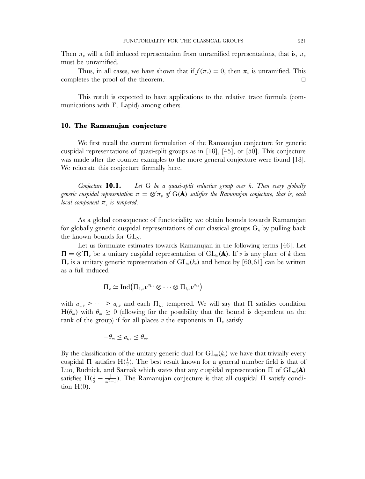Then  $\pi_{\nu}$  will a full induced representation from unramified representations, that is,  $\pi_{\nu}$ must be unramified.

Thus, in all cases, we have shown that if  $f(\pi_n) = 0$ , then  $\pi_n$  is unramified. This completes the proof of the theorem.  $\Box$ 

This result is expected to have applications to the relative trace formula (communications with E. Lapid) among others.

## **10. The Ramanujan conjecture**

We first recall the current formulation of the Ramanujan conjecture for generic cuspidal representations of quasi-split groups as in [18], [45], or [50]. This conjecture was made after the counter-examples to the more general conjecture were found [18]. We reiterate this conjecture formally here.

*Conjecture* **10.1.** — *Let* G *be a quasi-split reductive group over* k*. Then every globally* generic cuspidal representation  $\pi = \otimes' \pi_v$  of  $\mathrm{G}(\mathbf{A})$  satisfies the Ramanujan conjecture, that is, each *local component*  $\pi_v$  *is tempered.* 

As a global consequence of functoriality, we obtain bounds towards Ramanujan for globally generic cuspidal representations of our classical groups  $G_n$  by pulling back the known bounds for  $GL_N$ .

Let us formulate estimates towards Ramanujan in the following terms [46]. Let  $\Pi = \otimes' \Pi_v$  be a unitary cuspidal representation of  $GL_m(\mathbf{A})$ . If v is any place of k then  $\Pi_{v}$  is a unitary generic representation of  $GL_{m}(k_{v})$  and hence by [60,61] can be written as a full induced

$$
\Pi_v \simeq \mathrm{Ind} \big( \Pi_{1,v} \nu^{a_{1,v}} \otimes \cdots \otimes \Pi_{t,v} \nu^{a_{t,v}} \big)
$$

with  $a_{1,v} > \cdots > a_{t,v}$  and each  $\Pi_{i,v}$  tempered. We will say that  $\Pi$  satisfies condition  $H(\theta_m)$  with  $\theta_m \geq 0$  (allowing for the possibility that the bound is dependent on the rank of the group) if for all places v the exponents in  $\Pi_{\nu}$  satisfy

$$
-\theta_m \leq a_{i,v} \leq \theta_m.
$$

By the classification of the unitary generic dual for  $GL_m(k_v)$  we have that trivially every cuspidal  $\Pi$  satisfies  $H(\frac{1}{2})$ . The best result known for a general number field is that of Luo, Rudnick, and Sarnak which states that any cuspidal representation Π of  $GL_m(A)$ satisfies  $H(\frac{1}{2} - \frac{1}{m^2+1})$ . The Ramanujan conjecture is that all cuspidal  $\Pi$  satisfy condition  $H(0)$ .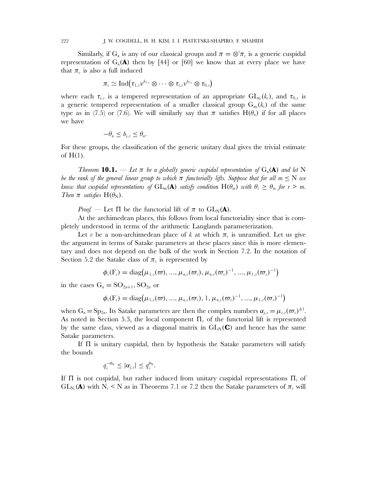Similarly, if G<sub>n</sub> is any of our classical groups and  $\pi = \otimes' \pi_v$  is a generic cuspidal representation of  $G_n(\mathbf{A})$  then by [44] or [60] we know that at every place we have that  $\pi_{\eta}$  is also a full induced

$$
\pi_v \simeq \mathrm{Ind} \bigl( \tau_{1,v} \nu^{b_{1,v}} \otimes \cdots \otimes \tau_{t,v} \nu^{b_{t,v}} \otimes \tau_{0,v} \bigr)
$$

where each  $\tau_{i,v}$  is a tempered representation of an appropriate  $\text{GL}_{n_i}(k_v)$ , and  $\tau_{0,v}$  is a generic tempered representation of a smaller classical group  $G_{n_0}(k_v)$  of the same type as in (7.5) or (7.6). We will similarly say that  $\pi$  satisfies  $H(\theta_n)$  if for all places we have

$$
-\theta_n \le b_{i,v} \le \theta_n.
$$

For these groups, the classification of the generic unitary dual gives the trivial estimate of  $H(1)$ .

*Theorem* **10.1.** — Let  $\pi$  be a globally generic cuspidal representation of  $G_n(\mathbf{A})$  and let N *be the rank of the general linear group to which*  $\pi$  *functorially lifts. Suppose that for all*  $m \leq N$  *we know that cuspidal representations of*  $GL_m(\mathbf{A})$  *satisfy condition*  $H(\theta_m)$  *with*  $\theta_r \geq \theta_m$  *for*  $r > m$ *. Then*  $\pi$  *satisfies*  $H(\theta_N)$ *.* 

*Proof.* — Let  $\Pi$  be the functorial lift of  $\pi$  to  $GL_N(\mathbf{A})$ .

At the archimedean places, this follows from local functoriality since that is completely understood in terms of the arithmetic Langlands parameterization.

Let v be a non-archimedean place of k at which  $\pi$ <sub>n</sub> is unramified. Let us give the argument in terms of Satake parameters at these places since this is more elementary and does not depend on the bulk of the work in Section 7.2. In the notation of Section 5.2 the Satake class of  $\pi_{\nu}$  is represented by

$$
\bm{\phi}_{v}(\bm{\mathrm{F}}_{v}) = \mathrm{diag}\big(\mu_{1,v}(\varpi),...,\mu_{n,v}(\varpi_{v}),\mu_{n,v}(\varpi_{v})^{-1},...,\mu_{1,v}(\varpi_{v})^{-1}\big)
$$

in the cases  $G_n = SO_{2n+1}$ ,  $SO_{2n}$  or

$$
\phi_{v}(\mathbf{F}_{v}) = \mathrm{diag}(\mu_{1,v}(\varpi), ..., \mu_{n,v}(\varpi_{v}), 1, \mu_{n,v}(\varpi_{v})^{-1}, ..., \mu_{1,v}(\varpi_{v})^{-1})
$$

when  $G_n = Sp_{2n}$ . Its Satake parameters are then the complex numbers  $\alpha_{j,v} = \mu_{i,v}(\varpi_v)^{\pm 1}$ . As noted in Section 5.3, the local component  $\Pi_{\nu}$  of the functorial lift is represented by the same class, viewed as a diagonal matrix in  $GL_N(\mathbf{C})$  and hence has the same Satake parameters.

If  $\Pi$  is unitary cuspidal, then by hypothesis the Satake parameters will satisfy the bounds

$$
q_v^{-\theta_N} \leq |\alpha_{j,v}| \leq q_v^{\theta_N}.
$$

If  $\Pi$  is not cuspidal, but rather induced from unitary cuspidal representations  $\Pi_i$  of  $GL_{N_i}(A)$  with  $N_i \leq N$  as in Theorems 7.1 or 7.2 then the Satake parameters of  $\pi_{\nu}$  will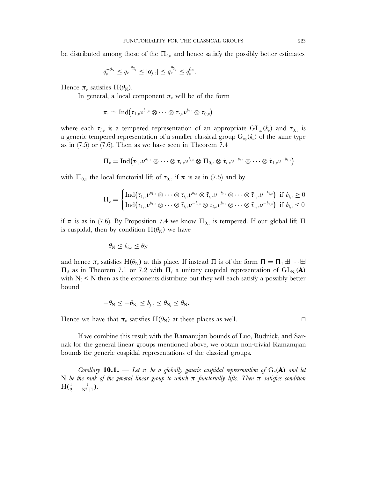be distributed among those of the  $\Pi_{i,v}$  and hence satisfy the possibly better estimates

$$
q_v^{-\theta_N} \leq q_v^{-\theta_{N_i}} \leq |\alpha_{j,v}| \leq q_v^{\theta_{N_i}} \leq q_v^{\theta_N}.
$$

Hence  $\pi_v$  satisfies H( $\theta_N$ ).

In general, a local component  $\pi_v$  will be of the form

$$
\pi_{\scriptscriptstyle{v}} \simeq \mathrm{Ind} \big(\tau_{1,\scriptscriptstyle{v}} \nu^{b_{1,\scriptscriptstyle{v}}} \otimes \cdots \otimes \tau_{t,\scriptscriptstyle{v}} \nu^{b_{t,\scriptscriptstyle{v}}} \otimes \tau_{0,\scriptscriptstyle{v}}\big)
$$

where each  $\tau_{i,v}$  is a tempered representation of an appropriate  $\mathrm{GL}_{n_i}(k_v)$  and  $\tau_{0,v}$  is a generic tempered representation of a smaller classical group  $G_{n_0}(k_v)$  of the same type as in (7.5) or (7.6). Then as we have seen in Theorem 7.4

$$
\Pi_v = \mathrm{Ind}(\tau_{1,v}\nu^{b_{1,v}}\otimes \cdots \otimes \tau_{t,v}\nu^{b_{t,v}}\otimes \Pi_{0,v}\otimes \tilde{\tau}_{t,v}\nu^{-b_{t,v}}\otimes \cdots \otimes \tilde{\tau}_{1,v}\nu^{-b_{1,v}})
$$

with  $\Pi_{0,v}$  the local functorial lift of  $\tau_{0,v}$  if  $\pi$  is as in (7.5) and by

$$
\Pi_v = \begin{cases} \mathrm{Ind}(\tau_{1,v}v^{b_{1,v}} \otimes \cdots \otimes \tau_{t,v}v^{b_{t,v}} \otimes \tilde{\tau}_{t,v}v^{-b_{t,v}} \otimes \cdots \otimes \tilde{\tau}_{1,v}v^{-b_{1,v}}) & \text{if } b_{t,v} \geq 0 \\ \mathrm{Ind}(\tau_{1,v}v^{b_{1,v}} \otimes \cdots \otimes \tilde{\tau}_{t,v}v^{-b_{t,v}} \otimes \tau_{t,v}v^{b_{t,v}} \otimes \cdots \otimes \tilde{\tau}_{1,v}v^{-b_{1,v}}) & \text{if } b_{t,v} < 0 \end{cases}
$$

if π is as in (7.6). By Proposition 7.4 we know  $\Pi_{0,v}$  is tempered. If our global lift  $\Pi$ is cuspidal, then by condition  $H(\theta_N)$  we have

 $-\theta_{\rm N} \leq b_{i\rm m} \leq \theta_{\rm N}$ 

and hence  $\pi_v$  satisfies  $H(\theta_N)$  at this place. If instead  $\Pi$  is of the form  $\Pi = \Pi_1 \boxplus \cdots \boxplus$  $\Pi_d$  as in Theorem 7.1 or 7.2 with  $\Pi_i$  a unitary cuspidal representation of  $GL_{N_i}($ **A**) with  $N_i \leq N$  then as the exponents distribute out they will each satisfy a possibly better bound

$$
-\theta_{N} \leq -\theta_{N_i} \leq b_{j,v} \leq \theta_{N_i} \leq \theta_{N}.
$$

Hence we have that  $\pi_{\nu}$  satisfies  $H(\theta_N)$  at these places as well.

If we combine this result with the Ramanujan bounds of Luo, Rudnick, and Sarnak for the general linear groups mentioned above, we obtain non-trivial Ramanujan bounds for generic cuspidal representations of the classical groups.

*Corollary* **10.1.** — Let  $\pi$  be a globally generic cuspidal representation of  $G_n(\mathbf{A})$  and let N *be the rank of the general linear group to which* π *functorially lifts. Then* π *satisfies condition*  $H(\frac{1}{2}-\frac{1}{N^2+1}).$ 

 $\Box$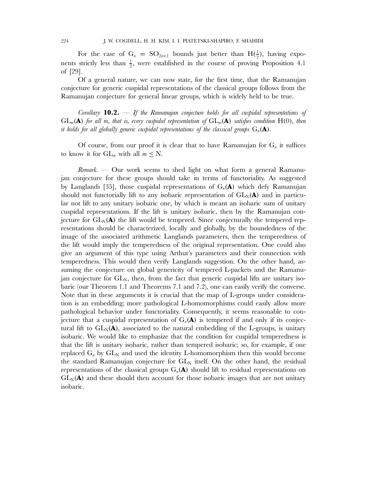For the case of  $G_n = SO_{2n+1}$  bounds just better than  $H(\frac{1}{2})$ , having exponents strictly less than  $\frac{1}{2}$ , were established in the course of proving Proposition 4.1 of [29].

Of a general nature, we can now state, for the first time, that the Ramanujan conjecture for generic cuspidal representations of the classical groups follows from the Ramanujan conjecture for general linear groups, which is widely held to be true.

*Corollary* **10.2.** — *If the Ramanujan conjecture holds for all cuspidal representations of*  $GL_m(\mathbf{A})$  *for all m, that is, every cuspidal representation of*  $GL_m(\mathbf{A})$  *satisfies condition*  $H(0)$ *, then it holds for all globally generic cuspidal representations of the classical groups*  $G_n(\mathbf{A})$ .

Of course, from our proof it is clear that to have Ramanujan for  $G_n$  it suffices to know it for  $GL_m$  with all  $m \leq N$ .

*Remark.* — Our work seems to shed light on what form a general Ramanujan conjecture for these groups should take in terms of functoriality. As suggested by Langlands [35], those cuspidal representations of  $G_n(\mathbf{A})$  which defy Ramanujan should not functorially lift to any isobaric representation of  $GL_N(\bf A)$  and in particular not lift to any unitary isobaric one, by which is meant an isobaric sum of unitary cuspidal representations. If the lift is unitary isobaric, then by the Ramanujan conjecture for  $GL_N(A)$  the lift would be tempered. Since conjecturally the tempered representations should be characterized, locally and globally, by the boundedness of the image of the associated arithmetic Langlands parameters, then the temperedness of the lift would imply the temperedness of the original representation. One could also give an argument of this type using Arthur's parameters and their connection with temperedness. This would then verify Langlands suggestion. On the other hand, assuming the conjecture on global genericity of tempered L-packets and the Ramanujan conjecture for  $GL_N$ , then, from the fact that generic cuspidal lifts are unitary isobaric (our Theorem 1.1 and Theorems 7.1 and 7.2), one can easily verify the converse. Note that in these arguments it is crucial that the map of L-groups under consideration is an embedding; more pathological L-homomorphisms could easily allow more pathological behavior under functoriality. Consequently, it seems reasonable to conjecture that a cuspidal representation of  $G_n(\mathbf{A})$  is tempered if and only if its conjectural lift to  $GL_N(\bf A)$ , associated to the natural embedding of the L-groups, is unitary isobaric. We would like to emphasize that the condition for cuspidal temperedness is that the lift is unitary isobaric, rather than tempered isobaric; so, for example, if one replaced  $G_n$  by  $GL_N$  and used the identity L-homomorphism then this would become the standard Ramanujan conjecture for  $GL_N$  itself. On the other hand, the residual representations of the classical groups  $G_n(A)$  should lift to residual representations on  $GL_N(A)$  and these should then account for those isobaric images that are not unitary isobaric.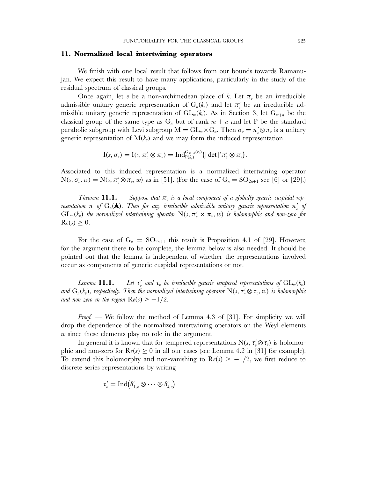#### **11. Normalized local intertwining operators**

We finish with one local result that follows from our bounds towards Ramanujan. We expect this result to have many applications, particularly in the study of the residual spectrum of classical groups.

Once again, let v be a non-archimedean place of k. Let  $\pi_{\nu}$  be an irreducible admissible unitary generic representation of  $G_n(k_v)$  and let  $\pi'_v$  be an irreducible admissible unitary generic representation of  $GL_m(k_v)$ . As in Section 3, let  $G_{m+n}$  be the classical group of the same type as  $G_n$  but of rank  $m + n$  and let P be the standard parabolic subgroup with Levi subgroup  $M = GL_m \times G_n$ . Then  $\sigma_v = \pi_v' \otimes \pi_v$  is a unitary generic representation of  $M(k_v)$  and we may form the induced representation

$$
I(s, \sigma_v) = I(s, \pi'_v \otimes \pi_v) = Ind_{P(k_v)}^{G_{m+n}(k_v)} (|\det|^s \pi'_v \otimes \pi_v).
$$

Associated to this induced representation is a normalized intertwining operator  $N(s, \sigma_v, w) = N(s, \pi_v' \otimes \pi_v, w)$  as in [51]. (For the case of  $G_n = SO_{2n+1}$  see [6] or [29].)

*Theorem* **11.1.** — *Suppose that*  $\pi$ <sub>*i</sub> is a local component of a globally generic cuspidal rep-*</sub> *resentation*  $\pi$  *of*  $G_n(\mathbf{A})$ *. Then for any irreducible admissible unitary generic representation*  $\pi_v'$  *of*  $GL_m(k_v)$  the normalized intertwining operator  $N(s, \pi'_v \times \pi_v, w)$  is holomorphic and non-zero for  $\mathrm{R}e(s) \geq 0.$ 

For the case of  $G_n = SO_{2n+1}$  this result is Proposition 4.1 of [29]. However, for the argument there to be complete, the lemma below is also needed. It should be pointed out that the lemma is independent of whether the representations involved occur as components of generic cuspidal representations or not.

Lemma  $\mathbf{11.1.} \phantom{0}-$  Let  $\tau_v'$  and  $\tau_v$  be irreducible generic tempered representations of  $\mathrm{GL}_m(k_v)$ and  $G_n(k_v)$ , respectively. Then the normalized intertwining operator  $N(s, \tau'_v \otimes \tau_v, w)$  is holomorphic *and non-zero in the region*  $Re(s) > -1/2$ *.* 

*Proof.* — We follow the method of Lemma 4.3 of [31]. For simplicity we will drop the dependence of the normalized intertwining operators on the Weyl elements w since these elements play no role in the argument.

In general it is known that for tempered representations  $N(s, \tau'_{v} \otimes \tau_{v})$  is holomorphic and non-zero for  $\mathbf{R}e(s) \ge 0$  in all our cases (see Lemma 4.2 in [31] for example). To extend this holomorphy and non-vanishing to  $\mathbf{R}(\epsilon s) > -1/2$ , we first reduce to discrete series representations by writing

$$
\tau'_v = \operatorname{Ind}(\delta'_{1,v} \otimes \cdots \otimes \delta'_{k,v})
$$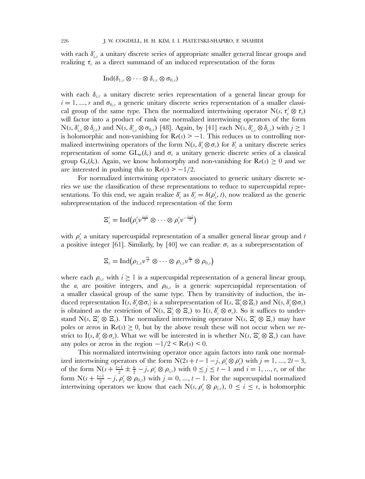with each  $\delta_{i,v}'$  a unitary discrete series of appropriate smaller general linear groups and realizing  $\tau_v$  as a direct summand of an induced representation of the form

$$
\operatorname{Ind}(\delta_{1,v}\otimes\cdots\otimes\delta_{r,v}\otimes\sigma_{0,v})
$$

with each  $\delta_{i,v}$  a unitary discrete series representation of a general linear group for  $i = 1, ..., r$  and  $\sigma_{0,v}$  a generic unitary discrete series representation of a smaller classical group of the same type. Then the normalized intertwining operator  $N(s, \tau'_v \otimes \tau_v)$ will factor into a product of rank one normalized intertwining operators of the form  $N(s, \delta'_{i,v} \otimes \delta_{j,v})$  and  $N(s, \delta'_{i,v} \otimes \sigma_{0,v})$  [48]. Again, by [41] each  $N(s, \delta'_{i,v} \otimes \delta_{j,v})$  with  $j \ge 1$ is holomorphic and non-vanishing for  $\text{Re}(s) > -1$ . This reduces us to controlling normalized intertwining operators of the form  $N(s, \delta'_v \otimes \sigma_v)$  for  $\delta'_v$  a unitary discrete series representation of some  $GL_m(k_v)$  and  $\sigma_v$  a unitary generic discrete series of a classical group  $G_n(k_v)$ . Again, we know holomorphy and non-vanishing for  $\text{Re}(s) \geq 0$  and we are interested in pushing this to  $\mathbf{R}e(s) > -1/2$ .

For normalized intertwining operators associated to generic unitary discrete series we use the classification of these representations to reduce to supercuspidal representations. To this end, we again realize  $\delta'_{v}$  as  $\delta'_{v} = \delta(\rho'_{v}, t)$ , now realized as the generic subrepresentation of the induced representation of the form

$$
\Xi'_v = \mathrm{Ind} \bigl( \rho'_v \nu^{\frac{t-1}{2}} \otimes \cdots \otimes \rho'_v \nu^{-\frac{t-1}{2}} \bigr)
$$

with  $\rho'_v$  a unitary supercuspidal representation of a smaller general linear group and t a positive integer [61]. Similarly, by [40] we can realize  $\sigma_v$  as a subrepresentation of

$$
\Xi_v = \mathrm{Ind}\big(\rho_{1,v}\nu^{\frac{a_1}{2}}\otimes\cdots\otimes\rho_{r,v}\nu^{\frac{a_r}{2}}\otimes\rho_{0,v}\big)
$$

where each  $\rho_{i,v}$  with  $i \geq 1$  is a supercuspidal representation of a general linear group, the  $a_i$  are positive integers, and  $\rho_{0,v}$  is a generic supercuspidal representation of a smaller classical group of the same type. Then by transitivity of induction, the induced representation  $I(s, \delta_v' \otimes \sigma_v)$  is a subrepresentation of  $I(s, \Xi_v' \otimes \Xi_v)$  and  $N(s, \delta_v' \otimes \sigma_v)$ is obtained as the restriction of  $N(s, \Xi'_v \otimes \Xi_v)$  to  $I(s, \delta'_v \otimes \sigma_v)$ . So it suffices to understand N(s,  $\Xi'_v \otimes \Xi_v$ ). The normalized intertwining operator N(s,  $\Xi'_v \otimes \Xi_v$ ) may have poles or zeros in  $\text{Re}(s) \geq 0$ , but by the above result these will not occur when we restrict to I(s,  $\delta'_v \otimes \sigma_v$ ). What we will be interested in is whether N(s,  $\Xi'_v \otimes \Xi_v$ ) can have any poles or zeros in the region  $-1/2 < Re(s) < 0$ .

This normalized intertwining operator once again factors into rank one normalized intertwining operators of the form  $N(2s + t - 1 - j, \rho'_v \otimes \rho'_v)$  with  $j = 1, ..., 2t - 3$ , of the form  $N(s + \frac{t-1}{2} \pm \frac{a_i}{2} - j, \rho'_v \otimes \rho_{i,v})$  with  $0 \le j \le t-1$  and  $i = 1, ..., r$ , or of the form  $N(s + \frac{t-1}{2} - j, \rho'_v \otimes \rho_{0,v})$  with  $j = 0, ..., t-1$ . For the supercuspidal normalized intertwining operators we know that each N(s,  $\rho'_v \otimes \rho_{i,v}$ ),  $0 \le i \le r$ , is holomorphic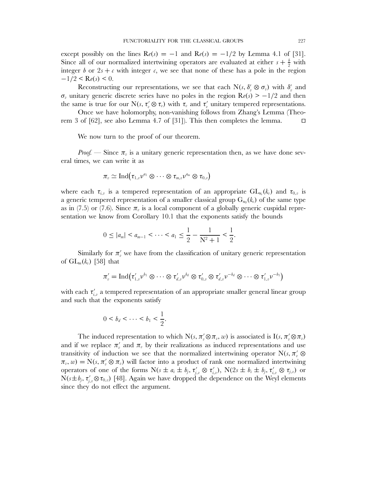except possibly on the lines  $\mathbf{R}e(s) = -1$  and  $\mathbf{R}e(s) = -1/2$  by Lemma 4.1 of [31]. Since all of our normalized intertwining operators are evaluated at either  $s + \frac{b}{2}$  with integer b or  $2s + c$  with integer c, we see that none of these has a pole in the region  $-1/2 <$ Re(s) < 0.

Reconstructing our representations, we see that each N(s,  $\delta'_{v} \otimes \sigma_{v}$ ) with  $\delta'_{v}$  and  $\sigma_v$  unitary generic discrete series have no poles in the region  $\text{Re}(s) > -1/2$  and then the same is true for our N(s,  $\tau_v \otimes \tau_v$ ) with  $\tau_v$  and  $\tau_v'$  unitary tempered representations.

Once we have holomorphy, non-vanishing follows from Zhang's Lemma (Theorem 3 of [62], see also Lemma 4.7 of [31]). This then completes the lemma.  $\Box$ 

We now turn to the proof of our theorem.

*Proof.* — Since  $\pi_{v}$  is a unitary generic representation then, as we have done several times, we can write it as

$$
\pi_{\scriptscriptstyle{v}} \simeq \mathop{\operatorname{Ind}}\nolimits \bigl( \tau_{1,\scriptscriptstyle{v}} \nu^{a_1} \otimes \cdots \otimes \tau_{m,\scriptscriptstyle{v}} \nu^{a_m} \otimes \tau_{0,\scriptscriptstyle{v}} \bigr)
$$

where each  $\tau_{i,v}$  is a tempered representation of an appropriate  $\mathrm{GL}_{n_i}(k_v)$  and  $\tau_{0,v}$  is a generic tempered representation of a smaller classical group  $G_{n_0}(k_v)$  of the same type as in (7.5) or (7.6). Since  $\pi$ <sub>n</sub> is a local component of a globally generic cuspidal representation we know from Corollary 10.1 that the exponents satisfy the bounds

$$
0 \le |a_m| < a_{m-1} < \cdots < a_1 \le \frac{1}{2} - \frac{1}{N^2 + 1} < \frac{1}{2}.
$$

Similarly for  $\pi'_{v}$  we have from the classification of unitary generic representation of  $GL_m(k_v)$  [58] that

$$
\pi'_v = \mathrm{Ind}(\tau'_{1,v}v^{b_1} \otimes \cdots \otimes \tau'_{d,v}v^{b_d} \otimes \tau'_{0,v} \otimes \tau'_{d,v}v^{-b_d} \otimes \cdots \otimes \tau'_{1,v}v^{-b_1})
$$

with each  $\tau'_{i,v}$  a tempered representation of an appropriate smaller general linear group and such that the exponents satisfy

$$
0
$$

The induced representation to which  $N(s, \pi'_v \otimes \pi_v, w)$  is associated is  $I(s, \pi'_v \otimes \pi_v)$ and if we replace  $\pi'_v$  and  $\pi_v$  by their realizations as induced representations and use transitivity of induction we see that the normalized intertwining operator  $N(s, \pi'_v \otimes$  $\pi_v, w) = N(s, \pi'_v \otimes \pi_v)$  will factor into a product of rank one normalized intertwining operators of one of the forms  $N(s \pm a_i \pm b_j, \tau'_{j,v} \otimes \tau'_{i,v})$ ,  $N(2s \pm b_i \pm b_j, \tau'_{i,v} \otimes \tau_{j,v})$  or  $N(s \pm b_j, \tau'_{j,v} \otimes \tau_{0,v})$  [48]. Again we have dropped the dependence on the Weyl elements since they do not effect the argument.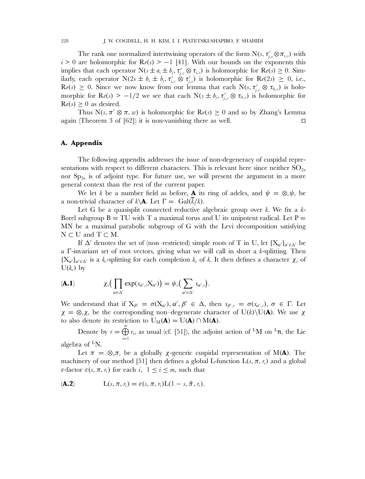The rank one normalized intertwining operators of the form  $N(s, \tau'_{j,v} \otimes \pi_{i,v})$  with  $i>0$  are holomorphic for  $\text{Re}(s) > -1$  [41]. With our bounds on the exponents this implies that each operator  $N(s \pm a_i \pm b_j, \tau'_{j,v} \otimes \tau_{i,v})$  is holomorphic for  $\text{Re}(s) \geq 0$ . Similarly, each operator  $N(2s \pm b_i \pm b_j, \tau'_{i,v} \otimes \tau'_{j,v})$  is holomorphic for  $\text{Re}(2s) \geq 0$ , i.e.,  $\text{Re}(s) \geq 0$ . Since we now know from our lemma that each  $\text{N}(s, \tau'_{j,v} \otimes \tau_{0,v})$  is holomorphic for  $\text{Re}(s) > -1/2$  we see that each  $N(s \pm b_j, \tau'_{j,v} \otimes \tau_{0,v})$  is holomorphic for  $\text{Re}(s) \geq 0$  as desired.

Thus  $N(s, \pi' \otimes \pi, w)$  is holomorphic for  $\text{Re}(s) \geq 0$  and so by Zhang's Lemma again (Theorem 3 of [62]) it is non-vanishing there as well.  $\Box$ 

# **A. Appendix**

The following appendix addresses the issue of non-degeneracy of cuspidal representations with respect to different characters. This is relevant here since neither  $SO_{2n}$ nor  $Sp_{2n}$  is of adjoint type. For future use, we will present the argument in a more general context than the rest of the current paper.

We let k be a number field as before, **A** its ring of adeles, and  $\psi = \otimes_{\nu} \psi_{\nu}$  be a non-trivial character of  $k \backslash A$ . Let  $\Gamma = \text{Gal}(k/k)$ .

Let G be a quasisplit connected reductive algebraic group over  $k$ . We fix a  $k$ -Borel subgroup  $B = TU$  with T a maximal torus and U its unipotent radical. Let  $P =$ MN be a maximal parabolic subgroup of G with the Levi decomposition satisfying  $N \subset U$  and  $T \subset M$ .

If  $\Delta'$  denotes the set of (non–restricted) simple roots of T in U, let  ${X_{\alpha'}}_{\alpha'\in \Delta'}$  be a Γ-invariant set of root vectors, giving what we will call in short a k-splitting. Then  ${X_{\alpha'}}_{\alpha'\alpha'\alpha'}$  is a  $k_{\alpha}$ -splitting for each completion  $k_{\alpha}$  of k. It then defines a character  $\chi_{\alpha}$  of  $U(k_v)$  by

$$
\textbf{(A.1)} \hspace{1cm} \chi_v\big(\prod_{\alpha \in \Delta'} \exp(x_{\alpha',v}\mathbf{X}_{\alpha'})\big) = \psi_v\big(\sum_{\alpha' \in \Delta'} x_{\alpha',v}\big).
$$

We understand that if  $X_{\beta'} = \sigma(X_{\alpha'})$ ,  $\alpha', \beta' \in \Delta$ , then  $x_{\beta',\nu} = \sigma(x_{\alpha',\nu})$ ,  $\sigma \in \Gamma$ . Let  $\chi = \otimes_{\nu} \chi_{\nu}$  be the corresponding non–degenerate character of U(k)\U(**A**). We use  $\chi$ to also denote its restriction to  $U_M(A) = U(A) \cap M(A)$ .

Denote by  $r = \bigoplus^m$  $i=1$  $r_i$ , as usual (cf. [51]), the adjoint action of <sup>L</sup>M on <sup>L</sup>n, the Lie algebra of  ${}^L$ N.

Let  $\pi = \otimes_{\nu} \pi_{\nu}$  be a globally  $\chi$ -generic cuspidal representation of M(**A**). The machinery of our method [51] then defines a global L-function  $L(s, \pi, r_i)$  and a global ε-factor  $\varepsilon$ (*s*, π, r<sub>i</sub>) for each i,  $1 \le i \le m$ , such that

$$
L(s, \pi, r_i) = \varepsilon(s, \pi, r_i)L(1-s, \tilde{\pi}, r_i).
$$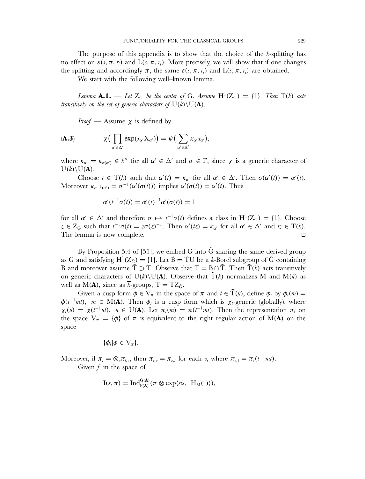The purpose of this appendix is to show that the choice of the  $k$ -splitting has no effect on  $\varepsilon(s,\pi,\eta)$  and  $L(s,\pi,\eta)$ . More precisely, we will show that if one changes the splitting and accordingly  $\pi$ , the same  $\varepsilon(s, \pi, r_i)$  and  $L(s, \pi, r_i)$  are obtained.

We start with the following well–known lemma.

*Lemma*  $\mathbf{A.1.}$  — Let  $Z_G$  be the center of G. Assume  $H^1(Z_G) = \{1\}$ *. Then*  $T(k)$  acts *transitively on the set of generic characters of*  $U(k)\setminus U(\mathbf{A})$ *.* 

*Proof.* — Assume  $\chi$  is defined by

$$
\textbf{(A.3)} \qquad \qquad \chi\big(\prod_{\alpha'\in\Delta'}\exp(x_{\alpha'}\mathrm{X}_{\alpha'})\big)=\psi\big(\sum_{\alpha'\in\Delta'}\kappa_{\alpha'}x_{\alpha'}\big),
$$

where  $\kappa_{\alpha'} = \kappa_{\sigma(\alpha')} \in k^{\times}$  for all  $\alpha' \in \Delta'$  and  $\sigma \in \Gamma$ , since  $\chi$  is a generic character of  $U(k)\setminus U(\mathbf{A}).$ 

Choose  $t \in \mathrm{T}(\overline{k})$  such that  $\alpha'(t) = \kappa_{\alpha'}$  for all  $\alpha' \in \Delta'$ . Then  $\sigma(\alpha'(t)) = \alpha'(t)$ . Moreover  $\kappa_{\sigma^{-1}(\alpha')} = \sigma^{-1}(\alpha'(\sigma(t)))$  implies  $\alpha'(\sigma(t)) = \alpha'(t)$ . Thus

$$
\alpha'(t^{-1}\sigma(t)) = \alpha'(t)^{-1}\alpha'(\sigma(t)) = 1
$$

for all  $\alpha' \in \Delta'$  and therefore  $\sigma \mapsto t^{-1}\sigma(t)$  defines a class in  $H^1(Z_G) = \{1\}$ . Choose  $z \in Z_G$  such that  $t^{-1}\sigma(t) = z\sigma(z)^{-1}$ . Then  $\alpha'(tz) = \kappa_{\alpha'}$  for all  $\alpha' \in \Delta'$  and  $tz \in T(k)$ . The lemma is now complete.  $\Box$ 

By Proposition 5.4 of [55], we embed G into  $\tilde{G}$  sharing the same derived group as G and satisfying  $H^1(Z_{\tilde{G}}) = \{1\}$ . Let  $\tilde{B} = \tilde{T}U$  be a k-Borel subgroup of  $\tilde{G}$  containing B and moreover assume  $\tilde{T} \supset T$ . Observe that  $T = B \cap \tilde{T}$ . Then  $\tilde{T}(k)$  acts transitively on generic characters of U(k)\U(A). Observe that  $\tilde{T}(k)$  normalizes M and M(k) as well as  $M(A)$ , since as  $\bar{k}$ -groups,  $\tilde{T} = TZ_{\tilde{G}}$ .

Given a cusp form  $\phi \in V_{\pi}$  in the space of  $\pi$  and  $t \in \tilde{T}(k)$ , define  $\phi_t$  by  $\phi_t(m) =$  $\phi(t^{-1}mt)$ ,  $m \in M(\mathbf{A})$ . Then  $\phi_t$  is a cusp form which is  $\chi_t$ -generic (globally), where  $\chi_t(u) = \chi(t^{-1}ut)$ ,  $u \in U(\mathbf{A})$ . Let  $\pi_t(m) = \pi(t^{-1}mt)$ . Then the representation  $\pi_t$  on the space  $V_{\pi} = {\phi}$  of  $\pi$  is equivalent to the right regular action of M(A) on the space

$$
\{\phi_t|\phi\in \mathrm{V}_\pi\}.
$$

Moreover, if  $\pi_t = \otimes_v \pi_{t,v}$ , then  $\pi_{t,v} = \pi_{v,t}$  for each v, where  $\pi_{v,t} = \pi_v(t^{-1}mt)$ . Given  $f$  in the space of

$$
I(s,\pi)=\mathrm{Ind}_{P(\mathbf{A})}^{G(\mathbf{A})}(\pi\otimes \exp\langle s\tilde{\alpha}, H_M(\ )\rangle),
$$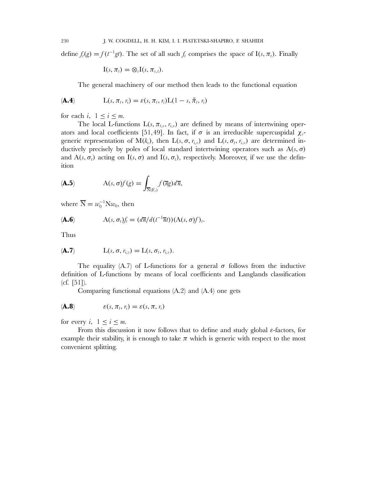define  $f_t(g) = f(t^{-1}gt)$ . The set of all such  $f_t$  comprises the space of I(s,  $\pi_t$ ). Finally

$$
I(s,\pi_t)=\otimes_v I(s,\pi_{v,t}).
$$

The general machinery of our method then leads to the functional equation

$$
(\mathbf{A.4}) \qquad \qquad L(s,\pi_t,\eta_t) = \varepsilon(s,\pi_t,\eta_t)L(1-s,\tilde{\pi}_t,\eta_t)
$$

for each i,  $1 \leq i \leq m$ .

The local L-functions  $L(s, \pi_{t,v}, r_{i,v})$  are defined by means of intertwining operators and local coefficients [51,49]. In fact, if  $\sigma$  is an irreducible supercuspidal  $\chi_{v}$ generic representation of  $M(k_v)$ , then  $L(s, \sigma, r_{i,v})$  and  $L(s, \sigma_t, r_{i,v})$  are determined inductively precisely by poles of local standard intertwining operators such as  $A(s, \sigma)$ and  $A(s, \sigma_t)$  acting on  $I(s, \sigma)$  and  $I(s, \sigma_t)$ , respectively. Moreover, if we use the definition

$$
\mathbf{A.5)} \qquad \mathbf{A}(s,\sigma)f(g) = \int_{\overline{\mathbf{N}}(\mathbf{F}_s)} f(\overline{n}g) d\overline{n},
$$

where  $\overline{\mathbf{N}} = w_0^{-1} \mathbf{N} w_0$ , then

$$
A(s, \sigma_t)f_t = (d\overline{n}/d(t^{-1}\overline{n}t))(A(s, \sigma)f)_t.
$$

Thus

$$
(\mathbf{A.7}) \qquad \qquad L(s, \sigma, r_{i, v}) = L(s, \sigma_t, r_{i, v}).
$$

The equality (A.7) of L-functions for a general  $\sigma$  follows from the inductive definition of L-functions by means of local coefficients and Langlands classification  $(cf. [51]).$ 

Comparing functional equations (A.2) and (A.4) one gets

$$
(\mathbf{A.8}) \qquad \qquad \varepsilon(s,\pi_t,\eta_t) = \varepsilon(s,\pi,\eta_t)
$$

for every i,  $1 \leq i \leq m$ .

From this discussion it now follows that to define and study global  $\varepsilon$ -factors, for example their stability, it is enough to take  $\pi$  which is generic with respect to the most convenient splitting.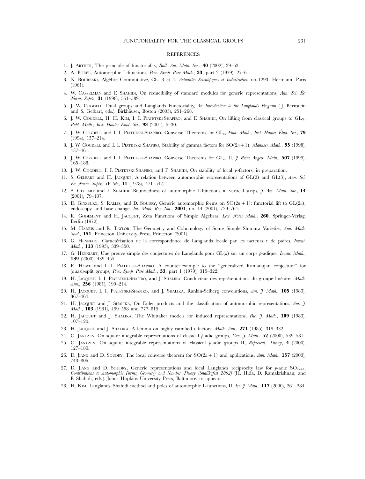#### REFERENCES

- 1. J. ARTHUR, The principle of functoriality, *Bull. Am. Math. Soc.*, **40** (2002), 39–53.
- 2. A. BOREL, Automorphic L-functions, *Proc. Symp. Pure Math.*, **33**, part 2 (1979), 27–61.
- 3. N. BOURBAKI, Algèbre Commutative, Ch. 3 et 4, *Actualités Scientifiques et Industrielles*, no. 1293. Hermann, Paris (1961).
- 4. W. CASSELMAN and F. SHAHIDI, On reducibility of standard modules for generic representations, *Ann. Sci. Ec.* ´ *Norm. Supér.*, 31 (1998), 561–589.
- 5. J. W. COGDELL, Dual groups and Langlands Functoriality, *An Introduction to the Langlands Program* ( J. Bernstein and S. Gelbart, eds.). Birkhäuser, Boston (2003), 251–268.
- 6. J. W. COGDELL, H. H. KIM, I. I. PIATETSKI-SHAPIRO, and F. SHAHIDI, On lifting from classical groups to GL<sub>N</sub>, *Publ. Math., Inst. Hautes Étud. Sci.*, **93** (2001), 5–30.
- 7. J. W. COGDELL and I. I. PIATETSKI-SHAPIRO, Converse Theorems for  $GL_n$ , *Publ. Math., Inst. Hautes Étud. Sci.*, 79 (1994), 157–214.
- 8. J. W. COGDELL and I. I. PIATETSKI-SHAPIRO, Stability of gamma factors for SO(2n+1), *Manuscr. Math.*, **95** (1998), 437–461.
- 9. J. W. COGDELL and I. I. PIATETSKI-SHAPIRO, Converse Theorems for GL<sub>n</sub>, II, *I. Reine Angew. Math.*, **507** (1999), 165–188.
- 10. J. W. COGDELL, I. I. PIATETSKI-SHAPIRO, and F. SHAHIDI, On stability of local γ-factors, in preparation.
- 11. S. GELBART and H. JACQUET, A relation between automorphic representations of GL(2) and GL(3), *Ann. Sci. Ec. Norm. Supér., IV. Sér.*, **11** (1978), 471–542.
- 12. S. GELBART and F. SHAHIDI, Boundedness of automorphic L-functions in vertical strips, *J. Am. Math. Soc.*, **14** (2001), 79–107.
- 13. D. GINZBURG, S. RALLIS, and D. SOUDRY, Generic automorphic forms on  $SO(2n + 1)$ : functorial lift to GL(2n), endoscopy, and base change, *Int. Math. Res. Not.*, **2001**, no. 14 (2001), 729–764.
- 14. R. GODEMENT and H. JACQUET, Zeta Functions of Simple Algebras, *Lect. Notes Math.*, **260**. Springer-Verlag, Berlin (1972).
- 15. M. HARRIS and R. TAYLOR, The Geometry and Cohomology of Some Simple Shimura Varieties, *Ann. Math. Stud.*, **151**. Princeton University Press, Princeton (2001).
- 16. G. HENNIART, Caractérisation de la correspondance de Langlands locale par les facteurs  $\epsilon$  de paires, *Invent. Math.*, **113** (1993), 339–350.
- 17. G. HENNIART, Une preuve simple des conjectures de Langlands pour GL(n) sur un corps p-adique, *Invent. Math.*, **139** (2000), 439–455.
- 18. R. HOWE and I. I. PIATETSKI-SHAPIRO, A counter-example to the "generalized Ramanujan conjecture" for (quasi)-split groups, *Proc. Symp. Pure Math.*, **33**, part 1 (1979), 315–322.
- 19. H. JACQUET, I. I. PIATETSKI-SHAPIRO, and J. SHALIKA, Conducteur des représentations du groupe linéaire., Math. *Ann.*, **256** (1981), 199–214.
- 20. H. JACQUET, I. I. PIATETSKI-SHAPIRO, and J. SHALIKA, Rankin-Selberg convolutions, *Am. J. Math.*, **105** (1983), 367–464.
- 21. H. JACQUET and J. SHALIKA, On Euler products and the classification of automorphic representations, *Am. J. Math.*, **103** (1981), 499–558 and 777–815.
- 22. H. JACQUET and J. SHALIKA, The Whittaker models for induced representations, *Pac. J. Math.*, **109** (1983), 107–120.
- 23. H. JACQUET and J. SHALIKA, A lemma on highly ramified  $\epsilon$ -factors, *Math. Ann.*, **271** (1985), 319–332.
- 24. C. JANTZEN, On square integrable representations of classical p-adic groups, *Can. J. Math.*, **52** (2000), 539–581.
- 25. C. JANTZEN, On square integrable representations of classical p-adic groups II, *Represent. Theory*, **4** (2000), 127–180.
- 26. D. JIANG and D. SOUDRY, The local converse theorem for  $SO(2n + 1)$  and applications, *Ann. Math.*, **157** (2003), 743–806.
- 27. D. JIANG and D. SOUDRY, Generic representations and local Langlands reciprocity law for  $p$ -adic SO<sub>2n+1</sub>, *Contributions to Automorphic Forms, Geometry and Number Theory (Shalikafest 2002)* (H. Hida, D. Ramakrishnan, and F. Shahidi, eds.). Johns Hopkins University Press, Baltimore, to appear.
- 28. H. KIM, Langlands–Shahidi method and poles of automorphic L-functions, II, *Isr. J. Math.*, **117** (2000), 261–284.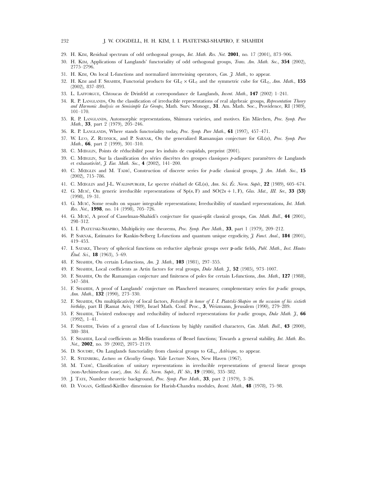#### 232 J. W. COGDELL, H. H. KIM, I. I. PIATETSKI-SHAPIRO, F. SHAHIDI

- 29. H. KIM, Residual spectrum of odd orthogonal groups, *Int. Math. Res. Not.* **2001**, no. 17 (2001), 873–906.
- 30. H. KIM, Applications of Langlands' functoriality of odd orthogonal groups, *Trans. Am. Math. Soc.*, **354** (2002), 2775–2796.
- 31. H. KIM, On local L-functions and normalized intertwining operators, *Can. J. Math.*, to appear.
- 32. H. KIM and F. SHAHIDI, Functorial products for  $GL_2 \times GL_3$  and the symmetric cube for  $GL_2$ , *Ann. Math.*, **155** (2002), 837–893.
- 33. L. LAFFORGUE, Chtoucas de Drinfeld at correspondance de Langlands, *Invent. Math.*, **147** (2002) 1–241.
- 34. R. P. LANGLANDS, On the classification of irreducible representations of real algebraic groups, *Representation Theory and Harmonic Analysis on Semisimple Lie Groups*, Math. Surv. Monogr., **31**. Am. Math. Soc., Providence, RI (1989), 101–170.
- 35. R. P. LANGLANDS, Automorphic representations, Shimura varieties, and motives. Ein M¨archen, *Proc. Symp. Pure Math.*, **33**, part 2 (1979), 205–246.
- 36. R. P. LANGLANDS, Where stands functoriality today, *Proc. Symp. Pure Math.*, **61** (1997), 457–471.
- 37. W. LUO, Z. RUDNICK, and P. SARNAK, On the generalized Ramanujan conjecture for GL(n), *Proc. Symp. Pure Math.*, **66**, part 2 (1999), 301–310.
- 38. C. MŒGLIN, Points de réducibilité pour les induits de cuspidals, preprint (2001).
- 39. C. MŒGLIN, Sur la classification des séries discrètes des groupes classiques p-adiques: paramètres de Langlands et exhaustivit´e, *J. Eur. Math. Soc.*, **4** (2002), 141–200.
- 40. C. MŒGLIN and M. TADIC´, Construction of discrete series for p-adic classical groups, *J. Am. Math. Soc.*, **15** (2002), 715–786.
- 41. C. MŒGLIN and J-L. WALDSPURGER, Le spectre résiduel de GL(n), *Ann. Sci. Éc. Norm. Supér.*, 22 (1989), 605–674.
- 42. G. Muic, On generic irreducible representations of  $Sp(n, F)$  and  $SO(2n + 1, F)$ , *Glas. Mat., III. Ser.*, **33** (53) (1998), 19–31.
- 43. G. MUIC´, Some results on square integrable representations; Irreducibility of standard representations, *Int. Math. Res. Not.*, **1998**, no. 14 (1998), 705–726.
- 44. G. MUIC´, A proof of Casselman-Shahidi's conjecture for quasi-split classical groups, *Can. Math. Bull.*, **44** (2001), 298–312.
- 45. I. I. PIATETSKI-SHAPIRO, Multiplicity one theorems, *Proc. Symp. Pure Math.*, **33**, part 1 (1979), 209–212.
- 46. P. SARNAK, Estimates for Rankin-Selberg L-functions and quantum unique ergodicity, *J. Funct. Anal.*, **184** (2001), 419–453.
- 47. I. SATAKE, Theory of spherical functions on reductive algebraic groups over p-adic fields, *Publ. Math., Inst. Hautes Etud. Sci.*, **18** (1963), 5–69.
- 48. F. SHAHIDI, On certain L-functions, *Am. J. Math.*, **103** (1981), 297–355.
- 49. F. SHAHIDI, Local coefficients as Artin factors for real groups, *Duke Math. J.*, **52** (1985), 973–1007.
- 50. F. SHAHIDI, On the Ramanujan conjecture and finiteness of poles for certain L-functions, *Ann. Math.*, **127** (1988), 547–584.
- 51. F. SHAHIDI, A proof of Langlands' conjecture on Plancherel measures; complementary series for p-adic groups, *Ann. Math.*, **132** (1990), 273–330.
- 52. F. SHAHIDI, On multiplicativity of local factors, *Festschrift in honor of I. I. Piatetski-Shapiro on the occasion of his sixtieth birthday*, part II (Ramat Aviv, 1989), Israel Math. Conf. Proc., **3**, Weizmann, Jerusalem (1990), 279–289.
- 53. F. SHAHIDI, Twisted endoscopy and reducibility of induced representations for p-adic groups, *Duke Math. J.*, **66** (1992), 1–41.
- 54. F. SHAHIDI, Twists of a general class of L-functions by highly ramified characters, *Can. Math. Bull.*, **43** (2000), 380–384.
- 55. F. SHAHIDI, Local coefficients as Mellin transforms of Bessel functions; Towards a general stability, *Int. Math. Res. Not.*, **2002**, no. 39 (2002), 2075–2119.
- 56. D. SOUDRY, On Langlands functoriality from classical groups to  $GL_n$ , *Astérisque*, to appear.
- 57. R. STEINBERG, *Lectures on Chevalley Groups*. Yale Lecture Notes, New Haven (1967).
- 58. M. TADIC´, Classification of unitary representations in irreducible representations of general linear groups (non-Archimedean case), *Ann. Sci. Éc. Norm. Supér., IV. Sér.*, 19 (1986), 335–382.
- 59. J. TATE, Number theoretic background, *Proc. Symp. Pure Math.*, **33**, part 2 (1979), 3–26.
- 60. D. VOGAN, Gelfand-Kirillov dimension for Harish-Chandra modules, *Invent. Math.*, **48** (1978), 75–98.